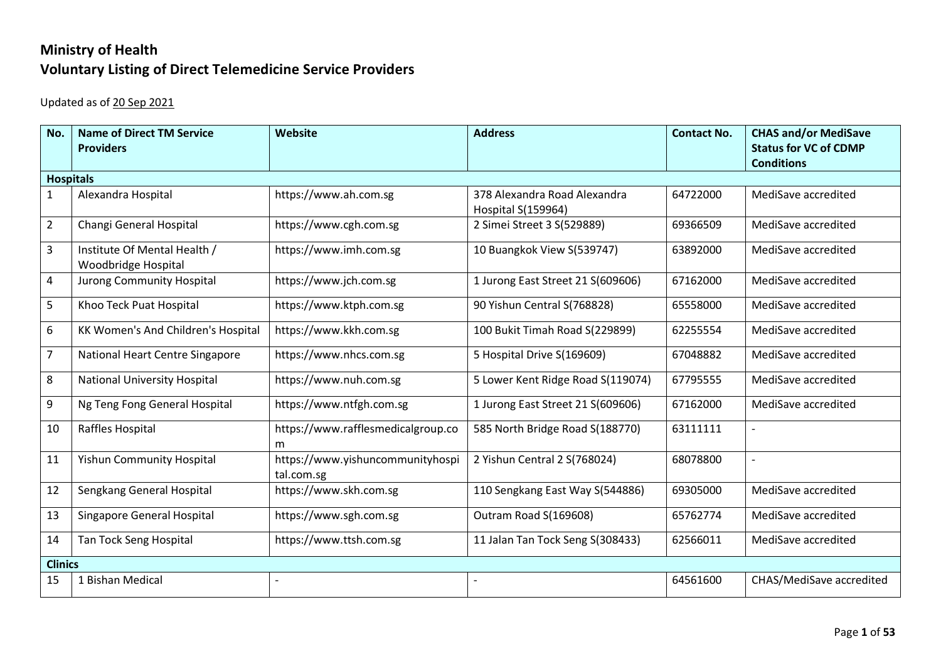## **Ministry of Health Voluntary Listing of Direct Telemedicine Service Providers**

Updated as of 20 Sep 2021

| No.              | <b>Name of Direct TM Service</b>                    | Website                                        | <b>Address</b>                                     | <b>Contact No.</b> | <b>CHAS and/or MediSave</b>                       |
|------------------|-----------------------------------------------------|------------------------------------------------|----------------------------------------------------|--------------------|---------------------------------------------------|
|                  | <b>Providers</b>                                    |                                                |                                                    |                    | <b>Status for VC of CDMP</b><br><b>Conditions</b> |
| <b>Hospitals</b> |                                                     |                                                |                                                    |                    |                                                   |
| $\mathbf{1}$     | Alexandra Hospital                                  | https://www.ah.com.sg                          | 378 Alexandra Road Alexandra<br>Hospital S(159964) | 64722000           | MediSave accredited                               |
| $\overline{2}$   | Changi General Hospital                             | https://www.cgh.com.sg                         | 2 Simei Street 3 S(529889)                         | 69366509           | MediSave accredited                               |
| $\overline{3}$   | Institute Of Mental Health /<br>Woodbridge Hospital | https://www.imh.com.sg                         | 10 Buangkok View S(539747)                         | 63892000           | MediSave accredited                               |
| $\overline{4}$   | <b>Jurong Community Hospital</b>                    | https://www.jch.com.sg                         | 1 Jurong East Street 21 S(609606)                  | 67162000           | MediSave accredited                               |
| 5                | Khoo Teck Puat Hospital                             | https://www.ktph.com.sg                        | 90 Yishun Central S(768828)                        | 65558000           | MediSave accredited                               |
| 6                | <b>KK Women's And Children's Hospital</b>           | https://www.kkh.com.sg                         | 100 Bukit Timah Road S(229899)                     | 62255554           | MediSave accredited                               |
| $\overline{7}$   | National Heart Centre Singapore                     | https://www.nhcs.com.sg                        | 5 Hospital Drive S(169609)                         | 67048882           | MediSave accredited                               |
| 8                | <b>National University Hospital</b>                 | https://www.nuh.com.sg                         | 5 Lower Kent Ridge Road S(119074)                  | 67795555           | MediSave accredited                               |
| 9                | Ng Teng Fong General Hospital                       | https://www.ntfgh.com.sg                       | 1 Jurong East Street 21 S(609606)                  | 67162000           | MediSave accredited                               |
| 10               | Raffles Hospital                                    | https://www.rafflesmedicalgroup.co<br>m        | 585 North Bridge Road S(188770)                    | 63111111           | $\overline{a}$                                    |
| 11               | <b>Yishun Community Hospital</b>                    | https://www.yishuncommunityhospi<br>tal.com.sg | 2 Yishun Central 2 S(768024)                       | 68078800           |                                                   |
| 12               | Sengkang General Hospital                           | https://www.skh.com.sg                         | 110 Sengkang East Way S(544886)                    | 69305000           | MediSave accredited                               |
| 13               | Singapore General Hospital                          | https://www.sgh.com.sg                         | Outram Road S(169608)                              | 65762774           | MediSave accredited                               |
| 14               | <b>Tan Tock Seng Hospital</b>                       | https://www.ttsh.com.sg                        | 11 Jalan Tan Tock Seng S(308433)                   | 62566011           | MediSave accredited                               |
| <b>Clinics</b>   |                                                     |                                                |                                                    |                    |                                                   |
| 15               | 1 Bishan Medical                                    |                                                |                                                    | 64561600           | CHAS/MediSave accredited                          |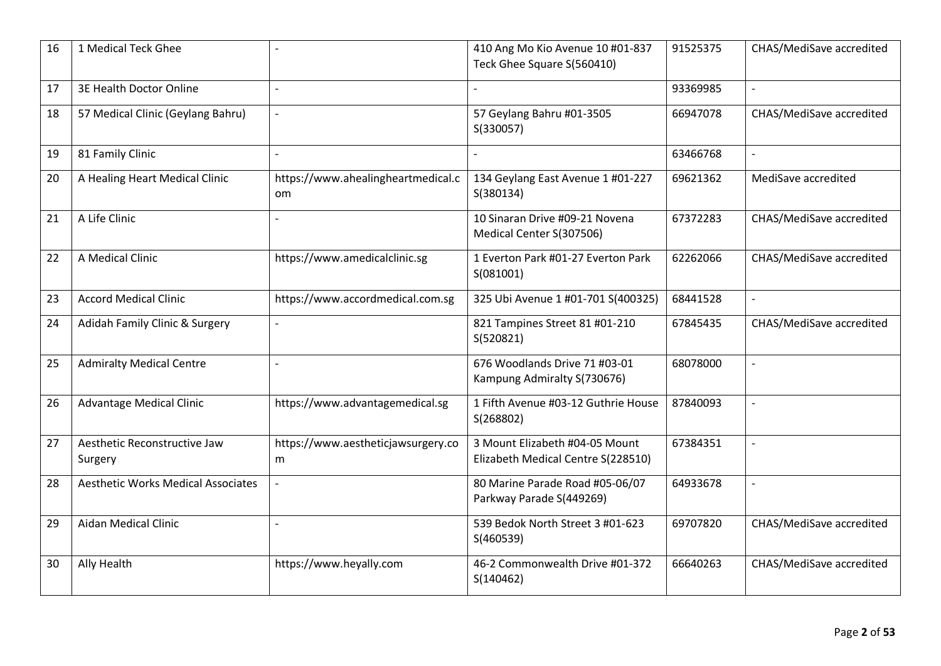| 16 | 1 Medical Teck Ghee                       |                                          | 410 Ang Mo Kio Avenue 10 #01-837<br>Teck Ghee Square S(560410)       | 91525375 | CHAS/MediSave accredited |
|----|-------------------------------------------|------------------------------------------|----------------------------------------------------------------------|----------|--------------------------|
| 17 | 3E Health Doctor Online                   |                                          |                                                                      | 93369985 | $\overline{a}$           |
| 18 | 57 Medical Clinic (Geylang Bahru)         | $\overline{a}$                           | 57 Geylang Bahru #01-3505<br>S(330057)                               | 66947078 | CHAS/MediSave accredited |
| 19 | 81 Family Clinic                          |                                          |                                                                      | 63466768 |                          |
| 20 | A Healing Heart Medical Clinic            | https://www.ahealingheartmedical.c<br>om | 134 Geylang East Avenue 1 #01-227<br>S(380134)                       | 69621362 | MediSave accredited      |
| 21 | A Life Clinic                             |                                          | 10 Sinaran Drive #09-21 Novena<br>Medical Center S(307506)           | 67372283 | CHAS/MediSave accredited |
| 22 | A Medical Clinic                          | https://www.amedicalclinic.sg            | 1 Everton Park #01-27 Everton Park<br>S(081001)                      | 62262066 | CHAS/MediSave accredited |
| 23 | <b>Accord Medical Clinic</b>              | https://www.accordmedical.com.sg         | 325 Ubi Avenue 1 #01-701 S(400325)                                   | 68441528 |                          |
| 24 | Adidah Family Clinic & Surgery            | $\overline{a}$                           | 821 Tampines Street 81 #01-210<br>S(520821)                          | 67845435 | CHAS/MediSave accredited |
| 25 | <b>Admiralty Medical Centre</b>           | $\overline{a}$                           | 676 Woodlands Drive 71 #03-01<br>Kampung Admiralty S(730676)         | 68078000 | $\overline{a}$           |
| 26 | <b>Advantage Medical Clinic</b>           | https://www.advantagemedical.sg          | 1 Fifth Avenue #03-12 Guthrie House<br>S(268802)                     | 87840093 | $\overline{a}$           |
| 27 | Aesthetic Reconstructive Jaw<br>Surgery   | https://www.aestheticjawsurgery.co<br>m  | 3 Mount Elizabeth #04-05 Mount<br>Elizabeth Medical Centre S(228510) | 67384351 | $\overline{a}$           |
| 28 | <b>Aesthetic Works Medical Associates</b> |                                          | 80 Marine Parade Road #05-06/07<br>Parkway Parade S(449269)          | 64933678 | $\overline{a}$           |
| 29 | <b>Aidan Medical Clinic</b>               | $\overline{a}$                           | 539 Bedok North Street 3 #01-623<br>S(460539)                        | 69707820 | CHAS/MediSave accredited |
| 30 | Ally Health                               | https://www.heyally.com                  | 46-2 Commonwealth Drive #01-372<br>S(140462)                         | 66640263 | CHAS/MediSave accredited |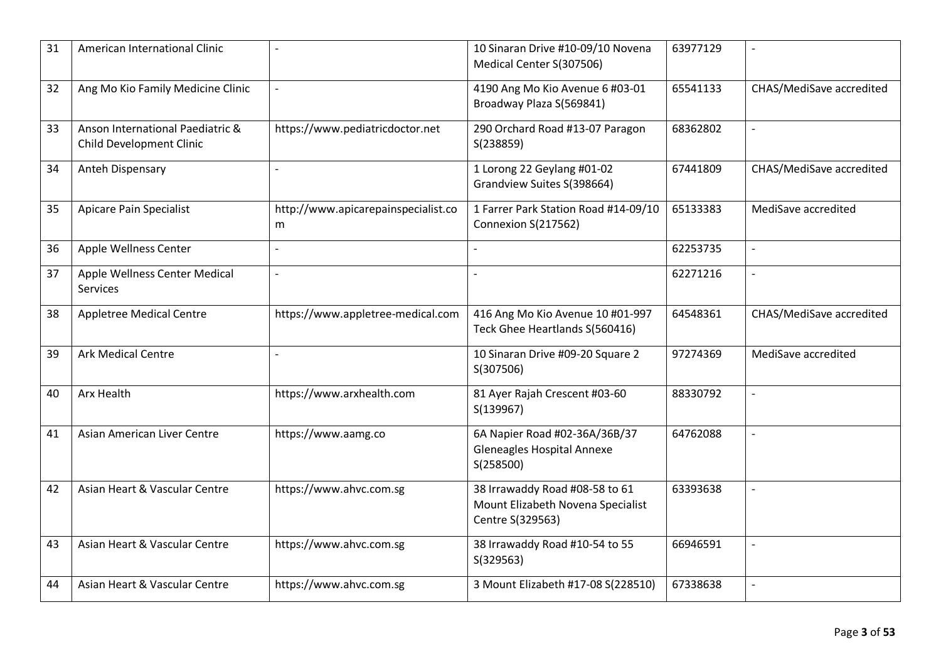| 31 | American International Clinic                                       |                                          | 10 Sinaran Drive #10-09/10 Novena<br>Medical Center S(307506)                           | 63977129 |                          |
|----|---------------------------------------------------------------------|------------------------------------------|-----------------------------------------------------------------------------------------|----------|--------------------------|
| 32 | Ang Mo Kio Family Medicine Clinic                                   |                                          | 4190 Ang Mo Kio Avenue 6 #03-01<br>Broadway Plaza S(569841)                             | 65541133 | CHAS/MediSave accredited |
| 33 | Anson International Paediatric &<br><b>Child Development Clinic</b> | https://www.pediatricdoctor.net          | 290 Orchard Road #13-07 Paragon<br>S(238859)                                            | 68362802 | $\overline{a}$           |
| 34 | Anteh Dispensary                                                    |                                          | 1 Lorong 22 Geylang #01-02<br>Grandview Suites S(398664)                                | 67441809 | CHAS/MediSave accredited |
| 35 | <b>Apicare Pain Specialist</b>                                      | http://www.apicarepainspecialist.co<br>m | 1 Farrer Park Station Road #14-09/10<br>Connexion S(217562)                             | 65133383 | MediSave accredited      |
| 36 | Apple Wellness Center                                               |                                          |                                                                                         | 62253735 |                          |
| 37 | Apple Wellness Center Medical<br><b>Services</b>                    | $\overline{\phantom{a}}$                 | $\overline{a}$                                                                          | 62271216 | $\blacksquare$           |
| 38 | <b>Appletree Medical Centre</b>                                     | https://www.appletree-medical.com        | 416 Ang Mo Kio Avenue 10 #01-997<br>Teck Ghee Heartlands S(560416)                      | 64548361 | CHAS/MediSave accredited |
| 39 | <b>Ark Medical Centre</b>                                           |                                          | 10 Sinaran Drive #09-20 Square 2<br>S(307506)                                           | 97274369 | MediSave accredited      |
| 40 | Arx Health                                                          | https://www.arxhealth.com                | 81 Ayer Rajah Crescent #03-60<br>S(139967)                                              | 88330792 | $\overline{a}$           |
| 41 | Asian American Liver Centre                                         | https://www.aamg.co                      | 6A Napier Road #02-36A/36B/37<br><b>Gleneagles Hospital Annexe</b><br>S(258500)         | 64762088 | $\blacksquare$           |
| 42 | Asian Heart & Vascular Centre                                       | https://www.ahvc.com.sg                  | 38 Irrawaddy Road #08-58 to 61<br>Mount Elizabeth Novena Specialist<br>Centre S(329563) | 63393638 | $\overline{\phantom{a}}$ |
| 43 | Asian Heart & Vascular Centre                                       | https://www.ahvc.com.sg                  | 38 Irrawaddy Road #10-54 to 55<br>S(329563)                                             | 66946591 | $\blacksquare$           |
| 44 | Asian Heart & Vascular Centre                                       | https://www.ahvc.com.sg                  | 3 Mount Elizabeth #17-08 S(228510)                                                      | 67338638 | $\overline{\phantom{a}}$ |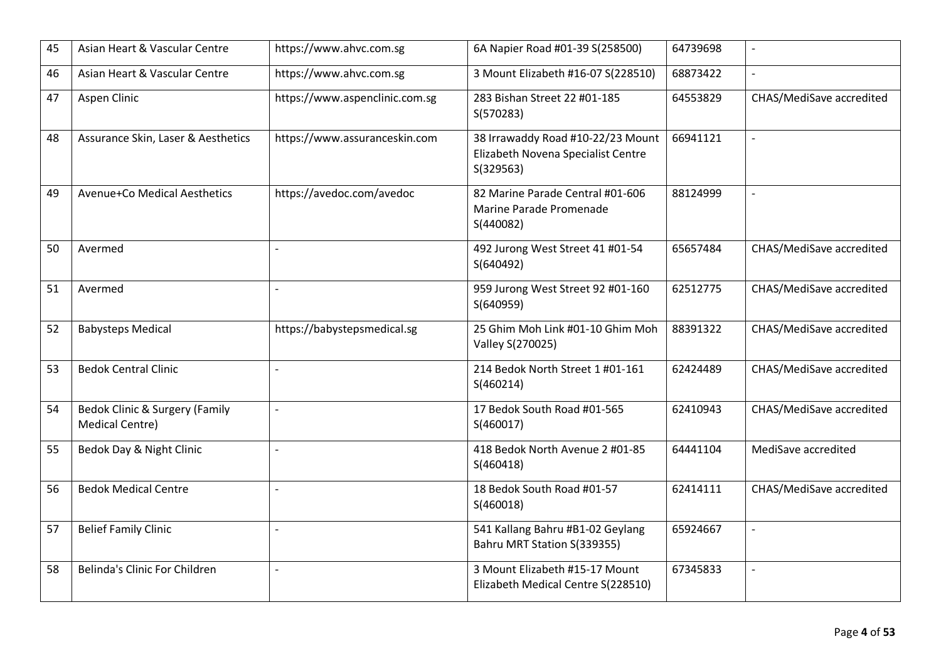| 45 | Asian Heart & Vascular Centre                                       | https://www.ahvc.com.sg        | 6A Napier Road #01-39 S(258500)                                                      | 64739698 |                          |
|----|---------------------------------------------------------------------|--------------------------------|--------------------------------------------------------------------------------------|----------|--------------------------|
| 46 | Asian Heart & Vascular Centre                                       | https://www.ahvc.com.sg        | 3 Mount Elizabeth #16-07 S(228510)                                                   | 68873422 | $\blacksquare$           |
| 47 | Aspen Clinic                                                        | https://www.aspenclinic.com.sg | 283 Bishan Street 22 #01-185<br>S(570283)                                            | 64553829 | CHAS/MediSave accredited |
| 48 | Assurance Skin, Laser & Aesthetics                                  | https://www.assuranceskin.com  | 38 Irrawaddy Road #10-22/23 Mount<br>Elizabeth Novena Specialist Centre<br>S(329563) | 66941121 | $\overline{a}$           |
| 49 | Avenue+Co Medical Aesthetics                                        | https://avedoc.com/avedoc      | 82 Marine Parade Central #01-606<br>Marine Parade Promenade<br>S(440082)             | 88124999 | $\blacksquare$           |
| 50 | Avermed                                                             |                                | 492 Jurong West Street 41 #01-54<br>S(640492)                                        | 65657484 | CHAS/MediSave accredited |
| 51 | Avermed                                                             | $\overline{\phantom{a}}$       | 959 Jurong West Street 92 #01-160<br>S(640959)                                       | 62512775 | CHAS/MediSave accredited |
| 52 | <b>Babysteps Medical</b>                                            | https://babystepsmedical.sg    | 25 Ghim Moh Link #01-10 Ghim Moh<br>Valley S(270025)                                 | 88391322 | CHAS/MediSave accredited |
| 53 | <b>Bedok Central Clinic</b>                                         | $\sim$                         | 214 Bedok North Street 1 #01-161<br>S(460214)                                        | 62424489 | CHAS/MediSave accredited |
| 54 | <b>Bedok Clinic &amp; Surgery (Family</b><br><b>Medical Centre)</b> | $\overline{\phantom{a}}$       | 17 Bedok South Road #01-565<br>S(460017)                                             | 62410943 | CHAS/MediSave accredited |
| 55 | Bedok Day & Night Clinic                                            | $\blacksquare$                 | 418 Bedok North Avenue 2 #01-85<br>S(460418)                                         | 64441104 | MediSave accredited      |
| 56 | <b>Bedok Medical Centre</b>                                         | $\sim$                         | 18 Bedok South Road #01-57<br>S(460018)                                              | 62414111 | CHAS/MediSave accredited |
| 57 | <b>Belief Family Clinic</b>                                         | $\overline{\phantom{a}}$       | 541 Kallang Bahru #B1-02 Geylang<br>Bahru MRT Station S(339355)                      | 65924667 | $\overline{a}$           |
| 58 | Belinda's Clinic For Children                                       | $\overline{a}$                 | 3 Mount Elizabeth #15-17 Mount<br>Elizabeth Medical Centre S(228510)                 | 67345833 | $\blacksquare$           |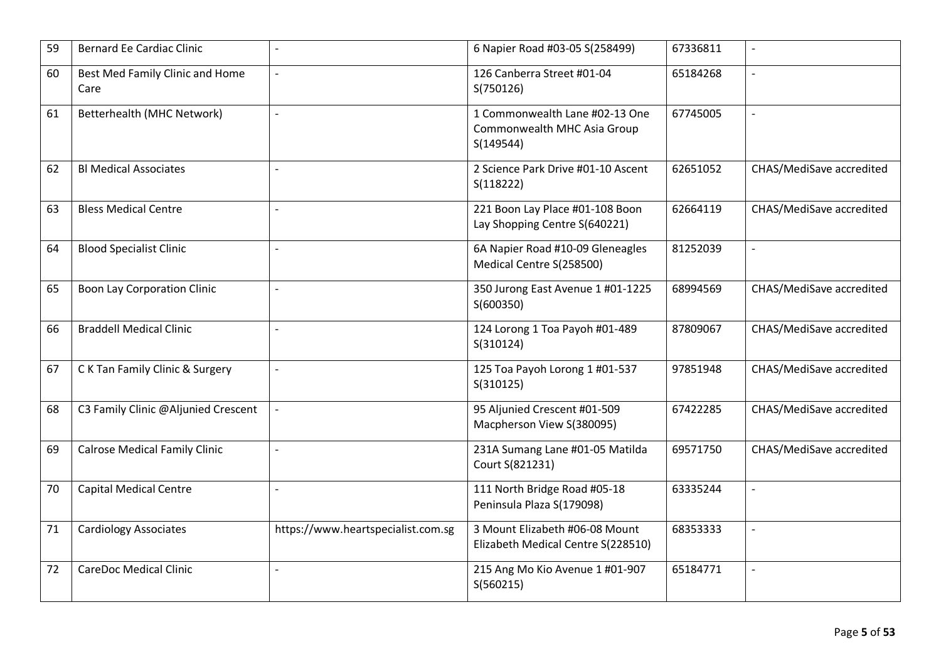| 59 | <b>Bernard Ee Cardiac Clinic</b>        | $\overline{a}$                     | 6 Napier Road #03-05 S(258499)                                             | 67336811 | $\blacksquare$           |
|----|-----------------------------------------|------------------------------------|----------------------------------------------------------------------------|----------|--------------------------|
| 60 | Best Med Family Clinic and Home<br>Care | $\blacksquare$                     | 126 Canberra Street #01-04<br>S(750126)                                    | 65184268 | $\overline{\phantom{0}}$ |
| 61 | Betterhealth (MHC Network)              |                                    | 1 Commonwealth Lane #02-13 One<br>Commonwealth MHC Asia Group<br>S(149544) | 67745005 |                          |
| 62 | <b>Bl Medical Associates</b>            | $\overline{a}$                     | 2 Science Park Drive #01-10 Ascent<br>S(118222)                            | 62651052 | CHAS/MediSave accredited |
| 63 | <b>Bless Medical Centre</b>             | $\overline{a}$                     | 221 Boon Lay Place #01-108 Boon<br>Lay Shopping Centre S(640221)           | 62664119 | CHAS/MediSave accredited |
| 64 | <b>Blood Specialist Clinic</b>          |                                    | 6A Napier Road #10-09 Gleneagles<br>Medical Centre S(258500)               | 81252039 |                          |
| 65 | <b>Boon Lay Corporation Clinic</b>      | $\blacksquare$                     | 350 Jurong East Avenue 1 #01-1225<br>S(600350)                             | 68994569 | CHAS/MediSave accredited |
| 66 | <b>Braddell Medical Clinic</b>          | $\overline{a}$                     | 124 Lorong 1 Toa Payoh #01-489<br>S(310124)                                | 87809067 | CHAS/MediSave accredited |
| 67 | C K Tan Family Clinic & Surgery         |                                    | 125 Toa Payoh Lorong 1 #01-537<br>S(310125)                                | 97851948 | CHAS/MediSave accredited |
| 68 | C3 Family Clinic @Aljunied Crescent     |                                    | 95 Aljunied Crescent #01-509<br>Macpherson View S(380095)                  | 67422285 | CHAS/MediSave accredited |
| 69 | <b>Calrose Medical Family Clinic</b>    | $\blacksquare$                     | 231A Sumang Lane #01-05 Matilda<br>Court S(821231)                         | 69571750 | CHAS/MediSave accredited |
| 70 | <b>Capital Medical Centre</b>           |                                    | 111 North Bridge Road #05-18<br>Peninsula Plaza S(179098)                  | 63335244 |                          |
| 71 | <b>Cardiology Associates</b>            | https://www.heartspecialist.com.sg | 3 Mount Elizabeth #06-08 Mount<br>Elizabeth Medical Centre S(228510)       | 68353333 | $\overline{\phantom{0}}$ |
| 72 | <b>CareDoc Medical Clinic</b>           | $\overline{a}$                     | 215 Ang Mo Kio Avenue 1 #01-907<br>S(560215)                               | 65184771 | $\blacksquare$           |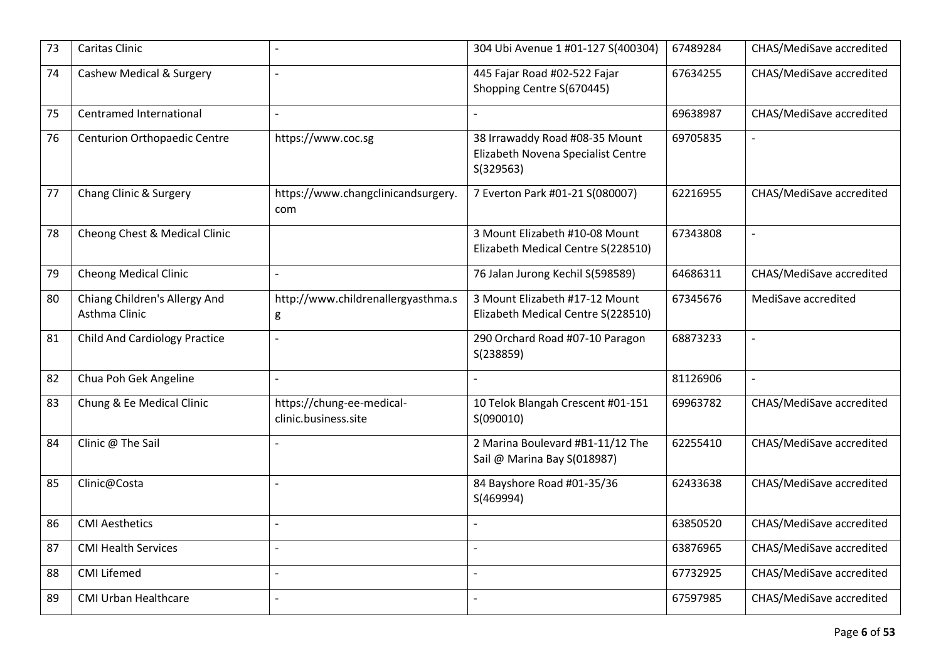| 73 | <b>Caritas Clinic</b>                          |                                                   | 304 Ubi Avenue 1 #01-127 S(400304)                                                | 67489284 | CHAS/MediSave accredited |
|----|------------------------------------------------|---------------------------------------------------|-----------------------------------------------------------------------------------|----------|--------------------------|
| 74 | <b>Cashew Medical &amp; Surgery</b>            |                                                   | 445 Fajar Road #02-522 Fajar<br>Shopping Centre S(670445)                         | 67634255 | CHAS/MediSave accredited |
| 75 | Centramed International                        |                                                   |                                                                                   | 69638987 | CHAS/MediSave accredited |
| 76 | <b>Centurion Orthopaedic Centre</b>            | https://www.coc.sg                                | 38 Irrawaddy Road #08-35 Mount<br>Elizabeth Novena Specialist Centre<br>S(329563) | 69705835 |                          |
| 77 | Chang Clinic & Surgery                         | https://www.changclinicandsurgery.<br>com         | 7 Everton Park #01-21 S(080007)                                                   | 62216955 | CHAS/MediSave accredited |
| 78 | Cheong Chest & Medical Clinic                  |                                                   | 3 Mount Elizabeth #10-08 Mount<br>Elizabeth Medical Centre S(228510)              | 67343808 | $\overline{a}$           |
| 79 | <b>Cheong Medical Clinic</b>                   | $\overline{a}$                                    | 76 Jalan Jurong Kechil S(598589)                                                  | 64686311 | CHAS/MediSave accredited |
| 80 | Chiang Children's Allergy And<br>Asthma Clinic | http://www.childrenallergyasthma.s<br>g           | 3 Mount Elizabeth #17-12 Mount<br>Elizabeth Medical Centre S(228510)              | 67345676 | MediSave accredited      |
| 81 | <b>Child And Cardiology Practice</b>           |                                                   | 290 Orchard Road #07-10 Paragon<br>S(238859)                                      | 68873233 |                          |
| 82 | Chua Poh Gek Angeline                          | $\overline{\phantom{a}}$                          |                                                                                   | 81126906 | $\overline{a}$           |
| 83 | Chung & Ee Medical Clinic                      | https://chung-ee-medical-<br>clinic.business.site | 10 Telok Blangah Crescent #01-151<br>S(090010)                                    | 69963782 | CHAS/MediSave accredited |
| 84 | Clinic @ The Sail                              |                                                   | 2 Marina Boulevard #B1-11/12 The<br>Sail @ Marina Bay S(018987)                   | 62255410 | CHAS/MediSave accredited |
| 85 | Clinic@Costa                                   | $\overline{a}$                                    | 84 Bayshore Road #01-35/36<br>S(469994)                                           | 62433638 | CHAS/MediSave accredited |
| 86 | <b>CMI Aesthetics</b>                          |                                                   |                                                                                   | 63850520 | CHAS/MediSave accredited |
| 87 | <b>CMI Health Services</b>                     | $\blacksquare$                                    | $\blacksquare$                                                                    | 63876965 | CHAS/MediSave accredited |
| 88 | <b>CMI Lifemed</b>                             | $\overline{\phantom{a}}$                          | $\overline{a}$                                                                    | 67732925 | CHAS/MediSave accredited |
| 89 | <b>CMI Urban Healthcare</b>                    | $\overline{a}$                                    | $\blacksquare$                                                                    | 67597985 | CHAS/MediSave accredited |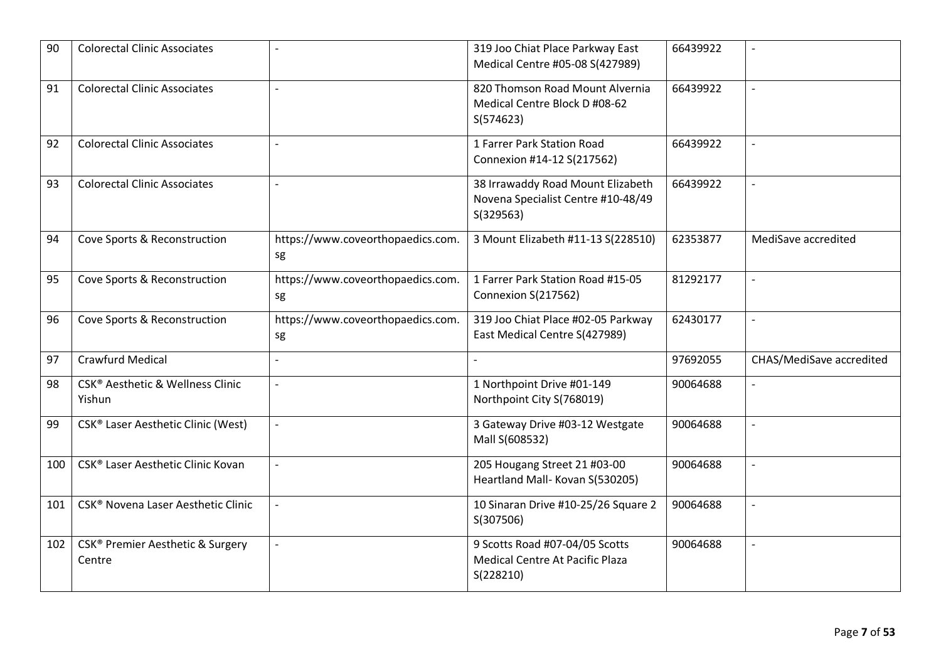| 90  | <b>Colorectal Clinic Associates</b>                   |                                         | 319 Joo Chiat Place Parkway East<br>Medical Centre #05-08 S(427989)                   | 66439922 |                          |
|-----|-------------------------------------------------------|-----------------------------------------|---------------------------------------------------------------------------------------|----------|--------------------------|
| 91  | <b>Colorectal Clinic Associates</b>                   |                                         | 820 Thomson Road Mount Alvernia<br>Medical Centre Block D #08-62<br>S(574623)         | 66439922 |                          |
| 92  | <b>Colorectal Clinic Associates</b>                   | $\overline{a}$                          | 1 Farrer Park Station Road<br>Connexion #14-12 S(217562)                              | 66439922 | $\overline{a}$           |
| 93  | <b>Colorectal Clinic Associates</b>                   |                                         | 38 Irrawaddy Road Mount Elizabeth<br>Novena Specialist Centre #10-48/49<br>S(329563)  | 66439922 |                          |
| 94  | Cove Sports & Reconstruction                          | https://www.coveorthopaedics.com.<br>sg | 3 Mount Elizabeth #11-13 S(228510)                                                    | 62353877 | MediSave accredited      |
| 95  | Cove Sports & Reconstruction                          | https://www.coveorthopaedics.com.<br>sg | 1 Farrer Park Station Road #15-05<br>Connexion S(217562)                              | 81292177 | $\overline{a}$           |
| 96  | Cove Sports & Reconstruction                          | https://www.coveorthopaedics.com.<br>sg | 319 Joo Chiat Place #02-05 Parkway<br>East Medical Centre S(427989)                   | 62430177 | $\overline{a}$           |
| 97  | <b>Crawfurd Medical</b>                               |                                         |                                                                                       | 97692055 | CHAS/MediSave accredited |
| 98  | <b>CSK® Aesthetic &amp; Wellness Clinic</b><br>Yishun |                                         | 1 Northpoint Drive #01-149<br>Northpoint City S(768019)                               | 90064688 | $\overline{a}$           |
| 99  | CSK® Laser Aesthetic Clinic (West)                    | $\mathbb{L}$                            | 3 Gateway Drive #03-12 Westgate<br>Mall S(608532)                                     | 90064688 | $\blacksquare$           |
| 100 | CSK® Laser Aesthetic Clinic Kovan                     |                                         | 205 Hougang Street 21 #03-00<br>Heartland Mall-Kovan S(530205)                        | 90064688 |                          |
| 101 | CSK® Novena Laser Aesthetic Clinic                    |                                         | 10 Sinaran Drive #10-25/26 Square 2<br>S(307506)                                      | 90064688 | $\overline{a}$           |
| 102 | <b>CSK® Premier Aesthetic &amp; Surgery</b><br>Centre |                                         | 9 Scotts Road #07-04/05 Scotts<br><b>Medical Centre At Pacific Plaza</b><br>S(228210) | 90064688 | $\overline{a}$           |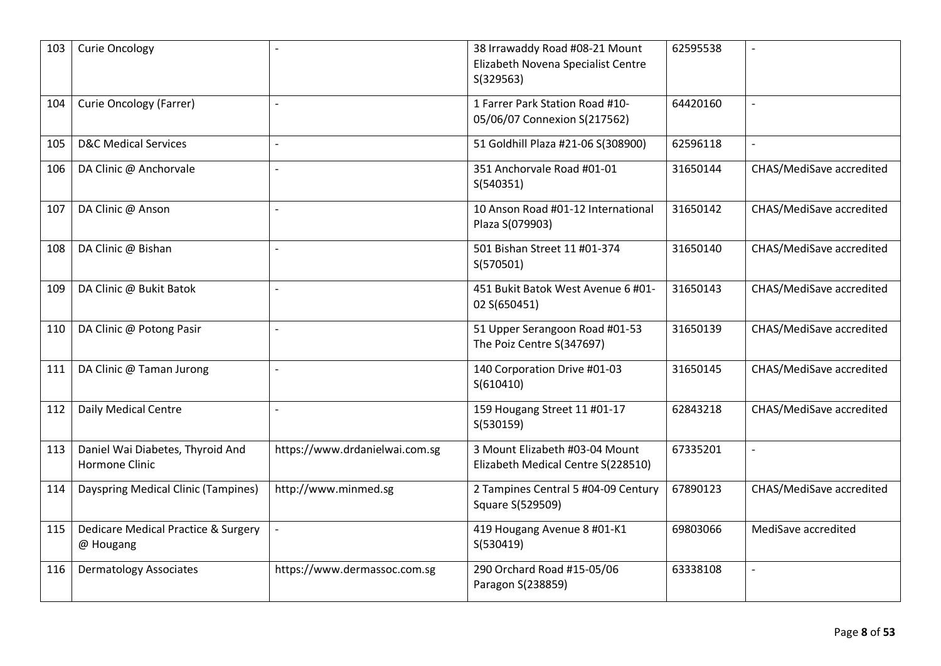| 103 | <b>Curie Oncology</b>                                     |                                | 38 Irrawaddy Road #08-21 Mount<br>Elizabeth Novena Specialist Centre<br>S(329563) | 62595538 |                          |
|-----|-----------------------------------------------------------|--------------------------------|-----------------------------------------------------------------------------------|----------|--------------------------|
| 104 | Curie Oncology (Farrer)                                   | $\overline{a}$                 | 1 Farrer Park Station Road #10-<br>05/06/07 Connexion S(217562)                   | 64420160 |                          |
| 105 | <b>D&amp;C Medical Services</b>                           | $\overline{a}$                 | 51 Goldhill Plaza #21-06 S(308900)                                                | 62596118 | $\overline{a}$           |
| 106 | DA Clinic @ Anchorvale                                    | $\overline{\phantom{a}}$       | 351 Anchorvale Road #01-01<br>S(540351)                                           | 31650144 | CHAS/MediSave accredited |
| 107 | DA Clinic @ Anson                                         | $\overline{a}$                 | 10 Anson Road #01-12 International<br>Plaza S(079903)                             | 31650142 | CHAS/MediSave accredited |
| 108 | DA Clinic @ Bishan                                        |                                | 501 Bishan Street 11 #01-374<br>S(570501)                                         | 31650140 | CHAS/MediSave accredited |
| 109 | DA Clinic @ Bukit Batok                                   | $\overline{a}$                 | 451 Bukit Batok West Avenue 6 #01-<br>02 S(650451)                                | 31650143 | CHAS/MediSave accredited |
| 110 | DA Clinic @ Potong Pasir                                  | $\overline{a}$                 | 51 Upper Serangoon Road #01-53<br>The Poiz Centre S(347697)                       | 31650139 | CHAS/MediSave accredited |
| 111 | DA Clinic @ Taman Jurong                                  | $\overline{a}$                 | 140 Corporation Drive #01-03<br>S(610410)                                         | 31650145 | CHAS/MediSave accredited |
| 112 | <b>Daily Medical Centre</b>                               |                                | 159 Hougang Street 11 #01-17<br>S(530159)                                         | 62843218 | CHAS/MediSave accredited |
| 113 | Daniel Wai Diabetes, Thyroid And<br><b>Hormone Clinic</b> | https://www.drdanielwai.com.sg | 3 Mount Elizabeth #03-04 Mount<br>Elizabeth Medical Centre S(228510)              | 67335201 | $\overline{a}$           |
| 114 | Dayspring Medical Clinic (Tampines)                       | http://www.minmed.sg           | 2 Tampines Central 5 #04-09 Century<br>Square S(529509)                           | 67890123 | CHAS/MediSave accredited |
| 115 | Dedicare Medical Practice & Surgery<br>@ Hougang          |                                | 419 Hougang Avenue 8 #01-K1<br>S(530419)                                          | 69803066 | MediSave accredited      |
| 116 | <b>Dermatology Associates</b>                             | https://www.dermassoc.com.sg   | 290 Orchard Road #15-05/06<br>Paragon S(238859)                                   | 63338108 | $\overline{a}$           |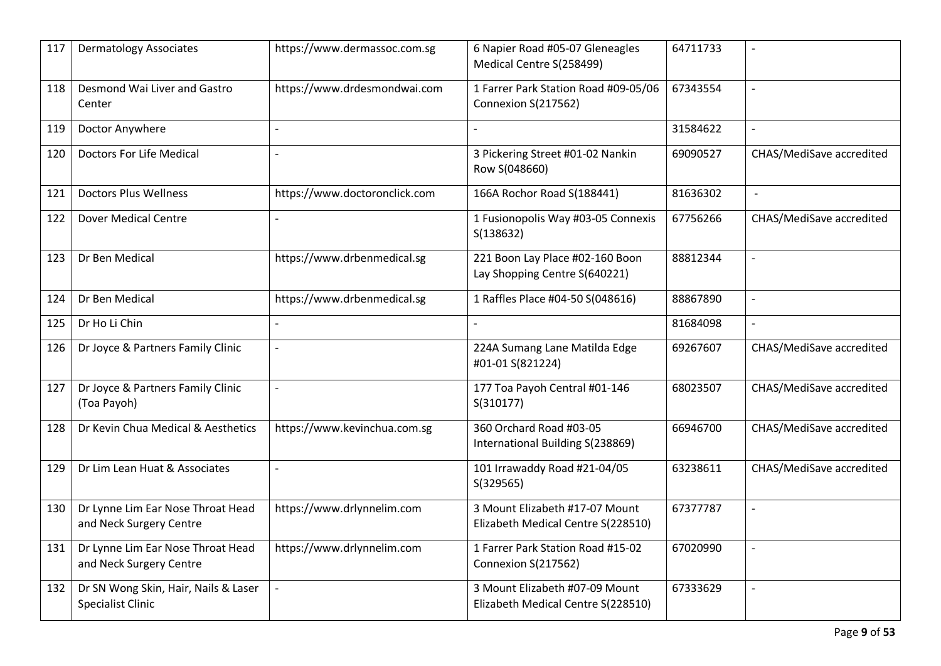| 117 | <b>Dermatology Associates</b>                                    | https://www.dermassoc.com.sg  | 6 Napier Road #05-07 Gleneagles<br>Medical Centre S(258499)          | 64711733 | $\overline{\phantom{a}}$ |
|-----|------------------------------------------------------------------|-------------------------------|----------------------------------------------------------------------|----------|--------------------------|
| 118 | Desmond Wai Liver and Gastro<br>Center                           | https://www.drdesmondwai.com  | 1 Farrer Park Station Road #09-05/06<br>Connexion S(217562)          | 67343554 | $\blacksquare$           |
| 119 | Doctor Anywhere                                                  | $\overline{a}$                |                                                                      | 31584622 | $\mathbf{r}$             |
| 120 | <b>Doctors For Life Medical</b>                                  |                               | 3 Pickering Street #01-02 Nankin<br>Row S(048660)                    | 69090527 | CHAS/MediSave accredited |
| 121 | <b>Doctors Plus Wellness</b>                                     | https://www.doctoronclick.com | 166A Rochor Road S(188441)                                           | 81636302 | $\blacksquare$           |
| 122 | <b>Dover Medical Centre</b>                                      |                               | 1 Fusionopolis Way #03-05 Connexis<br>S(138632)                      | 67756266 | CHAS/MediSave accredited |
| 123 | Dr Ben Medical                                                   | https://www.drbenmedical.sg   | 221 Boon Lay Place #02-160 Boon<br>Lay Shopping Centre S(640221)     | 88812344 | $\blacksquare$           |
| 124 | Dr Ben Medical                                                   | https://www.drbenmedical.sg   | 1 Raffles Place #04-50 S(048616)                                     | 88867890 | $\blacksquare$           |
| 125 | Dr Ho Li Chin                                                    | $\overline{a}$                |                                                                      | 81684098 | $\overline{a}$           |
| 126 | Dr Joyce & Partners Family Clinic                                |                               | 224A Sumang Lane Matilda Edge<br>#01-01 S(821224)                    | 69267607 | CHAS/MediSave accredited |
| 127 | Dr Joyce & Partners Family Clinic<br>(Toa Payoh)                 |                               | 177 Toa Payoh Central #01-146<br>S(310177)                           | 68023507 | CHAS/MediSave accredited |
| 128 | Dr Kevin Chua Medical & Aesthetics                               | https://www.kevinchua.com.sg  | 360 Orchard Road #03-05<br>International Building S(238869)          | 66946700 | CHAS/MediSave accredited |
| 129 | Dr Lim Lean Huat & Associates                                    | $\overline{\phantom{0}}$      | 101 Irrawaddy Road #21-04/05<br>S(329565)                            | 63238611 | CHAS/MediSave accredited |
| 130 | Dr Lynne Lim Ear Nose Throat Head<br>and Neck Surgery Centre     | https://www.drlynnelim.com    | 3 Mount Elizabeth #17-07 Mount<br>Elizabeth Medical Centre S(228510) | 67377787 | $\mathbb{Z}^2$           |
| 131 | Dr Lynne Lim Ear Nose Throat Head<br>and Neck Surgery Centre     | https://www.drlynnelim.com    | 1 Farrer Park Station Road #15-02<br>Connexion S(217562)             | 67020990 | $\overline{a}$           |
| 132 | Dr SN Wong Skin, Hair, Nails & Laser<br><b>Specialist Clinic</b> |                               | 3 Mount Elizabeth #07-09 Mount<br>Elizabeth Medical Centre S(228510) | 67333629 | $\overline{\phantom{a}}$ |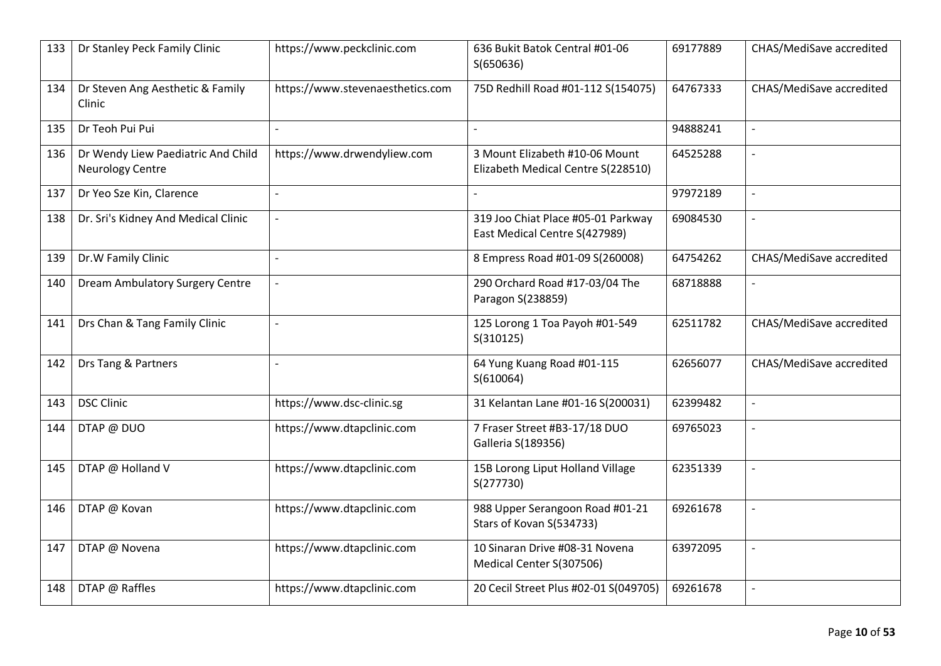| 133 | Dr Stanley Peck Family Clinic                                 | https://www.peckclinic.com       | 636 Bukit Batok Central #01-06<br>S(650636)                          | 69177889 | CHAS/MediSave accredited |
|-----|---------------------------------------------------------------|----------------------------------|----------------------------------------------------------------------|----------|--------------------------|
| 134 | Dr Steven Ang Aesthetic & Family<br>Clinic                    | https://www.stevenaesthetics.com | 75D Redhill Road #01-112 S(154075)                                   | 64767333 | CHAS/MediSave accredited |
| 135 | Dr Teoh Pui Pui                                               |                                  |                                                                      | 94888241 |                          |
| 136 | Dr Wendy Liew Paediatric And Child<br><b>Neurology Centre</b> | https://www.drwendyliew.com      | 3 Mount Elizabeth #10-06 Mount<br>Elizabeth Medical Centre S(228510) | 64525288 |                          |
| 137 | Dr Yeo Sze Kin, Clarence                                      | $\overline{a}$                   |                                                                      | 97972189 | $\overline{\phantom{a}}$ |
| 138 | Dr. Sri's Kidney And Medical Clinic                           | $\overline{a}$                   | 319 Joo Chiat Place #05-01 Parkway<br>East Medical Centre S(427989)  | 69084530 | $\overline{a}$           |
| 139 | Dr.W Family Clinic                                            | $\overline{\phantom{a}}$         | 8 Empress Road #01-09 S(260008)                                      | 64754262 | CHAS/MediSave accredited |
| 140 | <b>Dream Ambulatory Surgery Centre</b>                        | $\overline{\phantom{a}}$         | 290 Orchard Road #17-03/04 The<br>Paragon S(238859)                  | 68718888 | $\overline{\phantom{a}}$ |
| 141 | Drs Chan & Tang Family Clinic                                 | $\overline{\phantom{a}}$         | 125 Lorong 1 Toa Payoh #01-549<br>S(310125)                          | 62511782 | CHAS/MediSave accredited |
| 142 | Drs Tang & Partners                                           |                                  | 64 Yung Kuang Road #01-115<br>S(610064)                              | 62656077 | CHAS/MediSave accredited |
| 143 | <b>DSC Clinic</b>                                             | https://www.dsc-clinic.sg        | 31 Kelantan Lane #01-16 S(200031)                                    | 62399482 | $\blacksquare$           |
| 144 | DTAP @ DUO                                                    | https://www.dtapclinic.com       | 7 Fraser Street #B3-17/18 DUO<br>Galleria S(189356)                  | 69765023 | $\overline{\phantom{a}}$ |
| 145 | DTAP @ Holland V                                              | https://www.dtapclinic.com       | 15B Lorong Liput Holland Village<br>S(277730)                        | 62351339 |                          |
| 146 | DTAP @ Kovan                                                  | https://www.dtapclinic.com       | 988 Upper Serangoon Road #01-21<br>Stars of Kovan S(534733)          | 69261678 | $\overline{\phantom{a}}$ |
| 147 | DTAP @ Novena                                                 | https://www.dtapclinic.com       | 10 Sinaran Drive #08-31 Novena<br>Medical Center S(307506)           | 63972095 | $\blacksquare$           |
| 148 | DTAP @ Raffles                                                | https://www.dtapclinic.com       | 20 Cecil Street Plus #02-01 S(049705)                                | 69261678 |                          |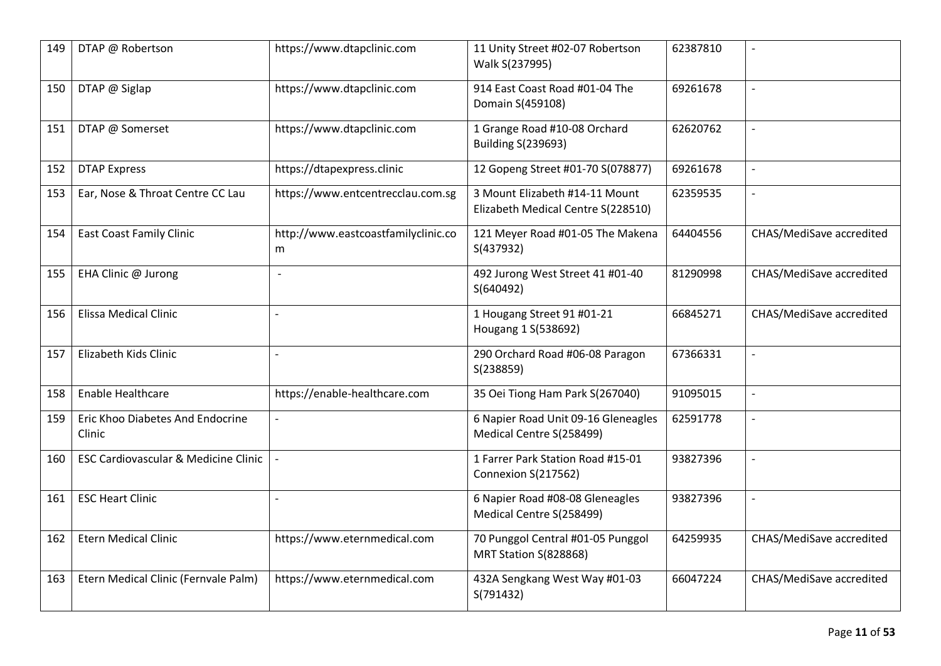| 149 | DTAP @ Robertson                                | https://www.dtapclinic.com               | 11 Unity Street #02-07 Robertson<br>Walk S(237995)                   | 62387810 |                          |
|-----|-------------------------------------------------|------------------------------------------|----------------------------------------------------------------------|----------|--------------------------|
| 150 | DTAP @ Siglap                                   | https://www.dtapclinic.com               | 914 East Coast Road #01-04 The<br>Domain S(459108)                   | 69261678 | $\overline{\phantom{a}}$ |
| 151 | DTAP @ Somerset                                 | https://www.dtapclinic.com               | 1 Grange Road #10-08 Orchard<br><b>Building S(239693)</b>            | 62620762 | $\overline{\phantom{a}}$ |
| 152 | <b>DTAP Express</b>                             | https://dtapexpress.clinic               | 12 Gopeng Street #01-70 S(078877)                                    | 69261678 | $\blacksquare$           |
| 153 | Ear, Nose & Throat Centre CC Lau                | https://www.entcentrecclau.com.sg        | 3 Mount Elizabeth #14-11 Mount<br>Elizabeth Medical Centre S(228510) | 62359535 | $\overline{a}$           |
| 154 | <b>East Coast Family Clinic</b>                 | http://www.eastcoastfamilyclinic.co<br>m | 121 Meyer Road #01-05 The Makena<br>S(437932)                        | 64404556 | CHAS/MediSave accredited |
| 155 | EHA Clinic @ Jurong                             | $\sim$                                   | 492 Jurong West Street 41 #01-40<br>S(640492)                        | 81290998 | CHAS/MediSave accredited |
| 156 | <b>Elissa Medical Clinic</b>                    |                                          | 1 Hougang Street 91 #01-21<br>Hougang 1 S(538692)                    | 66845271 | CHAS/MediSave accredited |
| 157 | Elizabeth Kids Clinic                           | $\overline{a}$                           | 290 Orchard Road #06-08 Paragon<br>S(238859)                         | 67366331 |                          |
| 158 | <b>Enable Healthcare</b>                        | https://enable-healthcare.com            | 35 Oei Tiong Ham Park S(267040)                                      | 91095015 | $\blacksquare$           |
| 159 | Eric Khoo Diabetes And Endocrine<br>Clinic      | $\overline{a}$                           | 6 Napier Road Unit 09-16 Gleneagles<br>Medical Centre S(258499)      | 62591778 | $\overline{\phantom{a}}$ |
| 160 | <b>ESC Cardiovascular &amp; Medicine Clinic</b> |                                          | 1 Farrer Park Station Road #15-01<br>Connexion S(217562)             | 93827396 |                          |
| 161 | <b>ESC Heart Clinic</b>                         | $\overline{\phantom{a}}$                 | 6 Napier Road #08-08 Gleneagles<br>Medical Centre S(258499)          | 93827396 | $\blacksquare$           |
| 162 | <b>Etern Medical Clinic</b>                     | https://www.eternmedical.com             | 70 Punggol Central #01-05 Punggol<br>MRT Station S(828868)           | 64259935 | CHAS/MediSave accredited |
| 163 | Etern Medical Clinic (Fernvale Palm)            | https://www.eternmedical.com             | 432A Sengkang West Way #01-03<br>S(791432)                           | 66047224 | CHAS/MediSave accredited |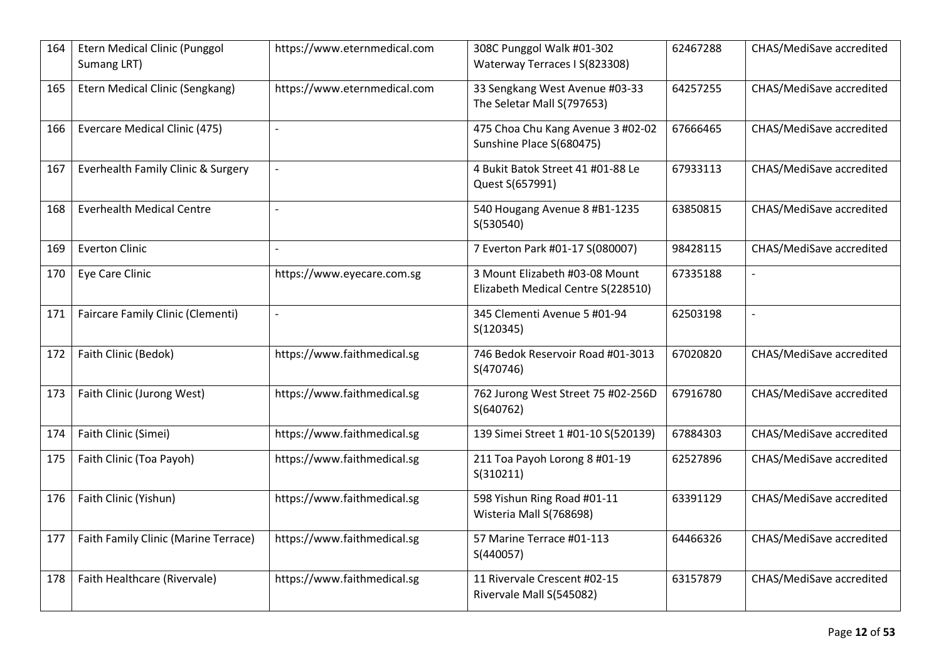| 164 | <b>Etern Medical Clinic (Punggol</b><br>Sumang LRT) | https://www.eternmedical.com | 308C Punggol Walk #01-302<br>Waterway Terraces I S(823308)           | 62467288 | CHAS/MediSave accredited |
|-----|-----------------------------------------------------|------------------------------|----------------------------------------------------------------------|----------|--------------------------|
| 165 | Etern Medical Clinic (Sengkang)                     | https://www.eternmedical.com | 33 Sengkang West Avenue #03-33<br>The Seletar Mall S(797653)         | 64257255 | CHAS/MediSave accredited |
| 166 | Evercare Medical Clinic (475)                       | $\overline{a}$               | 475 Choa Chu Kang Avenue 3 #02-02<br>Sunshine Place S(680475)        | 67666465 | CHAS/MediSave accredited |
| 167 | Everhealth Family Clinic & Surgery                  |                              | 4 Bukit Batok Street 41 #01-88 Le<br>Quest S(657991)                 | 67933113 | CHAS/MediSave accredited |
| 168 | <b>Everhealth Medical Centre</b>                    | $\overline{\phantom{a}}$     | 540 Hougang Avenue 8 #B1-1235<br>S(530540)                           | 63850815 | CHAS/MediSave accredited |
| 169 | <b>Everton Clinic</b>                               |                              | 7 Everton Park #01-17 S(080007)                                      | 98428115 | CHAS/MediSave accredited |
| 170 | Eye Care Clinic                                     | https://www.eyecare.com.sg   | 3 Mount Elizabeth #03-08 Mount<br>Elizabeth Medical Centre S(228510) | 67335188 | $\overline{\phantom{a}}$ |
| 171 | <b>Faircare Family Clinic (Clementi)</b>            |                              | 345 Clementi Avenue 5 #01-94<br>S(120345)                            | 62503198 |                          |
| 172 | Faith Clinic (Bedok)                                | https://www.faithmedical.sg  | 746 Bedok Reservoir Road #01-3013<br>S(470746)                       | 67020820 | CHAS/MediSave accredited |
| 173 | Faith Clinic (Jurong West)                          | https://www.faithmedical.sg  | 762 Jurong West Street 75 #02-256D<br>S(640762)                      | 67916780 | CHAS/MediSave accredited |
| 174 | Faith Clinic (Simei)                                | https://www.faithmedical.sg  | 139 Simei Street 1 #01-10 S(520139)                                  | 67884303 | CHAS/MediSave accredited |
| 175 | Faith Clinic (Toa Payoh)                            | https://www.faithmedical.sg  | 211 Toa Payoh Lorong 8 #01-19<br>S(310211)                           | 62527896 | CHAS/MediSave accredited |
| 176 | Faith Clinic (Yishun)                               | https://www.faithmedical.sg  | 598 Yishun Ring Road #01-11<br>Wisteria Mall S(768698)               | 63391129 | CHAS/MediSave accredited |
| 177 | Faith Family Clinic (Marine Terrace)                | https://www.faithmedical.sg  | 57 Marine Terrace #01-113<br>S(440057)                               | 64466326 | CHAS/MediSave accredited |
| 178 | Faith Healthcare (Rivervale)                        | https://www.faithmedical.sg  | 11 Rivervale Crescent #02-15<br>Rivervale Mall S(545082)             | 63157879 | CHAS/MediSave accredited |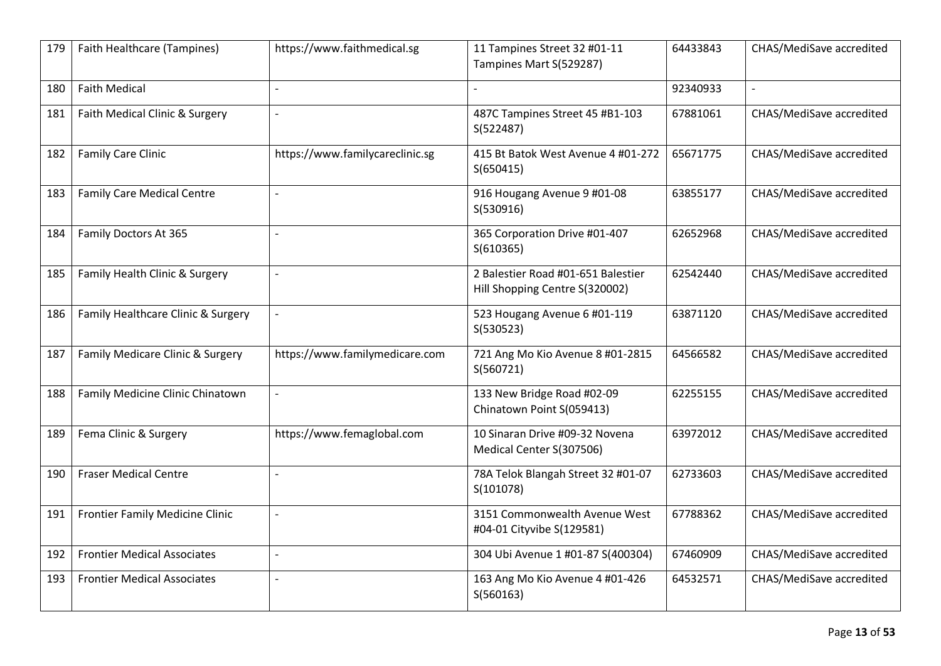| 179 | <b>Faith Healthcare (Tampines)</b> | https://www.faithmedical.sg     | 11 Tampines Street 32 #01-11<br>Tampines Mart S(529287)              | 64433843 | CHAS/MediSave accredited |
|-----|------------------------------------|---------------------------------|----------------------------------------------------------------------|----------|--------------------------|
| 180 | <b>Faith Medical</b>               | $\overline{a}$                  |                                                                      | 92340933 | $\overline{\phantom{a}}$ |
| 181 | Faith Medical Clinic & Surgery     | $\overline{a}$                  | 487C Tampines Street 45 #B1-103<br>S(522487)                         | 67881061 | CHAS/MediSave accredited |
| 182 | <b>Family Care Clinic</b>          | https://www.familycareclinic.sg | 415 Bt Batok West Avenue 4 #01-272<br>S(650415)                      | 65671775 | CHAS/MediSave accredited |
| 183 | <b>Family Care Medical Centre</b>  | $\overline{a}$                  | 916 Hougang Avenue 9 #01-08<br>S(530916)                             | 63855177 | CHAS/MediSave accredited |
| 184 | Family Doctors At 365              |                                 | 365 Corporation Drive #01-407<br>S(610365)                           | 62652968 | CHAS/MediSave accredited |
| 185 | Family Health Clinic & Surgery     | $\overline{a}$                  | 2 Balestier Road #01-651 Balestier<br>Hill Shopping Centre S(320002) | 62542440 | CHAS/MediSave accredited |
| 186 | Family Healthcare Clinic & Surgery |                                 | 523 Hougang Avenue 6 #01-119<br>S(530523)                            | 63871120 | CHAS/MediSave accredited |
| 187 | Family Medicare Clinic & Surgery   | https://www.familymedicare.com  | 721 Ang Mo Kio Avenue 8 #01-2815<br>S(560721)                        | 64566582 | CHAS/MediSave accredited |
| 188 | Family Medicine Clinic Chinatown   | $\blacksquare$                  | 133 New Bridge Road #02-09<br>Chinatown Point S(059413)              | 62255155 | CHAS/MediSave accredited |
| 189 | Fema Clinic & Surgery              | https://www.femaglobal.com      | 10 Sinaran Drive #09-32 Novena<br>Medical Center S(307506)           | 63972012 | CHAS/MediSave accredited |
| 190 | <b>Fraser Medical Centre</b>       | $\overline{a}$                  | 78A Telok Blangah Street 32 #01-07<br>S(101078)                      | 62733603 | CHAS/MediSave accredited |
| 191 | Frontier Family Medicine Clinic    | $\overline{a}$                  | 3151 Commonwealth Avenue West<br>#04-01 Cityvibe S(129581)           | 67788362 | CHAS/MediSave accredited |
| 192 | <b>Frontier Medical Associates</b> | $\overline{\phantom{a}}$        | 304 Ubi Avenue 1 #01-87 S(400304)                                    | 67460909 | CHAS/MediSave accredited |
| 193 | <b>Frontier Medical Associates</b> | $\overline{a}$                  | 163 Ang Mo Kio Avenue 4 #01-426<br>S(560163)                         | 64532571 | CHAS/MediSave accredited |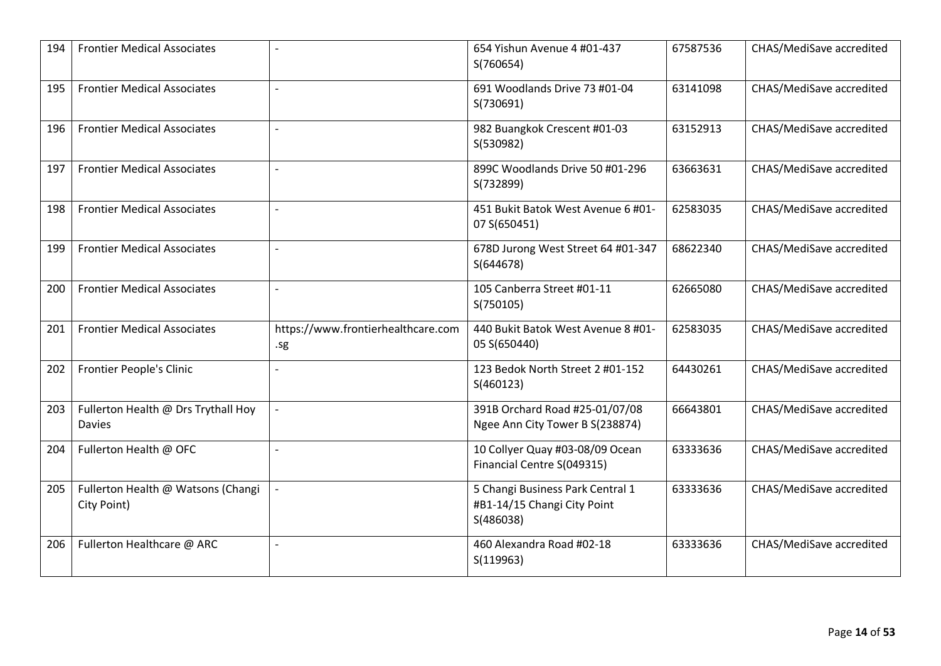| 194 | <b>Frontier Medical Associates</b>                   |                                           | 654 Yishun Avenue 4 #01-437<br>S(760654)                                     | 67587536 | CHAS/MediSave accredited |
|-----|------------------------------------------------------|-------------------------------------------|------------------------------------------------------------------------------|----------|--------------------------|
| 195 | <b>Frontier Medical Associates</b>                   |                                           | 691 Woodlands Drive 73 #01-04<br>S(730691)                                   | 63141098 | CHAS/MediSave accredited |
| 196 | <b>Frontier Medical Associates</b>                   | $\overline{a}$                            | 982 Buangkok Crescent #01-03<br>S(530982)                                    | 63152913 | CHAS/MediSave accredited |
| 197 | <b>Frontier Medical Associates</b>                   | $\overline{a}$                            | 899C Woodlands Drive 50 #01-296<br>S(732899)                                 | 63663631 | CHAS/MediSave accredited |
| 198 | <b>Frontier Medical Associates</b>                   |                                           | 451 Bukit Batok West Avenue 6 #01-<br>07 S(650451)                           | 62583035 | CHAS/MediSave accredited |
| 199 | <b>Frontier Medical Associates</b>                   |                                           | 678D Jurong West Street 64 #01-347<br>S(644678)                              | 68622340 | CHAS/MediSave accredited |
| 200 | <b>Frontier Medical Associates</b>                   |                                           | 105 Canberra Street #01-11<br>S(750105)                                      | 62665080 | CHAS/MediSave accredited |
| 201 | <b>Frontier Medical Associates</b>                   | https://www.frontierhealthcare.com<br>.sg | 440 Bukit Batok West Avenue 8 #01-<br>05 S(650440)                           | 62583035 | CHAS/MediSave accredited |
| 202 | <b>Frontier People's Clinic</b>                      |                                           | 123 Bedok North Street 2 #01-152<br>S(460123)                                | 64430261 | CHAS/MediSave accredited |
| 203 | Fullerton Health @ Drs Trythall Hoy<br><b>Davies</b> |                                           | 391B Orchard Road #25-01/07/08<br>Ngee Ann City Tower B S(238874)            | 66643801 | CHAS/MediSave accredited |
| 204 | Fullerton Health @ OFC                               |                                           | 10 Collyer Quay #03-08/09 Ocean<br>Financial Centre S(049315)                | 63333636 | CHAS/MediSave accredited |
| 205 | Fullerton Health @ Watsons (Changi<br>City Point)    |                                           | 5 Changi Business Park Central 1<br>#B1-14/15 Changi City Point<br>S(486038) | 63333636 | CHAS/MediSave accredited |
| 206 | Fullerton Healthcare @ ARC                           | $\overline{\phantom{a}}$                  | 460 Alexandra Road #02-18<br>S(119963)                                       | 63333636 | CHAS/MediSave accredited |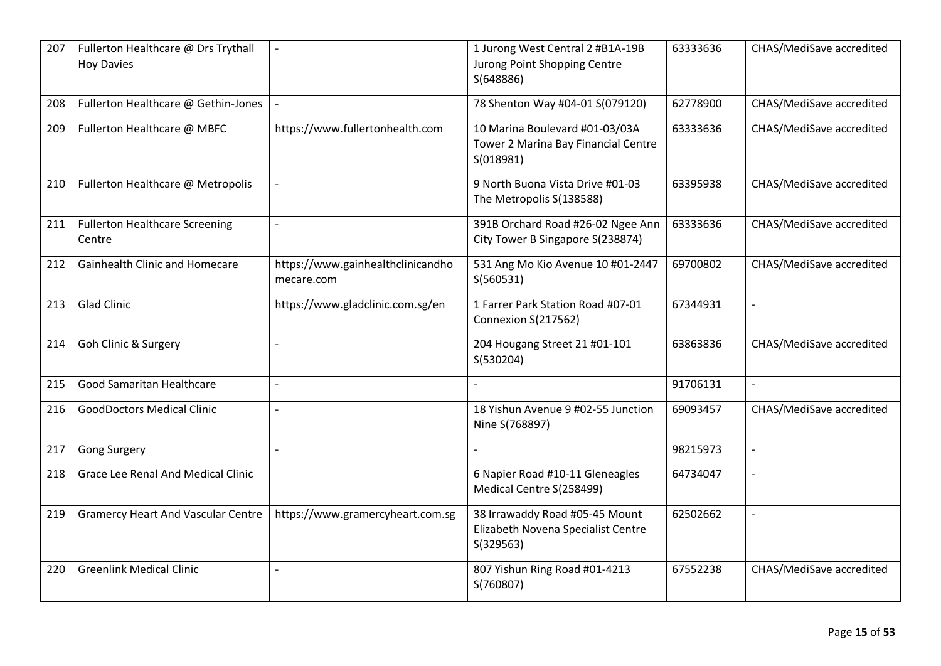| 207 | Fullerton Healthcare @ Drs Trythall<br><b>Hoy Davies</b> |                                                 | 1 Jurong West Central 2 #B1A-19B<br>Jurong Point Shopping Centre<br>S(648886)      | 63333636 | CHAS/MediSave accredited |
|-----|----------------------------------------------------------|-------------------------------------------------|------------------------------------------------------------------------------------|----------|--------------------------|
| 208 | Fullerton Healthcare @ Gethin-Jones                      |                                                 | 78 Shenton Way #04-01 S(079120)                                                    | 62778900 | CHAS/MediSave accredited |
| 209 | Fullerton Healthcare @ MBFC                              | https://www.fullertonhealth.com                 | 10 Marina Boulevard #01-03/03A<br>Tower 2 Marina Bay Financial Centre<br>S(018981) | 63333636 | CHAS/MediSave accredited |
| 210 | Fullerton Healthcare @ Metropolis                        |                                                 | 9 North Buona Vista Drive #01-03<br>The Metropolis S(138588)                       | 63395938 | CHAS/MediSave accredited |
| 211 | <b>Fullerton Healthcare Screening</b><br>Centre          | $\overline{\phantom{a}}$                        | 391B Orchard Road #26-02 Ngee Ann<br>City Tower B Singapore S(238874)              | 63333636 | CHAS/MediSave accredited |
| 212 | <b>Gainhealth Clinic and Homecare</b>                    | https://www.gainhealthclinicandho<br>mecare.com | 531 Ang Mo Kio Avenue 10 #01-2447<br>S(560531)                                     | 69700802 | CHAS/MediSave accredited |
| 213 | <b>Glad Clinic</b>                                       | https://www.gladclinic.com.sg/en                | 1 Farrer Park Station Road #07-01<br>Connexion S(217562)                           | 67344931 | $\overline{a}$           |
| 214 | Goh Clinic & Surgery                                     | $\overline{a}$                                  | 204 Hougang Street 21 #01-101<br>S(530204)                                         | 63863836 | CHAS/MediSave accredited |
| 215 | Good Samaritan Healthcare                                |                                                 |                                                                                    | 91706131 |                          |
| 216 | <b>GoodDoctors Medical Clinic</b>                        | $\overline{a}$                                  | 18 Yishun Avenue 9 #02-55 Junction<br>Nine S(768897)                               | 69093457 | CHAS/MediSave accredited |
| 217 | <b>Gong Surgery</b>                                      | $\overline{a}$                                  |                                                                                    | 98215973 | $\overline{\phantom{m}}$ |
| 218 | Grace Lee Renal And Medical Clinic                       |                                                 | 6 Napier Road #10-11 Gleneagles<br>Medical Centre S(258499)                        | 64734047 | $\overline{\phantom{a}}$ |
| 219 | <b>Gramercy Heart And Vascular Centre</b>                | https://www.gramercyheart.com.sg                | 38 Irrawaddy Road #05-45 Mount<br>Elizabeth Novena Specialist Centre<br>S(329563)  | 62502662 | $\overline{\phantom{a}}$ |
| 220 | <b>Greenlink Medical Clinic</b>                          | $\overline{\phantom{a}}$                        | 807 Yishun Ring Road #01-4213<br>S(760807)                                         | 67552238 | CHAS/MediSave accredited |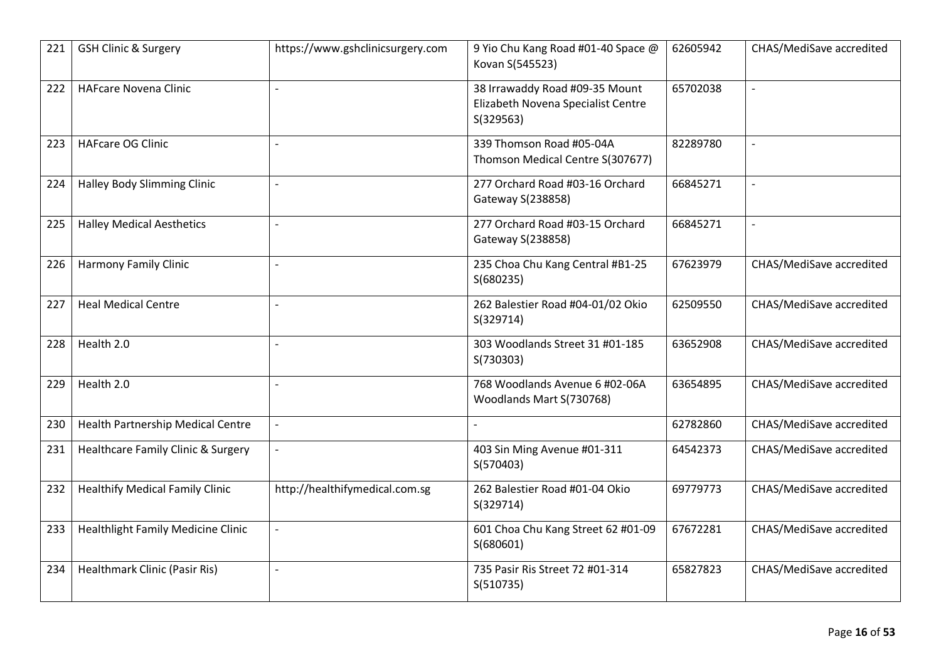| 221 | <b>GSH Clinic &amp; Surgery</b>               | https://www.gshclinicsurgery.com | 9 Yio Chu Kang Road #01-40 Space @<br>Kovan S(545523)                             | 62605942 | CHAS/MediSave accredited |
|-----|-----------------------------------------------|----------------------------------|-----------------------------------------------------------------------------------|----------|--------------------------|
| 222 | <b>HAFcare Novena Clinic</b>                  | $\overline{a}$                   | 38 Irrawaddy Road #09-35 Mount<br>Elizabeth Novena Specialist Centre<br>S(329563) | 65702038 | $\overline{a}$           |
| 223 | <b>HAFcare OG Clinic</b>                      |                                  | 339 Thomson Road #05-04A<br>Thomson Medical Centre S(307677)                      | 82289780 |                          |
| 224 | <b>Halley Body Slimming Clinic</b>            | $\overline{a}$                   | 277 Orchard Road #03-16 Orchard<br>Gateway S(238858)                              | 66845271 | $\blacksquare$           |
| 225 | <b>Halley Medical Aesthetics</b>              | $\overline{a}$                   | 277 Orchard Road #03-15 Orchard<br>Gateway S(238858)                              | 66845271 | $\overline{\phantom{a}}$ |
| 226 | Harmony Family Clinic                         |                                  | 235 Choa Chu Kang Central #B1-25<br>S(680235)                                     | 67623979 | CHAS/MediSave accredited |
| 227 | <b>Heal Medical Centre</b>                    | $\overline{a}$                   | 262 Balestier Road #04-01/02 Okio<br>S(329714)                                    | 62509550 | CHAS/MediSave accredited |
| 228 | Health 2.0                                    | $\overline{a}$                   | 303 Woodlands Street 31 #01-185<br>S(730303)                                      | 63652908 | CHAS/MediSave accredited |
| 229 | Health 2.0                                    |                                  | 768 Woodlands Avenue 6 #02-06A<br>Woodlands Mart S(730768)                        | 63654895 | CHAS/MediSave accredited |
| 230 | Health Partnership Medical Centre             |                                  |                                                                                   | 62782860 | CHAS/MediSave accredited |
| 231 | <b>Healthcare Family Clinic &amp; Surgery</b> | $\overline{a}$                   | 403 Sin Ming Avenue #01-311<br>S(570403)                                          | 64542373 | CHAS/MediSave accredited |
| 232 | <b>Healthify Medical Family Clinic</b>        | http://healthifymedical.com.sg   | 262 Balestier Road #01-04 Okio<br>S(329714)                                       | 69779773 | CHAS/MediSave accredited |
| 233 | <b>Healthlight Family Medicine Clinic</b>     |                                  | 601 Choa Chu Kang Street 62 #01-09<br>S(680601)                                   | 67672281 | CHAS/MediSave accredited |
| 234 | <b>Healthmark Clinic (Pasir Ris)</b>          | $\overline{a}$                   | 735 Pasir Ris Street 72 #01-314<br>S(510735)                                      | 65827823 | CHAS/MediSave accredited |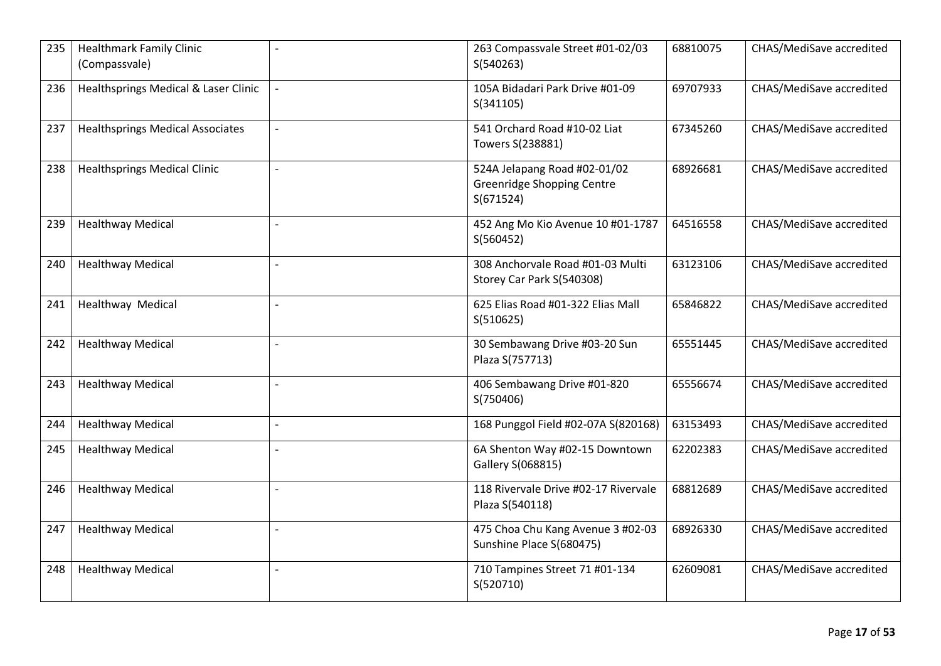| 235 | <b>Healthmark Family Clinic</b><br>(Compassvale) |                          | 263 Compassvale Street #01-02/03<br>S(540263)                                  | 68810075 | CHAS/MediSave accredited |
|-----|--------------------------------------------------|--------------------------|--------------------------------------------------------------------------------|----------|--------------------------|
| 236 | Healthsprings Medical & Laser Clinic             |                          | 105A Bidadari Park Drive #01-09<br>S(341105)                                   | 69707933 | CHAS/MediSave accredited |
| 237 | <b>Healthsprings Medical Associates</b>          |                          | 541 Orchard Road #10-02 Liat<br>Towers S(238881)                               | 67345260 | CHAS/MediSave accredited |
| 238 | <b>Healthsprings Medical Clinic</b>              | $\overline{\phantom{a}}$ | 524A Jelapang Road #02-01/02<br><b>Greenridge Shopping Centre</b><br>S(671524) | 68926681 | CHAS/MediSave accredited |
| 239 | <b>Healthway Medical</b>                         | $\overline{\phantom{a}}$ | 452 Ang Mo Kio Avenue 10 #01-1787<br>S(560452)                                 | 64516558 | CHAS/MediSave accredited |
| 240 | <b>Healthway Medical</b>                         |                          | 308 Anchorvale Road #01-03 Multi<br>Storey Car Park S(540308)                  | 63123106 | CHAS/MediSave accredited |
| 241 | Healthway Medical                                | $\overline{\phantom{a}}$ | 625 Elias Road #01-322 Elias Mall<br>S(510625)                                 | 65846822 | CHAS/MediSave accredited |
| 242 | <b>Healthway Medical</b>                         | $\overline{a}$           | 30 Sembawang Drive #03-20 Sun<br>Plaza S(757713)                               | 65551445 | CHAS/MediSave accredited |
| 243 | <b>Healthway Medical</b>                         |                          | 406 Sembawang Drive #01-820<br>S(750406)                                       | 65556674 | CHAS/MediSave accredited |
| 244 | <b>Healthway Medical</b>                         | $\overline{\phantom{a}}$ | 168 Punggol Field #02-07A S(820168)                                            | 63153493 | CHAS/MediSave accredited |
| 245 | <b>Healthway Medical</b>                         | $\overline{\phantom{a}}$ | 6A Shenton Way #02-15 Downtown<br>Gallery S(068815)                            | 62202383 | CHAS/MediSave accredited |
| 246 | <b>Healthway Medical</b>                         |                          | 118 Rivervale Drive #02-17 Rivervale<br>Plaza S(540118)                        | 68812689 | CHAS/MediSave accredited |
| 247 | <b>Healthway Medical</b>                         | $\overline{\phantom{a}}$ | 475 Choa Chu Kang Avenue 3 #02-03<br>Sunshine Place S(680475)                  | 68926330 | CHAS/MediSave accredited |
| 248 | <b>Healthway Medical</b>                         | $\overline{\phantom{a}}$ | 710 Tampines Street 71 #01-134<br>S(520710)                                    | 62609081 | CHAS/MediSave accredited |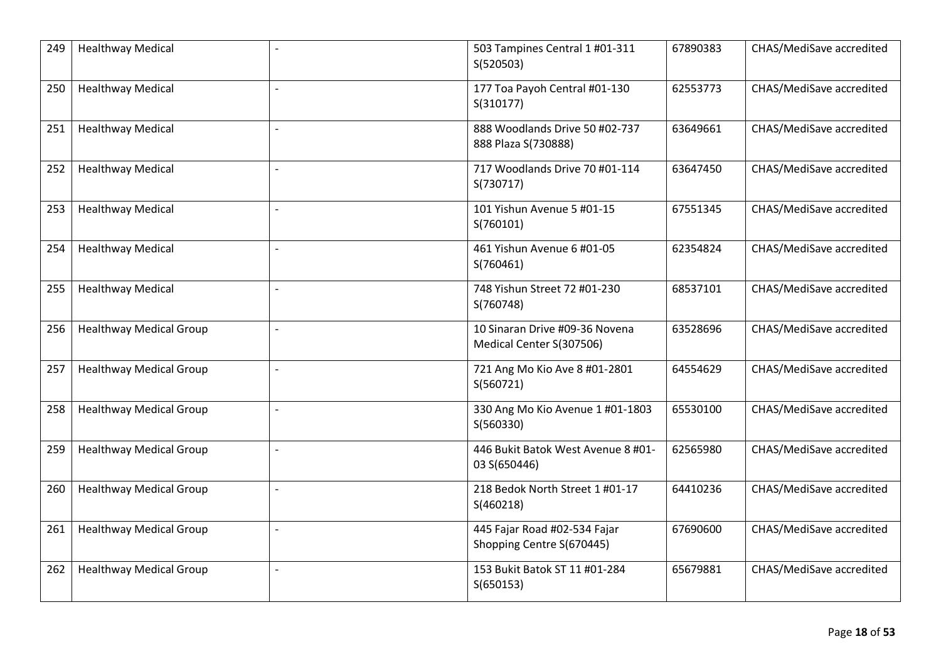| 249 | <b>Healthway Medical</b>       |                          | 503 Tampines Central 1 #01-311<br>S(520503)                | 67890383 | CHAS/MediSave accredited |
|-----|--------------------------------|--------------------------|------------------------------------------------------------|----------|--------------------------|
| 250 | <b>Healthway Medical</b>       | $\overline{a}$           | 177 Toa Payoh Central #01-130<br>S(310177)                 | 62553773 | CHAS/MediSave accredited |
| 251 | <b>Healthway Medical</b>       |                          | 888 Woodlands Drive 50 #02-737<br>888 Plaza S(730888)      | 63649661 | CHAS/MediSave accredited |
| 252 | <b>Healthway Medical</b>       | $\overline{\phantom{a}}$ | 717 Woodlands Drive 70 #01-114<br>S(730717)                | 63647450 | CHAS/MediSave accredited |
| 253 | <b>Healthway Medical</b>       | $\overline{a}$           | 101 Yishun Avenue 5 #01-15<br>S(760101)                    | 67551345 | CHAS/MediSave accredited |
| 254 | <b>Healthway Medical</b>       |                          | 461 Yishun Avenue 6 #01-05<br>S(760461)                    | 62354824 | CHAS/MediSave accredited |
| 255 | <b>Healthway Medical</b>       | $\overline{a}$           | 748 Yishun Street 72 #01-230<br>S(760748)                  | 68537101 | CHAS/MediSave accredited |
| 256 | <b>Healthway Medical Group</b> | $\overline{a}$           | 10 Sinaran Drive #09-36 Novena<br>Medical Center S(307506) | 63528696 | CHAS/MediSave accredited |
| 257 | <b>Healthway Medical Group</b> |                          | 721 Ang Mo Kio Ave 8 #01-2801<br>S(560721)                 | 64554629 | CHAS/MediSave accredited |
| 258 | <b>Healthway Medical Group</b> | $\overline{a}$           | 330 Ang Mo Kio Avenue 1 #01-1803<br>S(560330)              | 65530100 | CHAS/MediSave accredited |
| 259 | <b>Healthway Medical Group</b> | $\overline{a}$           | 446 Bukit Batok West Avenue 8 #01-<br>03 S(650446)         | 62565980 | CHAS/MediSave accredited |
| 260 | <b>Healthway Medical Group</b> |                          | 218 Bedok North Street 1 #01-17<br>S(460218)               | 64410236 | CHAS/MediSave accredited |
| 261 | <b>Healthway Medical Group</b> |                          | 445 Fajar Road #02-534 Fajar<br>Shopping Centre S(670445)  | 67690600 | CHAS/MediSave accredited |
| 262 | <b>Healthway Medical Group</b> | $\overline{a}$           | 153 Bukit Batok ST 11 #01-284<br>S(650153)                 | 65679881 | CHAS/MediSave accredited |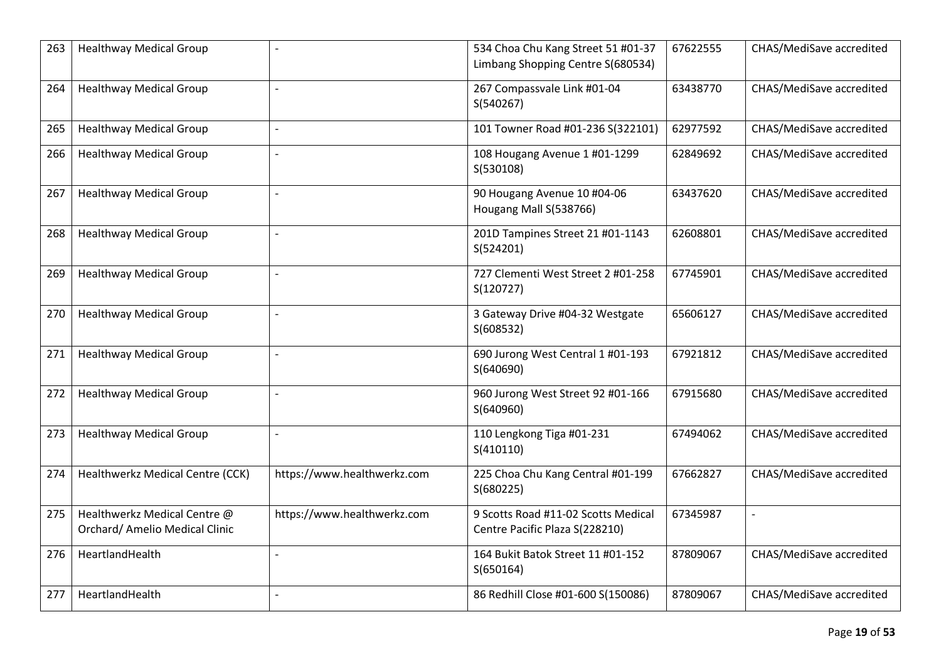| 263 | <b>Healthway Medical Group</b>                                 |                             | 534 Choa Chu Kang Street 51 #01-37<br>Limbang Shopping Centre S(680534) | 67622555 | CHAS/MediSave accredited |
|-----|----------------------------------------------------------------|-----------------------------|-------------------------------------------------------------------------|----------|--------------------------|
| 264 | <b>Healthway Medical Group</b>                                 | $\overline{a}$              | 267 Compassvale Link #01-04<br>S(540267)                                | 63438770 | CHAS/MediSave accredited |
| 265 | <b>Healthway Medical Group</b>                                 | $\overline{a}$              | 101 Towner Road #01-236 S(322101)                                       | 62977592 | CHAS/MediSave accredited |
| 266 | <b>Healthway Medical Group</b>                                 | $\blacksquare$              | 108 Hougang Avenue 1 #01-1299<br>S(530108)                              | 62849692 | CHAS/MediSave accredited |
| 267 | <b>Healthway Medical Group</b>                                 | $\overline{a}$              | 90 Hougang Avenue 10 #04-06<br>Hougang Mall S(538766)                   | 63437620 | CHAS/MediSave accredited |
| 268 | <b>Healthway Medical Group</b>                                 | $\overline{a}$              | 201D Tampines Street 21 #01-1143<br>S(524201)                           | 62608801 | CHAS/MediSave accredited |
| 269 | <b>Healthway Medical Group</b>                                 |                             | 727 Clementi West Street 2 #01-258<br>S(120727)                         | 67745901 | CHAS/MediSave accredited |
| 270 | <b>Healthway Medical Group</b>                                 | $\overline{a}$              | 3 Gateway Drive #04-32 Westgate<br>S(608532)                            | 65606127 | CHAS/MediSave accredited |
| 271 | <b>Healthway Medical Group</b>                                 | $\blacksquare$              | 690 Jurong West Central 1 #01-193<br>S(640690)                          | 67921812 | CHAS/MediSave accredited |
| 272 | <b>Healthway Medical Group</b>                                 | $\overline{a}$              | 960 Jurong West Street 92 #01-166<br>S(640960)                          | 67915680 | CHAS/MediSave accredited |
| 273 | <b>Healthway Medical Group</b>                                 | $\overline{a}$              | 110 Lengkong Tiga #01-231<br>S(410110)                                  | 67494062 | CHAS/MediSave accredited |
| 274 | Healthwerkz Medical Centre (CCK)                               | https://www.healthwerkz.com | 225 Choa Chu Kang Central #01-199<br>S(680225)                          | 67662827 | CHAS/MediSave accredited |
| 275 | Healthwerkz Medical Centre @<br>Orchard/ Amelio Medical Clinic | https://www.healthwerkz.com | 9 Scotts Road #11-02 Scotts Medical<br>Centre Pacific Plaza S(228210)   | 67345987 | $\overline{\phantom{a}}$ |
| 276 | HeartlandHealth                                                | $\overline{a}$              | 164 Bukit Batok Street 11 #01-152<br>S(650164)                          | 87809067 | CHAS/MediSave accredited |
| 277 | HeartlandHealth                                                |                             | 86 Redhill Close #01-600 S(150086)                                      | 87809067 | CHAS/MediSave accredited |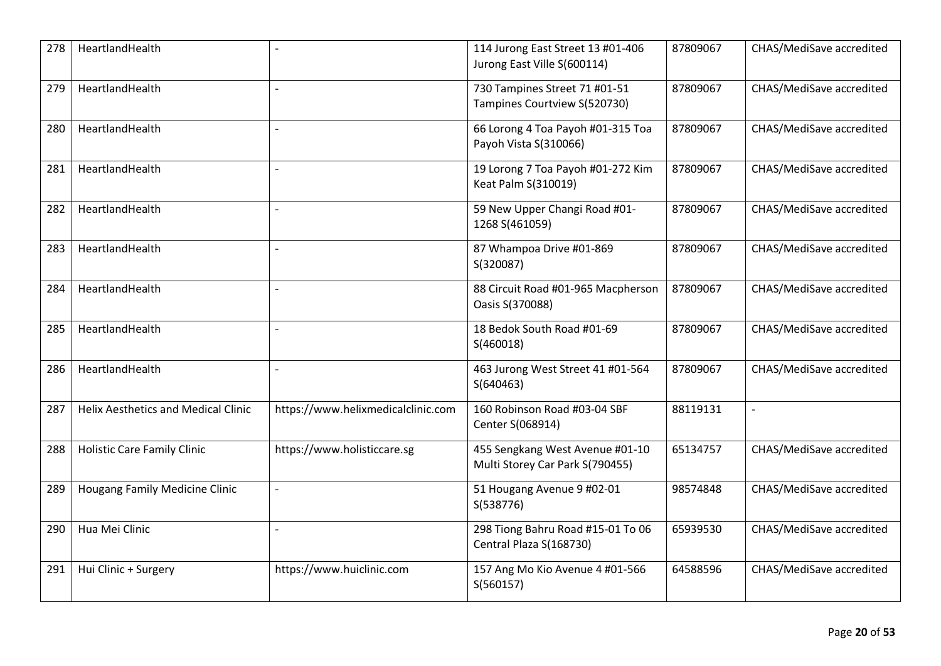| 278 | HeartlandHealth                            |                                    | 114 Jurong East Street 13 #01-406<br>Jurong East Ville S(600114)   | 87809067 | CHAS/MediSave accredited |
|-----|--------------------------------------------|------------------------------------|--------------------------------------------------------------------|----------|--------------------------|
| 279 | HeartlandHealth                            |                                    | 730 Tampines Street 71 #01-51<br>Tampines Courtview S(520730)      | 87809067 | CHAS/MediSave accredited |
| 280 | HeartlandHealth                            |                                    | 66 Lorong 4 Toa Payoh #01-315 Toa<br>Payoh Vista S(310066)         | 87809067 | CHAS/MediSave accredited |
| 281 | HeartlandHealth                            |                                    | 19 Lorong 7 Toa Payoh #01-272 Kim<br>Keat Palm S(310019)           | 87809067 | CHAS/MediSave accredited |
| 282 | HeartlandHealth                            | $\overline{a}$                     | 59 New Upper Changi Road #01-<br>1268 S(461059)                    | 87809067 | CHAS/MediSave accredited |
| 283 | HeartlandHealth                            |                                    | 87 Whampoa Drive #01-869<br>S(320087)                              | 87809067 | CHAS/MediSave accredited |
| 284 | HeartlandHealth                            |                                    | 88 Circuit Road #01-965 Macpherson<br>Oasis S(370088)              | 87809067 | CHAS/MediSave accredited |
| 285 | HeartlandHealth                            | $\overline{\phantom{a}}$           | 18 Bedok South Road #01-69<br>S(460018)                            | 87809067 | CHAS/MediSave accredited |
| 286 | HeartlandHealth                            |                                    | 463 Jurong West Street 41 #01-564<br>S(640463)                     | 87809067 | CHAS/MediSave accredited |
| 287 | <b>Helix Aesthetics and Medical Clinic</b> | https://www.helixmedicalclinic.com | 160 Robinson Road #03-04 SBF<br>Center S(068914)                   | 88119131 | $\overline{a}$           |
| 288 | <b>Holistic Care Family Clinic</b>         | https://www.holisticcare.sg        | 455 Sengkang West Avenue #01-10<br>Multi Storey Car Park S(790455) | 65134757 | CHAS/MediSave accredited |
| 289 | Hougang Family Medicine Clinic             |                                    | 51 Hougang Avenue 9 #02-01<br>S(538776)                            | 98574848 | CHAS/MediSave accredited |
| 290 | Hua Mei Clinic                             |                                    | 298 Tiong Bahru Road #15-01 To 06<br>Central Plaza S(168730)       | 65939530 | CHAS/MediSave accredited |
| 291 | Hui Clinic + Surgery                       | https://www.huiclinic.com          | 157 Ang Mo Kio Avenue 4 #01-566<br>S(560157)                       | 64588596 | CHAS/MediSave accredited |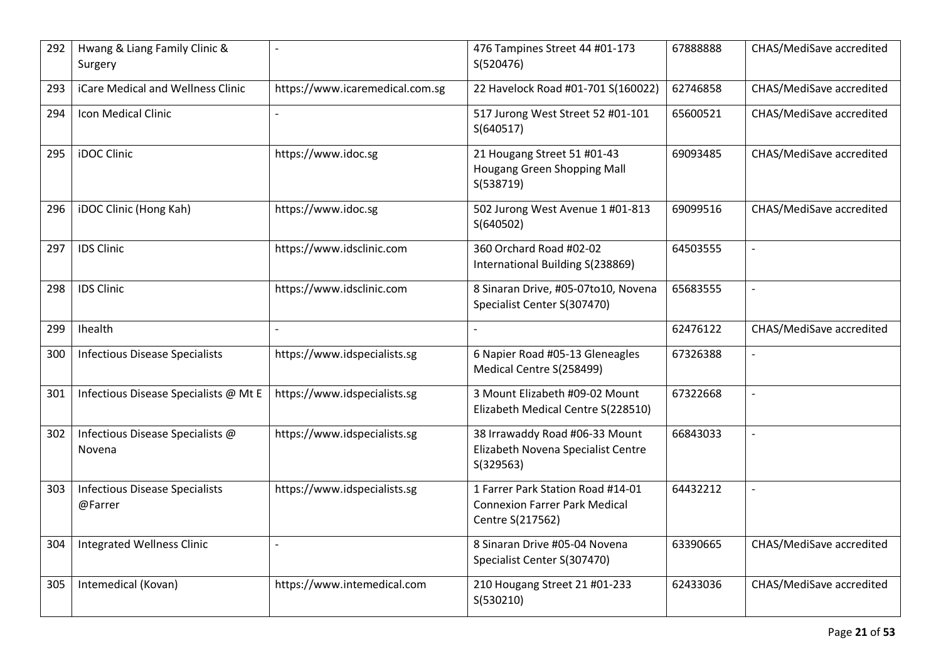| 292 | Hwang & Liang Family Clinic &<br>Surgery         |                                 | 476 Tampines Street 44 #01-173<br>S(520476)                                                   | 67888888 | CHAS/MediSave accredited |
|-----|--------------------------------------------------|---------------------------------|-----------------------------------------------------------------------------------------------|----------|--------------------------|
| 293 | iCare Medical and Wellness Clinic                | https://www.icaremedical.com.sg | 22 Havelock Road #01-701 S(160022)                                                            | 62746858 | CHAS/MediSave accredited |
| 294 | Icon Medical Clinic                              |                                 | 517 Jurong West Street 52 #01-101<br>S(640517)                                                | 65600521 | CHAS/MediSave accredited |
| 295 | iDOC Clinic                                      | https://www.idoc.sg             | 21 Hougang Street 51 #01-43<br>Hougang Green Shopping Mall<br>S(538719)                       | 69093485 | CHAS/MediSave accredited |
| 296 | iDOC Clinic (Hong Kah)                           | https://www.idoc.sg             | 502 Jurong West Avenue 1 #01-813<br>S(640502)                                                 | 69099516 | CHAS/MediSave accredited |
| 297 | <b>IDS Clinic</b>                                | https://www.idsclinic.com       | 360 Orchard Road #02-02<br>International Building S(238869)                                   | 64503555 | $\overline{a}$           |
| 298 | <b>IDS Clinic</b>                                | https://www.idsclinic.com       | 8 Sinaran Drive, #05-07to10, Novena<br>Specialist Center S(307470)                            | 65683555 | $\blacksquare$           |
| 299 | Ihealth                                          | $\overline{\phantom{a}}$        |                                                                                               | 62476122 | CHAS/MediSave accredited |
| 300 | <b>Infectious Disease Specialists</b>            | https://www.idspecialists.sg    | 6 Napier Road #05-13 Gleneagles<br>Medical Centre S(258499)                                   | 67326388 |                          |
| 301 | Infectious Disease Specialists @ Mt E            | https://www.idspecialists.sg    | 3 Mount Elizabeth #09-02 Mount<br>Elizabeth Medical Centre S(228510)                          | 67322668 |                          |
| 302 | Infectious Disease Specialists @<br>Novena       | https://www.idspecialists.sg    | 38 Irrawaddy Road #06-33 Mount<br>Elizabeth Novena Specialist Centre<br>S(329563)             | 66843033 |                          |
| 303 | <b>Infectious Disease Specialists</b><br>@Farrer | https://www.idspecialists.sg    | 1 Farrer Park Station Road #14-01<br><b>Connexion Farrer Park Medical</b><br>Centre S(217562) | 64432212 | $\blacksquare$           |
| 304 | <b>Integrated Wellness Clinic</b>                | $\overline{a}$                  | 8 Sinaran Drive #05-04 Novena<br>Specialist Center S(307470)                                  | 63390665 | CHAS/MediSave accredited |
| 305 | Intemedical (Kovan)                              | https://www.intemedical.com     | 210 Hougang Street 21 #01-233<br>S(530210)                                                    | 62433036 | CHAS/MediSave accredited |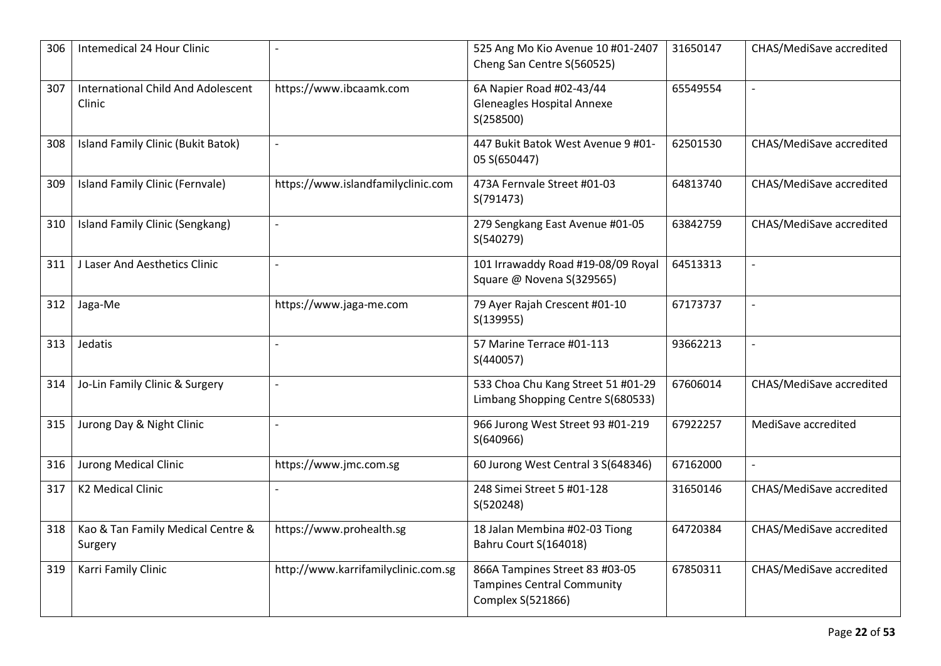| 306 | Intemedical 24 Hour Clinic                          |                                     | 525 Ang Mo Kio Avenue 10 #01-2407<br>Cheng San Centre S(560525)                          | 31650147 | CHAS/MediSave accredited |
|-----|-----------------------------------------------------|-------------------------------------|------------------------------------------------------------------------------------------|----------|--------------------------|
| 307 | <b>International Child And Adolescent</b><br>Clinic | https://www.ibcaamk.com             | 6A Napier Road #02-43/44<br>Gleneagles Hospital Annexe<br>S(258500)                      | 65549554 | $\overline{a}$           |
| 308 | Island Family Clinic (Bukit Batok)                  | $\overline{a}$                      | 447 Bukit Batok West Avenue 9 #01-<br>05 S(650447)                                       | 62501530 | CHAS/MediSave accredited |
| 309 | Island Family Clinic (Fernvale)                     | https://www.islandfamilyclinic.com  | 473A Fernvale Street #01-03<br>S(791473)                                                 | 64813740 | CHAS/MediSave accredited |
| 310 | Island Family Clinic (Sengkang)                     | $\overline{\phantom{a}}$            | 279 Sengkang East Avenue #01-05<br>S(540279)                                             | 63842759 | CHAS/MediSave accredited |
| 311 | J Laser And Aesthetics Clinic                       | $\overline{\phantom{a}}$            | 101 Irrawaddy Road #19-08/09 Royal<br>Square @ Novena S(329565)                          | 64513313 |                          |
| 312 | Jaga-Me                                             | https://www.jaga-me.com             | 79 Ayer Rajah Crescent #01-10<br>S(139955)                                               | 67173737 | $\overline{\phantom{a}}$ |
| 313 | Jedatis                                             | $\overline{a}$                      | 57 Marine Terrace #01-113<br>S(440057)                                                   | 93662213 | $\overline{\phantom{a}}$ |
| 314 | Jo-Lin Family Clinic & Surgery                      | $\overline{a}$                      | 533 Choa Chu Kang Street 51 #01-29<br>Limbang Shopping Centre S(680533)                  | 67606014 | CHAS/MediSave accredited |
| 315 | Jurong Day & Night Clinic                           |                                     | 966 Jurong West Street 93 #01-219<br>S(640966)                                           | 67922257 | MediSave accredited      |
| 316 | Jurong Medical Clinic                               | https://www.jmc.com.sg              | 60 Jurong West Central 3 S(648346)                                                       | 67162000 | $\overline{a}$           |
| 317 | <b>K2 Medical Clinic</b>                            |                                     | 248 Simei Street 5 #01-128<br>S(520248)                                                  | 31650146 | CHAS/MediSave accredited |
| 318 | Kao & Tan Family Medical Centre &<br>Surgery        | https://www.prohealth.sg            | 18 Jalan Membina #02-03 Tiong<br>Bahru Court S(164018)                                   | 64720384 | CHAS/MediSave accredited |
| 319 | Karri Family Clinic                                 | http://www.karrifamilyclinic.com.sg | 866A Tampines Street 83 #03-05<br><b>Tampines Central Community</b><br>Complex S(521866) | 67850311 | CHAS/MediSave accredited |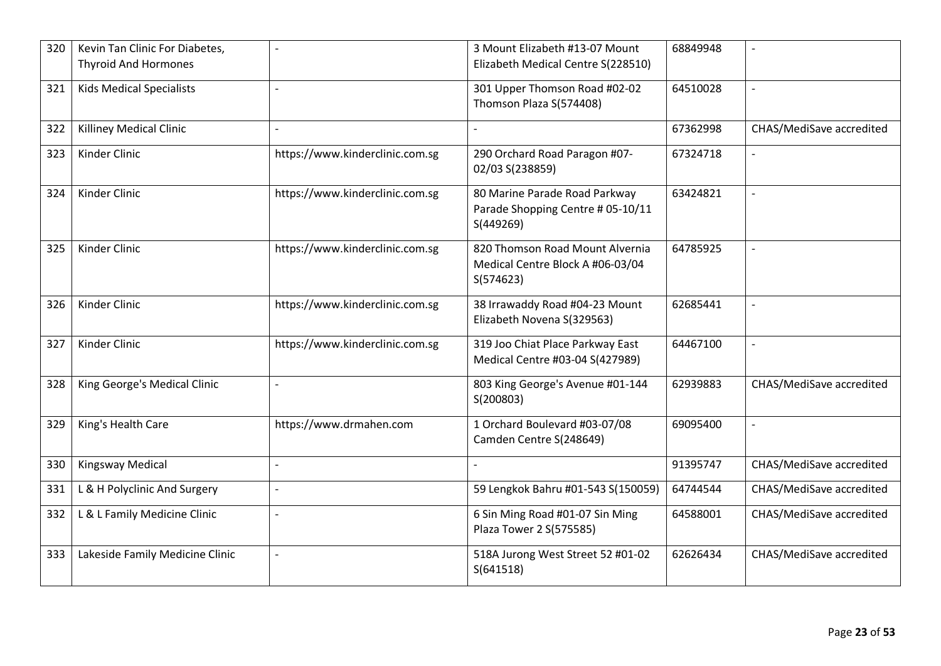| 320 | Kevin Tan Clinic For Diabetes,<br><b>Thyroid And Hormones</b> |                                 | 3 Mount Elizabeth #13-07 Mount<br>Elizabeth Medical Centre S(228510)             | 68849948 |                          |
|-----|---------------------------------------------------------------|---------------------------------|----------------------------------------------------------------------------------|----------|--------------------------|
| 321 | <b>Kids Medical Specialists</b>                               | $\overline{a}$                  | 301 Upper Thomson Road #02-02<br>Thomson Plaza S(574408)                         | 64510028 | $\overline{\phantom{a}}$ |
| 322 | Killiney Medical Clinic                                       | $\overline{a}$                  | $\sim$                                                                           | 67362998 | CHAS/MediSave accredited |
| 323 | Kinder Clinic                                                 | https://www.kinderclinic.com.sg | 290 Orchard Road Paragon #07-<br>02/03 S(238859)                                 | 67324718 |                          |
| 324 | Kinder Clinic                                                 | https://www.kinderclinic.com.sg | 80 Marine Parade Road Parkway<br>Parade Shopping Centre # 05-10/11<br>S(449269)  | 63424821 | $\overline{\phantom{a}}$ |
| 325 | <b>Kinder Clinic</b>                                          | https://www.kinderclinic.com.sg | 820 Thomson Road Mount Alvernia<br>Medical Centre Block A #06-03/04<br>S(574623) | 64785925 |                          |
| 326 | <b>Kinder Clinic</b>                                          | https://www.kinderclinic.com.sg | 38 Irrawaddy Road #04-23 Mount<br>Elizabeth Novena S(329563)                     | 62685441 | $\blacksquare$           |
| 327 | Kinder Clinic                                                 | https://www.kinderclinic.com.sg | 319 Joo Chiat Place Parkway East<br>Medical Centre #03-04 S(427989)              | 64467100 |                          |
| 328 | King George's Medical Clinic                                  | $\overline{\phantom{a}}$        | 803 King George's Avenue #01-144<br>S(200803)                                    | 62939883 | CHAS/MediSave accredited |
| 329 | King's Health Care                                            | https://www.drmahen.com         | 1 Orchard Boulevard #03-07/08<br>Camden Centre S(248649)                         | 69095400 | $\overline{a}$           |
| 330 | Kingsway Medical                                              | $\overline{a}$                  |                                                                                  | 91395747 | CHAS/MediSave accredited |
| 331 | L & H Polyclinic And Surgery                                  | $\overline{a}$                  | 59 Lengkok Bahru #01-543 S(150059)                                               | 64744544 | CHAS/MediSave accredited |
| 332 | L & L Family Medicine Clinic                                  |                                 | 6 Sin Ming Road #01-07 Sin Ming<br>Plaza Tower 2 S(575585)                       | 64588001 | CHAS/MediSave accredited |
| 333 | Lakeside Family Medicine Clinic                               | $\overline{\phantom{a}}$        | 518A Jurong West Street 52 #01-02<br>S(641518)                                   | 62626434 | CHAS/MediSave accredited |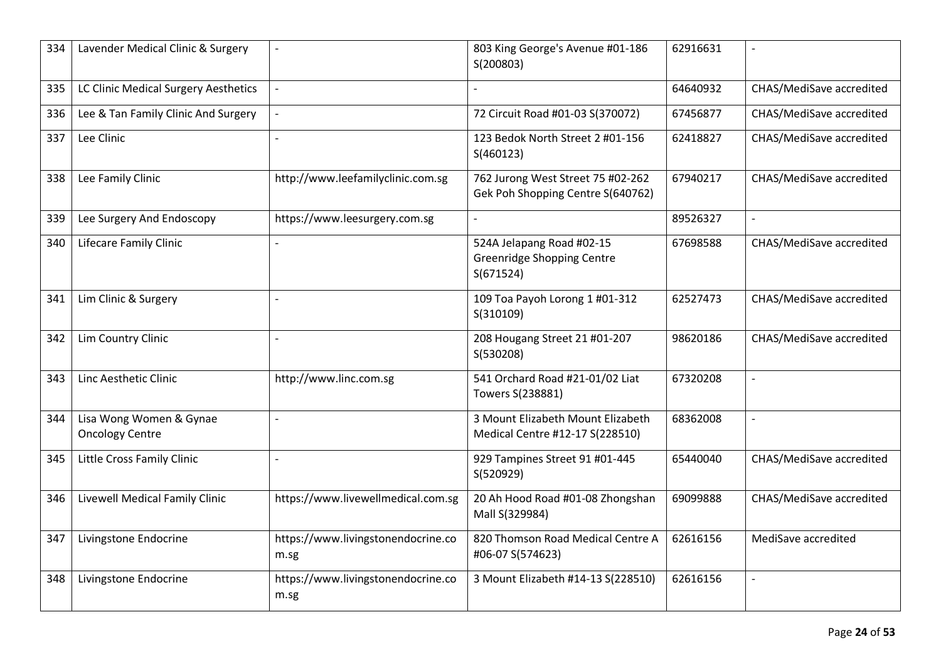| 334 | Lavender Medical Clinic & Surgery                 |                                            | 803 King George's Avenue #01-186<br>S(200803)                          | 62916631 | $\overline{a}$           |
|-----|---------------------------------------------------|--------------------------------------------|------------------------------------------------------------------------|----------|--------------------------|
| 335 | LC Clinic Medical Surgery Aesthetics              | $\mathbf{r}$                               |                                                                        | 64640932 | CHAS/MediSave accredited |
| 336 | Lee & Tan Family Clinic And Surgery               |                                            | 72 Circuit Road #01-03 S(370072)                                       | 67456877 | CHAS/MediSave accredited |
| 337 | Lee Clinic                                        |                                            | 123 Bedok North Street 2 #01-156<br>S(460123)                          | 62418827 | CHAS/MediSave accredited |
| 338 | Lee Family Clinic                                 | http://www.leefamilyclinic.com.sg          | 762 Jurong West Street 75 #02-262<br>Gek Poh Shopping Centre S(640762) | 67940217 | CHAS/MediSave accredited |
| 339 | Lee Surgery And Endoscopy                         | https://www.leesurgery.com.sg              |                                                                        | 89526327 | $\overline{a}$           |
| 340 | Lifecare Family Clinic                            | $\overline{a}$                             | 524A Jelapang Road #02-15<br>Greenridge Shopping Centre<br>S(671524)   | 67698588 | CHAS/MediSave accredited |
| 341 | Lim Clinic & Surgery                              |                                            | 109 Toa Payoh Lorong 1 #01-312<br>S(310109)                            | 62527473 | CHAS/MediSave accredited |
| 342 | Lim Country Clinic                                | $\overline{a}$                             | 208 Hougang Street 21 #01-207<br>S(530208)                             | 98620186 | CHAS/MediSave accredited |
| 343 | Linc Aesthetic Clinic                             | http://www.linc.com.sg                     | 541 Orchard Road #21-01/02 Liat<br>Towers S(238881)                    | 67320208 | $\overline{\phantom{a}}$ |
| 344 | Lisa Wong Women & Gynae<br><b>Oncology Centre</b> | $\overline{a}$                             | 3 Mount Elizabeth Mount Elizabeth<br>Medical Centre #12-17 S(228510)   | 68362008 | $\overline{a}$           |
| 345 | Little Cross Family Clinic                        |                                            | 929 Tampines Street 91 #01-445<br>S(520929)                            | 65440040 | CHAS/MediSave accredited |
| 346 | Livewell Medical Family Clinic                    | https://www.livewellmedical.com.sg         | 20 Ah Hood Road #01-08 Zhongshan<br>Mall S(329984)                     | 69099888 | CHAS/MediSave accredited |
| 347 | Livingstone Endocrine                             | https://www.livingstonendocrine.co<br>m.sg | 820 Thomson Road Medical Centre A<br>#06-07 S(574623)                  | 62616156 | MediSave accredited      |
| 348 | Livingstone Endocrine                             | https://www.livingstonendocrine.co<br>m.sg | 3 Mount Elizabeth #14-13 S(228510)                                     | 62616156 | $\overline{a}$           |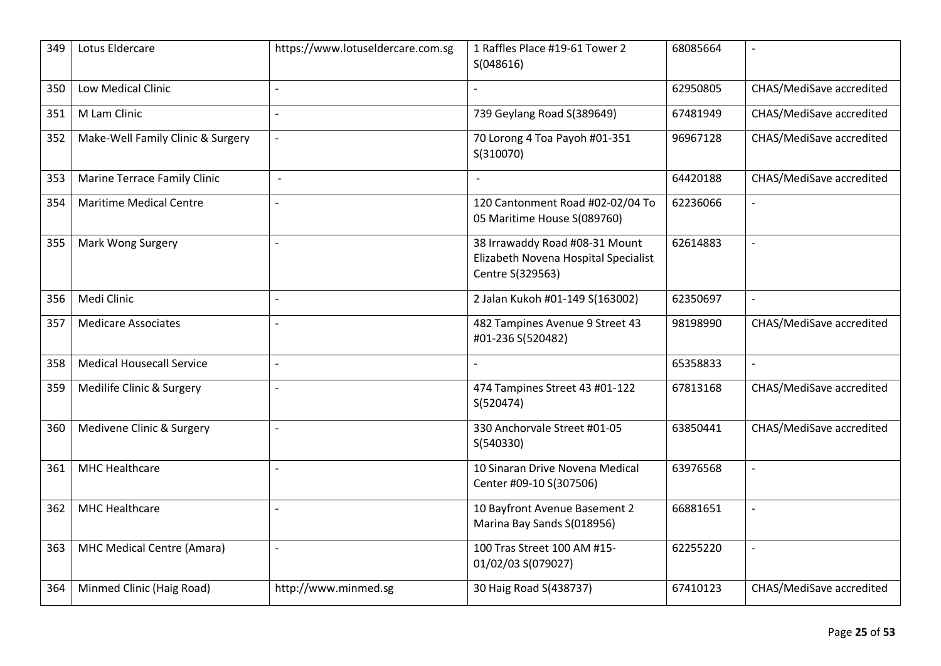| 349 | Lotus Eldercare                   | https://www.lotuseldercare.com.sg | 1 Raffles Place #19-61 Tower 2<br>S(048616)                                                | 68085664 | $\overline{\phantom{a}}$ |
|-----|-----------------------------------|-----------------------------------|--------------------------------------------------------------------------------------------|----------|--------------------------|
| 350 | Low Medical Clinic                | $\overline{a}$                    |                                                                                            | 62950805 | CHAS/MediSave accredited |
| 351 | M Lam Clinic                      |                                   | 739 Geylang Road S(389649)                                                                 | 67481949 | CHAS/MediSave accredited |
| 352 | Make-Well Family Clinic & Surgery |                                   | 70 Lorong 4 Toa Payoh #01-351<br>S(310070)                                                 | 96967128 | CHAS/MediSave accredited |
| 353 | Marine Terrace Family Clinic      | $\overline{a}$                    | $\blacksquare$                                                                             | 64420188 | CHAS/MediSave accredited |
| 354 | <b>Maritime Medical Centre</b>    |                                   | 120 Cantonment Road #02-02/04 To<br>05 Maritime House S(089760)                            | 62236066 | $\blacksquare$           |
| 355 | Mark Wong Surgery                 |                                   | 38 Irrawaddy Road #08-31 Mount<br>Elizabeth Novena Hospital Specialist<br>Centre S(329563) | 62614883 | $\overline{a}$           |
| 356 | Medi Clinic                       | $\overline{a}$                    | 2 Jalan Kukoh #01-149 S(163002)                                                            | 62350697 | $\blacksquare$           |
| 357 | <b>Medicare Associates</b>        |                                   | 482 Tampines Avenue 9 Street 43<br>#01-236 S(520482)                                       | 98198990 | CHAS/MediSave accredited |
| 358 | <b>Medical Housecall Service</b>  |                                   |                                                                                            | 65358833 |                          |
| 359 | Medilife Clinic & Surgery         |                                   | 474 Tampines Street 43 #01-122<br>S(520474)                                                | 67813168 | CHAS/MediSave accredited |
| 360 | Medivene Clinic & Surgery         | $\overline{a}$                    | 330 Anchorvale Street #01-05<br>S(540330)                                                  | 63850441 | CHAS/MediSave accredited |
| 361 | <b>MHC Healthcare</b>             |                                   | 10 Sinaran Drive Novena Medical<br>Center #09-10 S(307506)                                 | 63976568 | $\overline{a}$           |
| 362 | <b>MHC Healthcare</b>             | $\overline{a}$                    | 10 Bayfront Avenue Basement 2<br>Marina Bay Sands S(018956)                                | 66881651 | $\blacksquare$           |
| 363 | MHC Medical Centre (Amara)        | $\overline{\phantom{a}}$          | 100 Tras Street 100 AM #15-<br>01/02/03 S(079027)                                          | 62255220 | $\blacksquare$           |
| 364 | Minmed Clinic (Haig Road)         | http://www.minmed.sg              | 30 Haig Road S(438737)                                                                     | 67410123 | CHAS/MediSave accredited |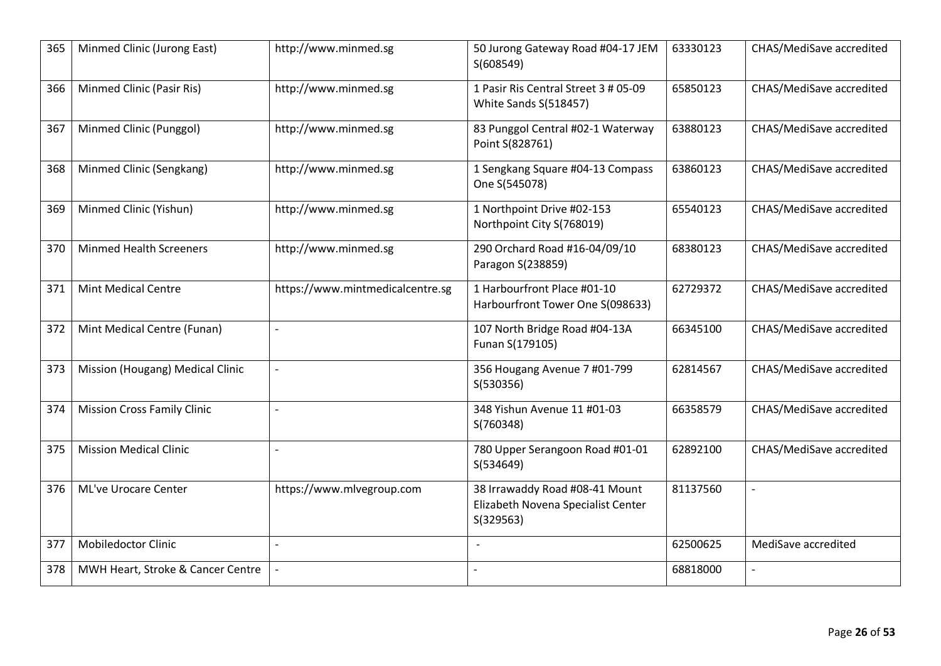| 365 | Minmed Clinic (Jurong East)        | http://www.minmed.sg             | 50 Jurong Gateway Road #04-17 JEM<br>S(608549)                                    | 63330123 | CHAS/MediSave accredited |
|-----|------------------------------------|----------------------------------|-----------------------------------------------------------------------------------|----------|--------------------------|
| 366 | Minmed Clinic (Pasir Ris)          | http://www.minmed.sg             | 1 Pasir Ris Central Street 3 # 05-09<br>White Sands S(518457)                     | 65850123 | CHAS/MediSave accredited |
| 367 | Minmed Clinic (Punggol)            | http://www.minmed.sg             | 83 Punggol Central #02-1 Waterway<br>Point S(828761)                              | 63880123 | CHAS/MediSave accredited |
| 368 | Minmed Clinic (Sengkang)           | http://www.minmed.sg             | 1 Sengkang Square #04-13 Compass<br>One S(545078)                                 | 63860123 | CHAS/MediSave accredited |
| 369 | Minmed Clinic (Yishun)             | http://www.minmed.sg             | 1 Northpoint Drive #02-153<br>Northpoint City S(768019)                           | 65540123 | CHAS/MediSave accredited |
| 370 | <b>Minmed Health Screeners</b>     | http://www.minmed.sg             | 290 Orchard Road #16-04/09/10<br>Paragon S(238859)                                | 68380123 | CHAS/MediSave accredited |
| 371 | <b>Mint Medical Centre</b>         | https://www.mintmedicalcentre.sg | 1 Harbourfront Place #01-10<br>Harbourfront Tower One S(098633)                   | 62729372 | CHAS/MediSave accredited |
| 372 | Mint Medical Centre (Funan)        | $\overline{a}$                   | 107 North Bridge Road #04-13A<br>Funan S(179105)                                  | 66345100 | CHAS/MediSave accredited |
| 373 | Mission (Hougang) Medical Clinic   | $\overline{a}$                   | 356 Hougang Avenue 7 #01-799<br>S(530356)                                         | 62814567 | CHAS/MediSave accredited |
| 374 | <b>Mission Cross Family Clinic</b> | $\overline{a}$                   | 348 Yishun Avenue 11 #01-03<br>S(760348)                                          | 66358579 | CHAS/MediSave accredited |
| 375 | <b>Mission Medical Clinic</b>      | $\overline{\phantom{a}}$         | 780 Upper Serangoon Road #01-01<br>S(534649)                                      | 62892100 | CHAS/MediSave accredited |
| 376 | <b>ML've Urocare Center</b>        | https://www.mlvegroup.com        | 38 Irrawaddy Road #08-41 Mount<br>Elizabeth Novena Specialist Center<br>S(329563) | 81137560 | $\overline{a}$           |
| 377 | <b>Mobiledoctor Clinic</b>         |                                  |                                                                                   | 62500625 | MediSave accredited      |
| 378 | MWH Heart, Stroke & Cancer Centre  |                                  |                                                                                   | 68818000 | $\overline{a}$           |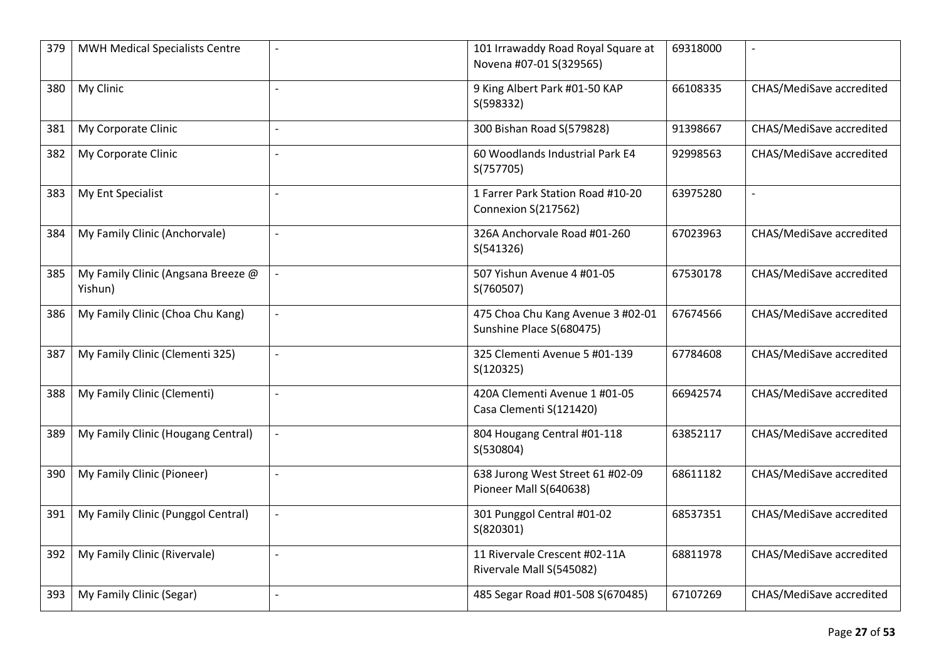| 379 | <b>MWH Medical Specialists Centre</b>         |                          | 101 Irrawaddy Road Royal Square at<br>Novena #07-01 S(329565) | 69318000 |                          |
|-----|-----------------------------------------------|--------------------------|---------------------------------------------------------------|----------|--------------------------|
| 380 | My Clinic                                     | $\overline{a}$           | 9 King Albert Park #01-50 KAP<br>S(598332)                    | 66108335 | CHAS/MediSave accredited |
| 381 | My Corporate Clinic                           |                          | 300 Bishan Road S(579828)                                     | 91398667 | CHAS/MediSave accredited |
| 382 | My Corporate Clinic                           |                          | 60 Woodlands Industrial Park E4<br>S(757705)                  | 92998563 | CHAS/MediSave accredited |
| 383 | My Ent Specialist                             | $\blacksquare$           | 1 Farrer Park Station Road #10-20<br>Connexion S(217562)      | 63975280 | $\blacksquare$           |
| 384 | My Family Clinic (Anchorvale)                 | $\overline{\phantom{a}}$ | 326A Anchorvale Road #01-260<br>S(541326)                     | 67023963 | CHAS/MediSave accredited |
| 385 | My Family Clinic (Angsana Breeze @<br>Yishun) |                          | 507 Yishun Avenue 4 #01-05<br>S(760507)                       | 67530178 | CHAS/MediSave accredited |
| 386 | My Family Clinic (Choa Chu Kang)              | $\overline{a}$           | 475 Choa Chu Kang Avenue 3 #02-01<br>Sunshine Place S(680475) | 67674566 | CHAS/MediSave accredited |
| 387 | My Family Clinic (Clementi 325)               | $\blacksquare$           | 325 Clementi Avenue 5 #01-139<br>S(120325)                    | 67784608 | CHAS/MediSave accredited |
| 388 | My Family Clinic (Clementi)                   | $\overline{\phantom{a}}$ | 420A Clementi Avenue 1 #01-05<br>Casa Clementi S(121420)      | 66942574 | CHAS/MediSave accredited |
| 389 | My Family Clinic (Hougang Central)            |                          | 804 Hougang Central #01-118<br>S(530804)                      | 63852117 | CHAS/MediSave accredited |
| 390 | My Family Clinic (Pioneer)                    |                          | 638 Jurong West Street 61 #02-09<br>Pioneer Mall S(640638)    | 68611182 | CHAS/MediSave accredited |
| 391 | My Family Clinic (Punggol Central)            | $\overline{a}$           | 301 Punggol Central #01-02<br>S(820301)                       | 68537351 | CHAS/MediSave accredited |
| 392 | My Family Clinic (Rivervale)                  | $\blacksquare$           | 11 Rivervale Crescent #02-11A<br>Rivervale Mall S(545082)     | 68811978 | CHAS/MediSave accredited |
| 393 | My Family Clinic (Segar)                      |                          | 485 Segar Road #01-508 S(670485)                              | 67107269 | CHAS/MediSave accredited |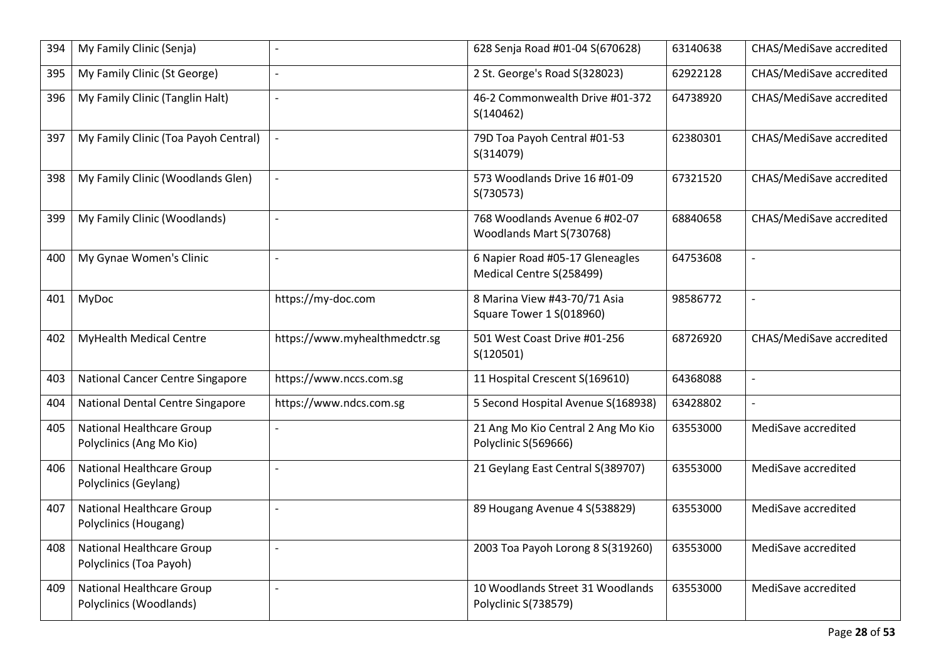| 394 | My Family Clinic (Senja)                                     | $\overline{a}$                | 628 Senja Road #01-04 S(670628)                             | 63140638 | CHAS/MediSave accredited |
|-----|--------------------------------------------------------------|-------------------------------|-------------------------------------------------------------|----------|--------------------------|
| 395 | My Family Clinic (St George)                                 | $\overline{\phantom{a}}$      | 2 St. George's Road S(328023)                               | 62922128 | CHAS/MediSave accredited |
| 396 | My Family Clinic (Tanglin Halt)                              | $\blacksquare$                | 46-2 Commonwealth Drive #01-372<br>S(140462)                | 64738920 | CHAS/MediSave accredited |
| 397 | My Family Clinic (Toa Payoh Central)                         |                               | 79D Toa Payoh Central #01-53<br>S(314079)                   | 62380301 | CHAS/MediSave accredited |
| 398 | My Family Clinic (Woodlands Glen)                            |                               | 573 Woodlands Drive 16 #01-09<br>S(730573)                  | 67321520 | CHAS/MediSave accredited |
| 399 | My Family Clinic (Woodlands)                                 |                               | 768 Woodlands Avenue 6 #02-07<br>Woodlands Mart S(730768)   | 68840658 | CHAS/MediSave accredited |
| 400 | My Gynae Women's Clinic                                      | $\overline{a}$                | 6 Napier Road #05-17 Gleneagles<br>Medical Centre S(258499) | 64753608 | $\blacksquare$           |
| 401 | <b>MyDoc</b>                                                 | https://my-doc.com            | 8 Marina View #43-70/71 Asia<br>Square Tower 1 S(018960)    | 98586772 | $\overline{a}$           |
| 402 | <b>MyHealth Medical Centre</b>                               | https://www.myhealthmedctr.sg | 501 West Coast Drive #01-256<br>S(120501)                   | 68726920 | CHAS/MediSave accredited |
| 403 | National Cancer Centre Singapore                             | https://www.nccs.com.sg       | 11 Hospital Crescent S(169610)                              | 64368088 | $\overline{a}$           |
| 404 | National Dental Centre Singapore                             | https://www.ndcs.com.sg       | 5 Second Hospital Avenue S(168938)                          | 63428802 |                          |
| 405 | <b>National Healthcare Group</b><br>Polyclinics (Ang Mo Kio) |                               | 21 Ang Mo Kio Central 2 Ang Mo Kio<br>Polyclinic S(569666)  | 63553000 | MediSave accredited      |
| 406 | <b>National Healthcare Group</b><br>Polyclinics (Geylang)    | $\overline{a}$                | 21 Geylang East Central S(389707)                           | 63553000 | MediSave accredited      |
| 407 | <b>National Healthcare Group</b><br>Polyclinics (Hougang)    | $\overline{\phantom{a}}$      | 89 Hougang Avenue 4 S(538829)                               | 63553000 | MediSave accredited      |
| 408 | <b>National Healthcare Group</b><br>Polyclinics (Toa Payoh)  | $\overline{a}$                | 2003 Toa Payoh Lorong 8 S(319260)                           | 63553000 | MediSave accredited      |
| 409 | <b>National Healthcare Group</b><br>Polyclinics (Woodlands)  | $\overline{a}$                | 10 Woodlands Street 31 Woodlands<br>Polyclinic S(738579)    | 63553000 | MediSave accredited      |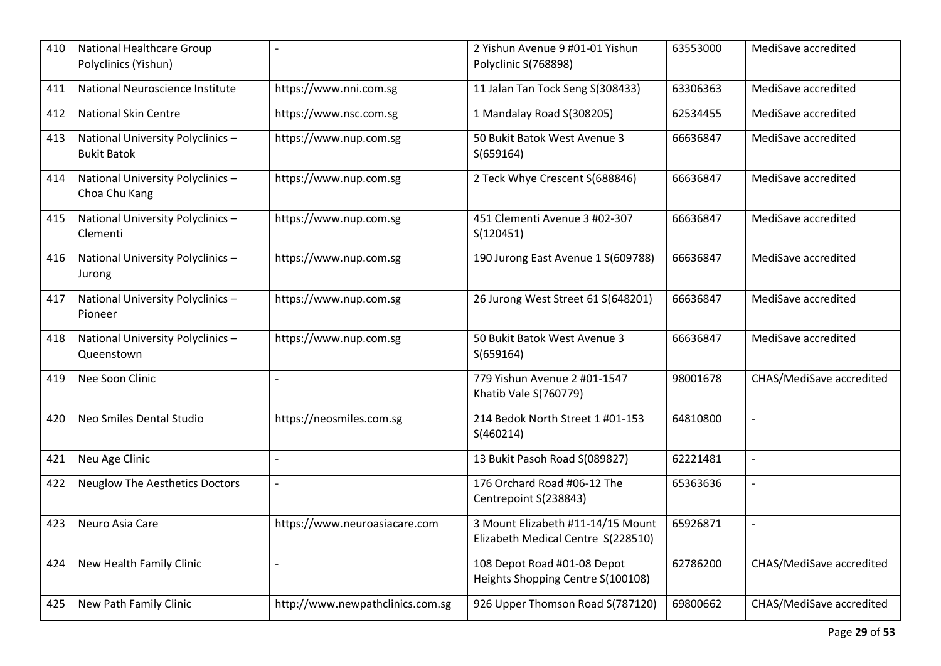| 410 | National Healthcare Group<br>Polyclinics (Yishun)       | $\overline{\phantom{a}}$         | 2 Yishun Avenue 9 #01-01 Yishun<br>Polyclinic S(768898)                 | 63553000 | MediSave accredited      |
|-----|---------------------------------------------------------|----------------------------------|-------------------------------------------------------------------------|----------|--------------------------|
| 411 | National Neuroscience Institute                         | https://www.nni.com.sg           | 11 Jalan Tan Tock Seng S(308433)                                        | 63306363 | MediSave accredited      |
| 412 | <b>National Skin Centre</b>                             | https://www.nsc.com.sg           | 1 Mandalay Road S(308205)                                               | 62534455 | MediSave accredited      |
| 413 | National University Polyclinics -<br><b>Bukit Batok</b> | https://www.nup.com.sg           | 50 Bukit Batok West Avenue 3<br>S(659164)                               | 66636847 | MediSave accredited      |
| 414 | National University Polyclinics -<br>Choa Chu Kang      | https://www.nup.com.sg           | 2 Teck Whye Crescent S(688846)                                          | 66636847 | MediSave accredited      |
| 415 | National University Polyclinics -<br>Clementi           | https://www.nup.com.sg           | 451 Clementi Avenue 3 #02-307<br>S(120451)                              | 66636847 | MediSave accredited      |
| 416 | National University Polyclinics -<br>Jurong             | https://www.nup.com.sg           | 190 Jurong East Avenue 1 S(609788)                                      | 66636847 | MediSave accredited      |
| 417 | National University Polyclinics -<br>Pioneer            | https://www.nup.com.sg           | 26 Jurong West Street 61 S(648201)                                      | 66636847 | MediSave accredited      |
| 418 | National University Polyclinics -<br>Queenstown         | https://www.nup.com.sg           | 50 Bukit Batok West Avenue 3<br>S(659164)                               | 66636847 | MediSave accredited      |
| 419 | Nee Soon Clinic                                         | $\overline{a}$                   | 779 Yishun Avenue 2 #01-1547<br>Khatib Vale S(760779)                   | 98001678 | CHAS/MediSave accredited |
| 420 | Neo Smiles Dental Studio                                | https://neosmiles.com.sg         | 214 Bedok North Street 1 #01-153<br>S(460214)                           | 64810800 | $\overline{a}$           |
| 421 | Neu Age Clinic                                          | $\overline{a}$                   | 13 Bukit Pasoh Road S(089827)                                           | 62221481 | $\overline{a}$           |
| 422 | <b>Neuglow The Aesthetics Doctors</b>                   | $\overline{a}$                   | 176 Orchard Road #06-12 The<br>Centrepoint S(238843)                    | 65363636 | $\blacksquare$           |
| 423 | Neuro Asia Care                                         | https://www.neuroasiacare.com    | 3 Mount Elizabeth #11-14/15 Mount<br>Elizabeth Medical Centre S(228510) | 65926871 | $\blacksquare$           |
| 424 | New Health Family Clinic                                | $\overline{a}$                   | 108 Depot Road #01-08 Depot<br>Heights Shopping Centre S(100108)        | 62786200 | CHAS/MediSave accredited |
| 425 | New Path Family Clinic                                  | http://www.newpathclinics.com.sg | 926 Upper Thomson Road S(787120)                                        | 69800662 | CHAS/MediSave accredited |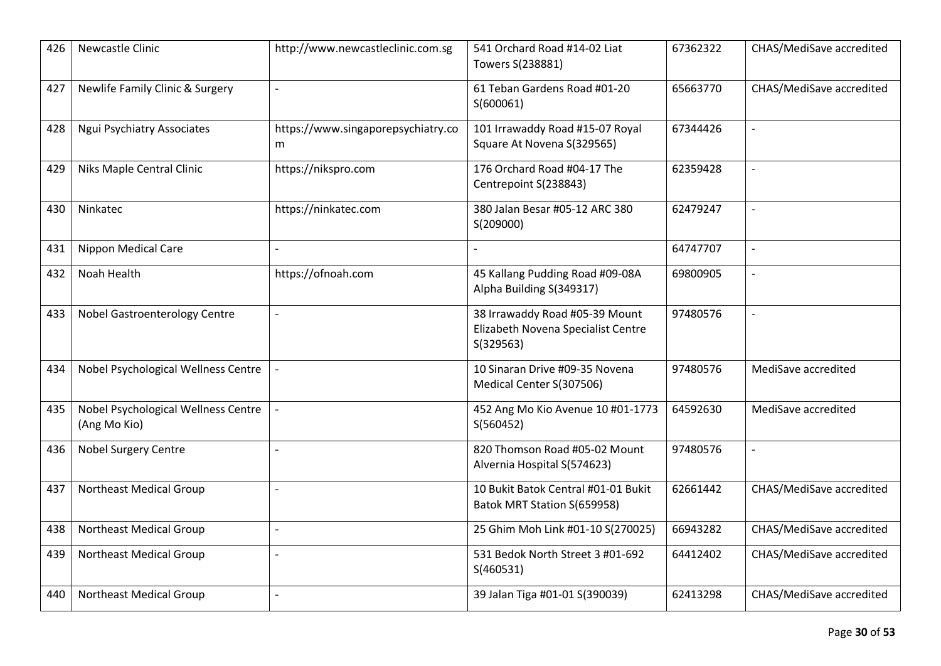| 426 | Newcastle Clinic                                    | http://www.newcastleclinic.com.sg       | 541 Orchard Road #14-02 Liat<br>Towers S(238881)                                  | 67362322 | CHAS/MediSave accredited |
|-----|-----------------------------------------------------|-----------------------------------------|-----------------------------------------------------------------------------------|----------|--------------------------|
| 427 | Newlife Family Clinic & Surgery                     | $\overline{a}$                          | 61 Teban Gardens Road #01-20<br>S(600061)                                         | 65663770 | CHAS/MediSave accredited |
| 428 | Ngui Psychiatry Associates                          | https://www.singaporepsychiatry.co<br>m | 101 Irrawaddy Road #15-07 Royal<br>Square At Novena S(329565)                     | 67344426 | $\overline{a}$           |
| 429 | Niks Maple Central Clinic                           | https://nikspro.com                     | 176 Orchard Road #04-17 The<br>Centrepoint S(238843)                              | 62359428 | $\overline{a}$           |
| 430 | Ninkatec                                            | https://ninkatec.com                    | 380 Jalan Besar #05-12 ARC 380<br>S(209000)                                       | 62479247 | $\overline{\phantom{a}}$ |
| 431 | Nippon Medical Care                                 |                                         |                                                                                   | 64747707 | $\overline{\phantom{a}}$ |
| 432 | Noah Health                                         | https://ofnoah.com                      | 45 Kallang Pudding Road #09-08A<br>Alpha Building S(349317)                       | 69800905 | $\overline{a}$           |
| 433 | <b>Nobel Gastroenterology Centre</b>                |                                         | 38 Irrawaddy Road #05-39 Mount<br>Elizabeth Novena Specialist Centre<br>S(329563) | 97480576 |                          |
| 434 | Nobel Psychological Wellness Centre                 |                                         | 10 Sinaran Drive #09-35 Novena<br>Medical Center S(307506)                        | 97480576 | MediSave accredited      |
| 435 | Nobel Psychological Wellness Centre<br>(Ang Mo Kio) |                                         | 452 Ang Mo Kio Avenue 10 #01-1773<br>S(560452)                                    | 64592630 | MediSave accredited      |
| 436 | <b>Nobel Surgery Centre</b>                         | $\overline{a}$                          | 820 Thomson Road #05-02 Mount<br>Alvernia Hospital S(574623)                      | 97480576 |                          |
| 437 | <b>Northeast Medical Group</b>                      |                                         | 10 Bukit Batok Central #01-01 Bukit<br>Batok MRT Station S(659958)                | 62661442 | CHAS/MediSave accredited |
| 438 | <b>Northeast Medical Group</b>                      | $\overline{a}$                          | 25 Ghim Moh Link #01-10 S(270025)                                                 | 66943282 | CHAS/MediSave accredited |
| 439 | <b>Northeast Medical Group</b>                      |                                         | 531 Bedok North Street 3 #01-692<br>S(460531)                                     | 64412402 | CHAS/MediSave accredited |
| 440 | <b>Northeast Medical Group</b>                      |                                         | 39 Jalan Tiga #01-01 S(390039)                                                    | 62413298 | CHAS/MediSave accredited |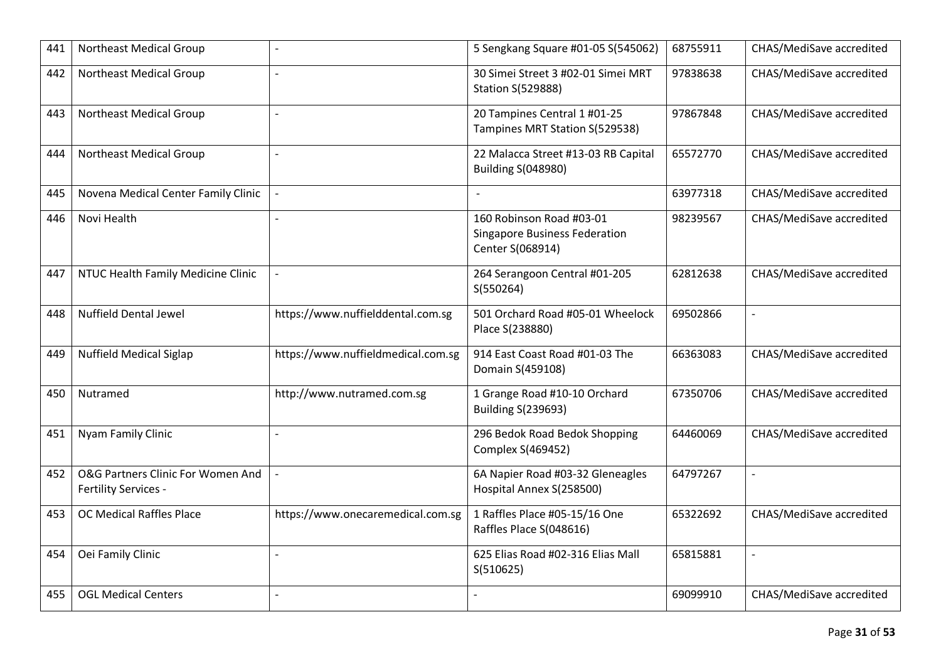| 441 | <b>Northeast Medical Group</b>                            | $\blacksquare$                     | 5 Sengkang Square #01-05 S(545062)                                                   | 68755911 | CHAS/MediSave accredited |
|-----|-----------------------------------------------------------|------------------------------------|--------------------------------------------------------------------------------------|----------|--------------------------|
| 442 | <b>Northeast Medical Group</b>                            | $\overline{a}$                     | 30 Simei Street 3 #02-01 Simei MRT<br><b>Station S(529888)</b>                       | 97838638 | CHAS/MediSave accredited |
| 443 | Northeast Medical Group                                   | $\overline{a}$                     | 20 Tampines Central 1 #01-25<br>Tampines MRT Station S(529538)                       | 97867848 | CHAS/MediSave accredited |
| 444 | <b>Northeast Medical Group</b>                            |                                    | 22 Malacca Street #13-03 RB Capital<br><b>Building S(048980)</b>                     | 65572770 | CHAS/MediSave accredited |
| 445 | Novena Medical Center Family Clinic                       | $\mathbb{L}$                       | $\mathbf{r}$                                                                         | 63977318 | CHAS/MediSave accredited |
| 446 | Novi Health                                               |                                    | 160 Robinson Road #03-01<br><b>Singapore Business Federation</b><br>Center S(068914) | 98239567 | CHAS/MediSave accredited |
| 447 | NTUC Health Family Medicine Clinic                        |                                    | 264 Serangoon Central #01-205<br>S(550264)                                           | 62812638 | CHAS/MediSave accredited |
| 448 | <b>Nuffield Dental Jewel</b>                              | https://www.nuffielddental.com.sg  | 501 Orchard Road #05-01 Wheelock<br>Place S(238880)                                  | 69502866 |                          |
| 449 | <b>Nuffield Medical Siglap</b>                            | https://www.nuffieldmedical.com.sg | 914 East Coast Road #01-03 The<br>Domain S(459108)                                   | 66363083 | CHAS/MediSave accredited |
| 450 | Nutramed                                                  | http://www.nutramed.com.sg         | 1 Grange Road #10-10 Orchard<br><b>Building S(239693)</b>                            | 67350706 | CHAS/MediSave accredited |
| 451 | Nyam Family Clinic                                        | $\overline{a}$                     | 296 Bedok Road Bedok Shopping<br>Complex S(469452)                                   | 64460069 | CHAS/MediSave accredited |
| 452 | O&G Partners Clinic For Women And<br>Fertility Services - |                                    | 6A Napier Road #03-32 Gleneagles<br>Hospital Annex S(258500)                         | 64797267 |                          |
| 453 | OC Medical Raffles Place                                  | https://www.onecaremedical.com.sg  | 1 Raffles Place #05-15/16 One<br>Raffles Place S(048616)                             | 65322692 | CHAS/MediSave accredited |
| 454 | Oei Family Clinic                                         |                                    | 625 Elias Road #02-316 Elias Mall<br>S(510625)                                       | 65815881 | $\blacksquare$           |
| 455 | <b>OGL Medical Centers</b>                                | $\overline{a}$                     |                                                                                      | 69099910 | CHAS/MediSave accredited |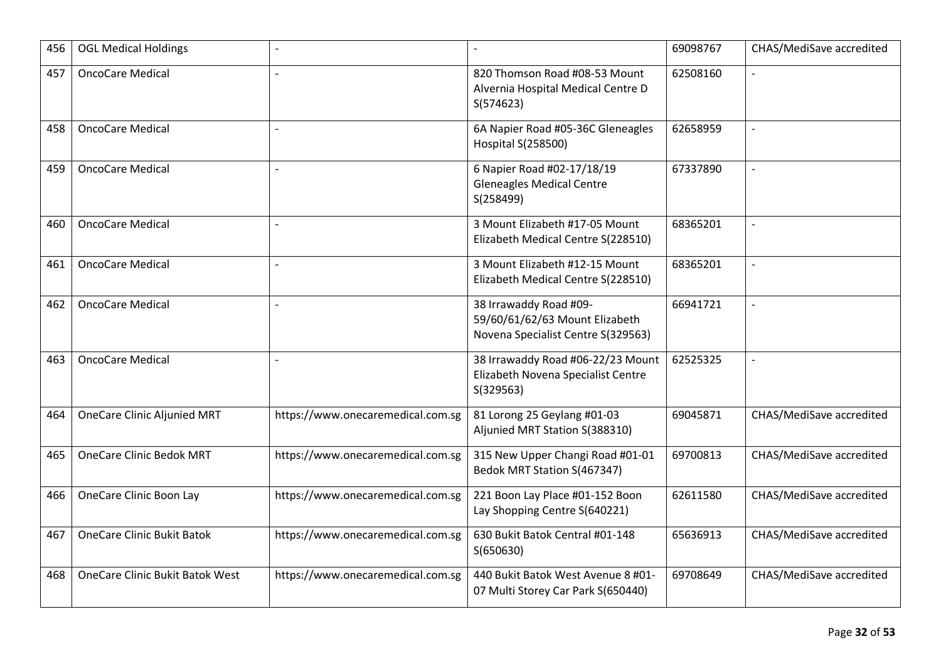| 456 | <b>OGL Medical Holdings</b>            | $\overline{a}$                    | $\blacksquare$                                                                                 | 69098767 | CHAS/MediSave accredited |
|-----|----------------------------------------|-----------------------------------|------------------------------------------------------------------------------------------------|----------|--------------------------|
| 457 | <b>OncoCare Medical</b>                | $\overline{a}$                    | 820 Thomson Road #08-53 Mount<br>Alvernia Hospital Medical Centre D<br>S(574623)               | 62508160 | $\blacksquare$           |
| 458 | <b>OncoCare Medical</b>                |                                   | 6A Napier Road #05-36C Gleneagles<br>Hospital S(258500)                                        | 62658959 |                          |
| 459 | <b>OncoCare Medical</b>                | $\overline{\phantom{a}}$          | 6 Napier Road #02-17/18/19<br><b>Gleneagles Medical Centre</b><br>S(258499)                    | 67337890 | $\overline{a}$           |
| 460 | <b>OncoCare Medical</b>                | $\overline{\phantom{a}}$          | 3 Mount Elizabeth #17-05 Mount<br>Elizabeth Medical Centre S(228510)                           | 68365201 | $\overline{\phantom{a}}$ |
| 461 | <b>OncoCare Medical</b>                | $\overline{a}$                    | 3 Mount Elizabeth #12-15 Mount<br>Elizabeth Medical Centre S(228510)                           | 68365201 | $\overline{a}$           |
| 462 | <b>OncoCare Medical</b>                |                                   | 38 Irrawaddy Road #09-<br>59/60/61/62/63 Mount Elizabeth<br>Novena Specialist Centre S(329563) | 66941721 |                          |
| 463 | <b>OncoCare Medical</b>                | $\overline{a}$                    | 38 Irrawaddy Road #06-22/23 Mount<br>Elizabeth Novena Specialist Centre<br>S(329563)           | 62525325 |                          |
| 464 | <b>OneCare Clinic Aljunied MRT</b>     | https://www.onecaremedical.com.sg | 81 Lorong 25 Geylang #01-03<br>Aljunied MRT Station S(388310)                                  | 69045871 | CHAS/MediSave accredited |
| 465 | <b>OneCare Clinic Bedok MRT</b>        | https://www.onecaremedical.com.sg | 315 New Upper Changi Road #01-01<br>Bedok MRT Station S(467347)                                | 69700813 | CHAS/MediSave accredited |
| 466 | OneCare Clinic Boon Lay                | https://www.onecaremedical.com.sg | 221 Boon Lay Place #01-152 Boon<br>Lay Shopping Centre S(640221)                               | 62611580 | CHAS/MediSave accredited |
| 467 | <b>OneCare Clinic Bukit Batok</b>      | https://www.onecaremedical.com.sg | 630 Bukit Batok Central #01-148<br>S(650630)                                                   | 65636913 | CHAS/MediSave accredited |
| 468 | <b>OneCare Clinic Bukit Batok West</b> | https://www.onecaremedical.com.sg | 440 Bukit Batok West Avenue 8 #01-<br>07 Multi Storey Car Park S(650440)                       | 69708649 | CHAS/MediSave accredited |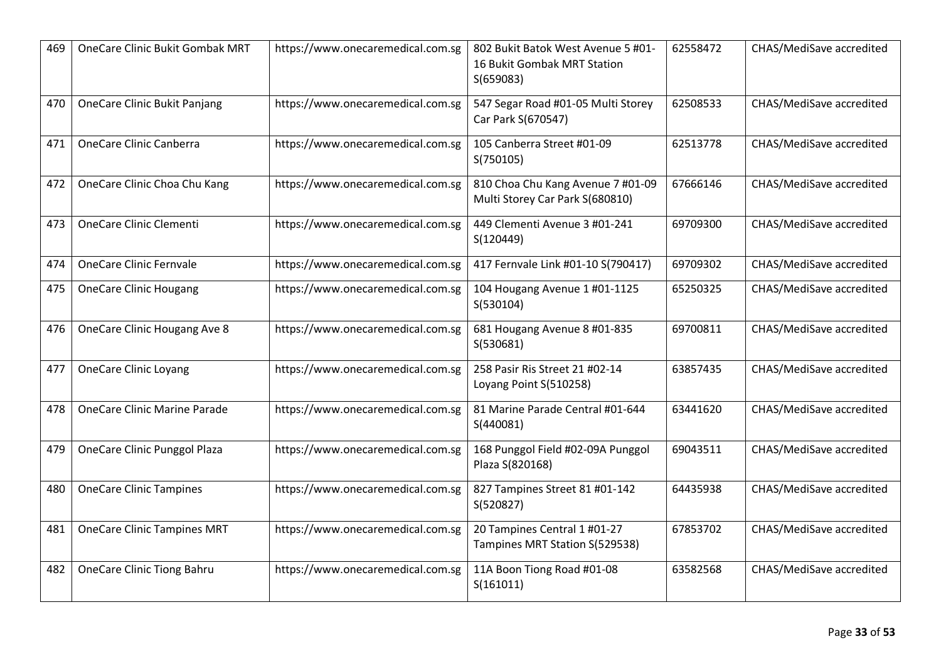| 469 | OneCare Clinic Bukit Gombak MRT     | https://www.onecaremedical.com.sg | 802 Bukit Batok West Avenue 5 #01-<br>16 Bukit Gombak MRT Station<br>S(659083) | 62558472 | CHAS/MediSave accredited |
|-----|-------------------------------------|-----------------------------------|--------------------------------------------------------------------------------|----------|--------------------------|
| 470 | <b>OneCare Clinic Bukit Panjang</b> | https://www.onecaremedical.com.sg | 547 Segar Road #01-05 Multi Storey<br>Car Park S(670547)                       | 62508533 | CHAS/MediSave accredited |
| 471 | <b>OneCare Clinic Canberra</b>      | https://www.onecaremedical.com.sg | 105 Canberra Street #01-09<br>S(750105)                                        | 62513778 | CHAS/MediSave accredited |
| 472 | OneCare Clinic Choa Chu Kang        | https://www.onecaremedical.com.sg | 810 Choa Chu Kang Avenue 7 #01-09<br>Multi Storey Car Park S(680810)           | 67666146 | CHAS/MediSave accredited |
| 473 | OneCare Clinic Clementi             | https://www.onecaremedical.com.sg | 449 Clementi Avenue 3 #01-241<br>S(120449)                                     | 69709300 | CHAS/MediSave accredited |
| 474 | <b>OneCare Clinic Fernvale</b>      | https://www.onecaremedical.com.sg | 417 Fernvale Link #01-10 S(790417)                                             | 69709302 | CHAS/MediSave accredited |
| 475 | <b>OneCare Clinic Hougang</b>       | https://www.onecaremedical.com.sg | 104 Hougang Avenue 1 #01-1125<br>S(530104)                                     | 65250325 | CHAS/MediSave accredited |
| 476 | OneCare Clinic Hougang Ave 8        | https://www.onecaremedical.com.sg | 681 Hougang Avenue 8 #01-835<br>S(530681)                                      | 69700811 | CHAS/MediSave accredited |
| 477 | <b>OneCare Clinic Loyang</b>        | https://www.onecaremedical.com.sg | 258 Pasir Ris Street 21 #02-14<br>Loyang Point S(510258)                       | 63857435 | CHAS/MediSave accredited |
| 478 | <b>OneCare Clinic Marine Parade</b> | https://www.onecaremedical.com.sg | 81 Marine Parade Central #01-644<br>S(440081)                                  | 63441620 | CHAS/MediSave accredited |
| 479 | <b>OneCare Clinic Punggol Plaza</b> | https://www.onecaremedical.com.sg | 168 Punggol Field #02-09A Punggol<br>Plaza S(820168)                           | 69043511 | CHAS/MediSave accredited |
| 480 | <b>OneCare Clinic Tampines</b>      | https://www.onecaremedical.com.sg | 827 Tampines Street 81 #01-142<br>S(520827)                                    | 64435938 | CHAS/MediSave accredited |
| 481 | <b>OneCare Clinic Tampines MRT</b>  | https://www.onecaremedical.com.sg | 20 Tampines Central 1 #01-27<br>Tampines MRT Station S(529538)                 | 67853702 | CHAS/MediSave accredited |
| 482 | <b>OneCare Clinic Tiong Bahru</b>   | https://www.onecaremedical.com.sg | 11A Boon Tiong Road #01-08<br>S(161011)                                        | 63582568 | CHAS/MediSave accredited |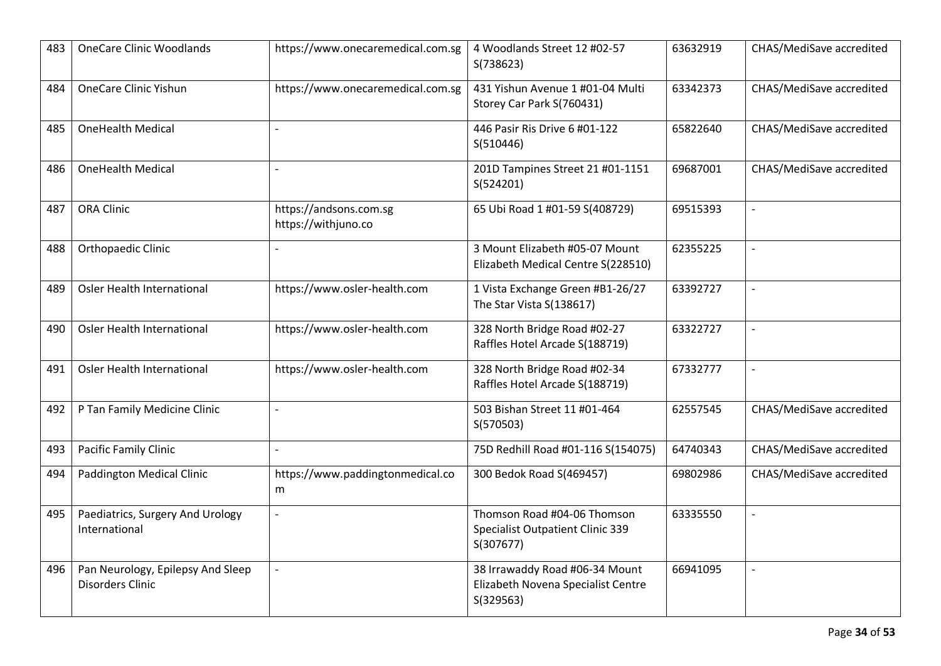| 483 | <b>OneCare Clinic Woodlands</b>                              | https://www.onecaremedical.com.sg             | 4 Woodlands Street 12 #02-57<br>S(738623)                                           | 63632919 | CHAS/MediSave accredited |
|-----|--------------------------------------------------------------|-----------------------------------------------|-------------------------------------------------------------------------------------|----------|--------------------------|
| 484 | <b>OneCare Clinic Yishun</b>                                 | https://www.onecaremedical.com.sg             | 431 Yishun Avenue 1 #01-04 Multi<br>Storey Car Park S(760431)                       | 63342373 | CHAS/MediSave accredited |
| 485 | <b>OneHealth Medical</b>                                     | $\overline{\phantom{a}}$                      | 446 Pasir Ris Drive 6 #01-122<br>S(510446)                                          | 65822640 | CHAS/MediSave accredited |
| 486 | <b>OneHealth Medical</b>                                     |                                               | 201D Tampines Street 21 #01-1151<br>S(524201)                                       | 69687001 | CHAS/MediSave accredited |
| 487 | ORA Clinic                                                   | https://andsons.com.sg<br>https://withjuno.co | 65 Ubi Road 1 #01-59 S(408729)                                                      | 69515393 | $\blacksquare$           |
| 488 | Orthopaedic Clinic                                           | $\overline{a}$                                | 3 Mount Elizabeth #05-07 Mount<br>Elizabeth Medical Centre S(228510)                | 62355225 | $\overline{\phantom{a}}$ |
| 489 | <b>Osler Health International</b>                            | https://www.osler-health.com                  | 1 Vista Exchange Green #B1-26/27<br>The Star Vista S(138617)                        | 63392727 | $\blacksquare$           |
| 490 | <b>Osler Health International</b>                            | https://www.osler-health.com                  | 328 North Bridge Road #02-27<br>Raffles Hotel Arcade S(188719)                      | 63322727 | $\blacksquare$           |
| 491 | <b>Osler Health International</b>                            | https://www.osler-health.com                  | 328 North Bridge Road #02-34<br>Raffles Hotel Arcade S(188719)                      | 67332777 | $\overline{a}$           |
| 492 | P Tan Family Medicine Clinic                                 |                                               | 503 Bishan Street 11 #01-464<br>S(570503)                                           | 62557545 | CHAS/MediSave accredited |
| 493 | Pacific Family Clinic                                        | $\overline{a}$                                | 75D Redhill Road #01-116 S(154075)                                                  | 64740343 | CHAS/MediSave accredited |
| 494 | <b>Paddington Medical Clinic</b>                             | https://www.paddingtonmedical.co<br>m         | 300 Bedok Road S(469457)                                                            | 69802986 | CHAS/MediSave accredited |
| 495 | Paediatrics, Surgery And Urology<br>International            | $\overline{a}$                                | Thomson Road #04-06 Thomson<br><b>Specialist Outpatient Clinic 339</b><br>S(307677) | 63335550 | $\overline{\phantom{a}}$ |
| 496 | Pan Neurology, Epilepsy And Sleep<br><b>Disorders Clinic</b> |                                               | 38 Irrawaddy Road #06-34 Mount<br>Elizabeth Novena Specialist Centre<br>S(329563)   | 66941095 |                          |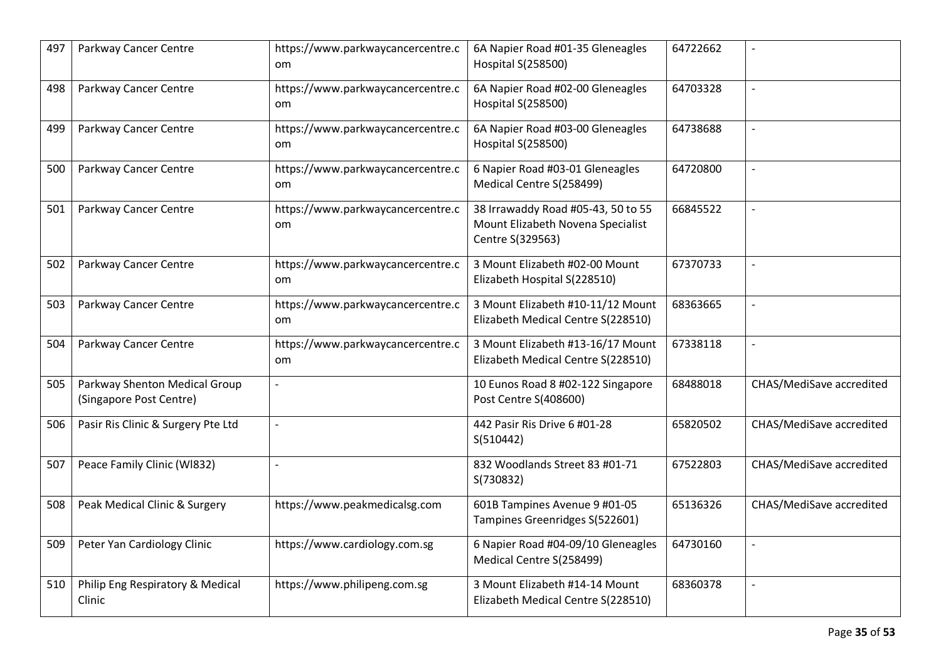| 497 | Parkway Cancer Centre                                    | https://www.parkwaycancercentre.c<br><sub>om</sub> | 6A Napier Road #01-35 Gleneagles<br><b>Hospital S(258500)</b>                               | 64722662 | $\overline{\phantom{a}}$ |
|-----|----------------------------------------------------------|----------------------------------------------------|---------------------------------------------------------------------------------------------|----------|--------------------------|
| 498 | Parkway Cancer Centre                                    | https://www.parkwaycancercentre.c<br>om            | 6A Napier Road #02-00 Gleneagles<br><b>Hospital S(258500)</b>                               | 64703328 | $\mathbf{r}$             |
| 499 | Parkway Cancer Centre                                    | https://www.parkwaycancercentre.c<br><b>om</b>     | 6A Napier Road #03-00 Gleneagles<br>Hospital S(258500)                                      | 64738688 | $\overline{a}$           |
| 500 | Parkway Cancer Centre                                    | https://www.parkwaycancercentre.c<br><b>om</b>     | 6 Napier Road #03-01 Gleneagles<br>Medical Centre S(258499)                                 | 64720800 |                          |
| 501 | Parkway Cancer Centre                                    | https://www.parkwaycancercentre.c<br>om            | 38 Irrawaddy Road #05-43, 50 to 55<br>Mount Elizabeth Novena Specialist<br>Centre S(329563) | 66845522 | $\overline{a}$           |
| 502 | Parkway Cancer Centre                                    | https://www.parkwaycancercentre.c<br>om            | 3 Mount Elizabeth #02-00 Mount<br>Elizabeth Hospital S(228510)                              | 67370733 | $\overline{\phantom{0}}$ |
| 503 | Parkway Cancer Centre                                    | https://www.parkwaycancercentre.c<br>om            | 3 Mount Elizabeth #10-11/12 Mount<br>Elizabeth Medical Centre S(228510)                     | 68363665 | $\blacksquare$           |
| 504 | Parkway Cancer Centre                                    | https://www.parkwaycancercentre.c<br><b>om</b>     | 3 Mount Elizabeth #13-16/17 Mount<br>Elizabeth Medical Centre S(228510)                     | 67338118 | $\blacksquare$           |
| 505 | Parkway Shenton Medical Group<br>(Singapore Post Centre) | $\overline{a}$                                     | 10 Eunos Road 8 #02-122 Singapore<br>Post Centre S(408600)                                  | 68488018 | CHAS/MediSave accredited |
| 506 | Pasir Ris Clinic & Surgery Pte Ltd                       | $\overline{a}$                                     | 442 Pasir Ris Drive 6 #01-28<br>S(510442)                                                   | 65820502 | CHAS/MediSave accredited |
| 507 | Peace Family Clinic (WI832)                              | $\overline{a}$                                     | 832 Woodlands Street 83 #01-71<br>S(730832)                                                 | 67522803 | CHAS/MediSave accredited |
| 508 | Peak Medical Clinic & Surgery                            | https://www.peakmedicalsg.com                      | 601B Tampines Avenue 9 #01-05<br>Tampines Greenridges S(522601)                             | 65136326 | CHAS/MediSave accredited |
| 509 | Peter Yan Cardiology Clinic                              | https://www.cardiology.com.sg                      | 6 Napier Road #04-09/10 Gleneagles<br>Medical Centre S(258499)                              | 64730160 | $\blacksquare$           |
| 510 | Philip Eng Respiratory & Medical<br>Clinic               | https://www.philipeng.com.sg                       | 3 Mount Elizabeth #14-14 Mount<br>Elizabeth Medical Centre S(228510)                        | 68360378 | $\overline{a}$           |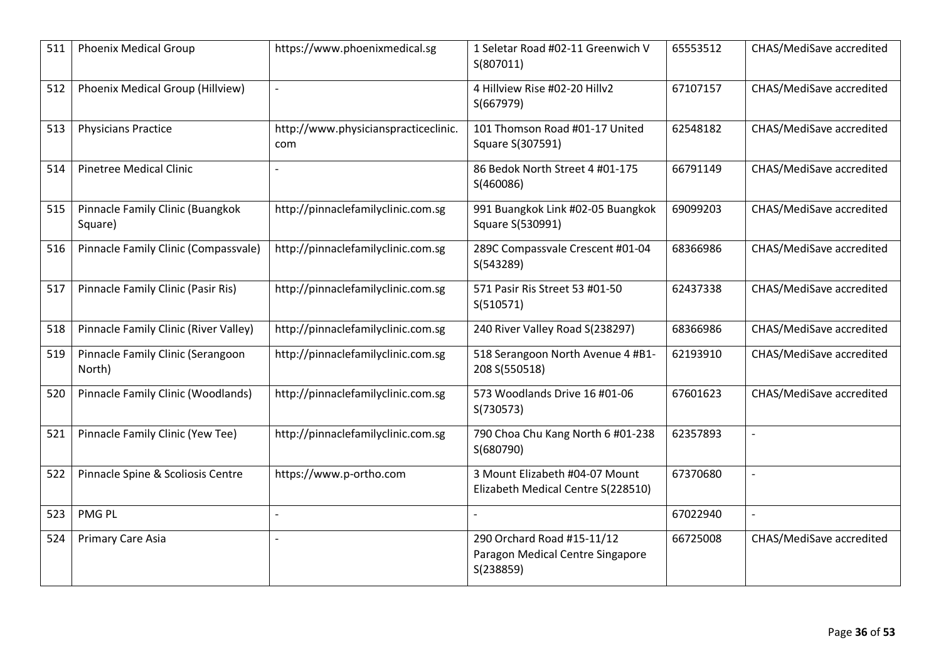| 511 | <b>Phoenix Medical Group</b>                | https://www.phoenixmedical.sg               | 1 Seletar Road #02-11 Greenwich V<br>S(807011)                              | 65553512 | CHAS/MediSave accredited |
|-----|---------------------------------------------|---------------------------------------------|-----------------------------------------------------------------------------|----------|--------------------------|
| 512 | Phoenix Medical Group (Hillview)            | $\overline{a}$                              | 4 Hillview Rise #02-20 Hillv2<br>S(667979)                                  | 67107157 | CHAS/MediSave accredited |
| 513 | <b>Physicians Practice</b>                  | http://www.physicianspracticeclinic.<br>com | 101 Thomson Road #01-17 United<br>Square S(307591)                          | 62548182 | CHAS/MediSave accredited |
| 514 | <b>Pinetree Medical Clinic</b>              |                                             | 86 Bedok North Street 4 #01-175<br>S(460086)                                | 66791149 | CHAS/MediSave accredited |
| 515 | Pinnacle Family Clinic (Buangkok<br>Square) | http://pinnaclefamilyclinic.com.sg          | 991 Buangkok Link #02-05 Buangkok<br>Square S(530991)                       | 69099203 | CHAS/MediSave accredited |
| 516 | Pinnacle Family Clinic (Compassvale)        | http://pinnaclefamilyclinic.com.sg          | 289C Compassvale Crescent #01-04<br>S(543289)                               | 68366986 | CHAS/MediSave accredited |
| 517 | Pinnacle Family Clinic (Pasir Ris)          | http://pinnaclefamilyclinic.com.sg          | 571 Pasir Ris Street 53 #01-50<br>S(510571)                                 | 62437338 | CHAS/MediSave accredited |
| 518 | Pinnacle Family Clinic (River Valley)       | http://pinnaclefamilyclinic.com.sg          | 240 River Valley Road S(238297)                                             | 68366986 | CHAS/MediSave accredited |
| 519 | Pinnacle Family Clinic (Serangoon<br>North) | http://pinnaclefamilyclinic.com.sg          | 518 Serangoon North Avenue 4 #B1-<br>208 S(550518)                          | 62193910 | CHAS/MediSave accredited |
| 520 | Pinnacle Family Clinic (Woodlands)          | http://pinnaclefamilyclinic.com.sg          | 573 Woodlands Drive 16 #01-06<br>S(730573)                                  | 67601623 | CHAS/MediSave accredited |
| 521 | Pinnacle Family Clinic (Yew Tee)            | http://pinnaclefamilyclinic.com.sg          | 790 Choa Chu Kang North 6 #01-238<br>S(680790)                              | 62357893 |                          |
| 522 | Pinnacle Spine & Scoliosis Centre           | https://www.p-ortho.com                     | 3 Mount Elizabeth #04-07 Mount<br>Elizabeth Medical Centre S(228510)        | 67370680 | $\blacksquare$           |
| 523 | <b>PMG PL</b>                               |                                             |                                                                             | 67022940 |                          |
| 524 | Primary Care Asia                           |                                             | 290 Orchard Road #15-11/12<br>Paragon Medical Centre Singapore<br>S(238859) | 66725008 | CHAS/MediSave accredited |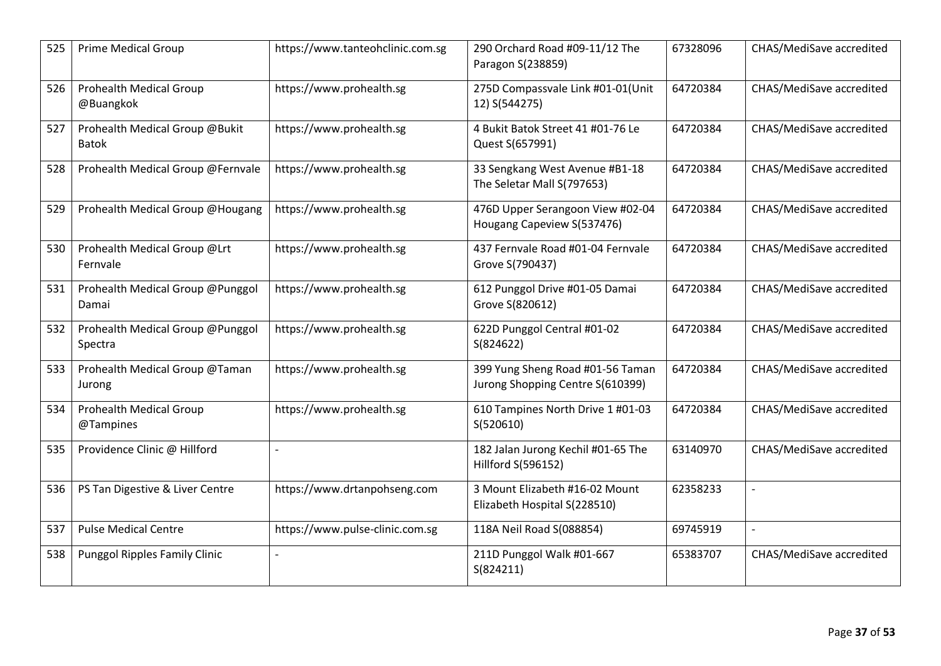| 525 | <b>Prime Medical Group</b>                     | https://www.tanteohclinic.com.sg | 290 Orchard Road #09-11/12 The<br>Paragon S(238859)                  | 67328096 | CHAS/MediSave accredited |
|-----|------------------------------------------------|----------------------------------|----------------------------------------------------------------------|----------|--------------------------|
| 526 | <b>Prohealth Medical Group</b><br>@Buangkok    | https://www.prohealth.sg         | 275D Compassvale Link #01-01(Unit<br>12) S(544275)                   | 64720384 | CHAS/MediSave accredited |
| 527 | Prohealth Medical Group @Bukit<br><b>Batok</b> | https://www.prohealth.sg         | 4 Bukit Batok Street 41 #01-76 Le<br>Quest S(657991)                 | 64720384 | CHAS/MediSave accredited |
| 528 | Prohealth Medical Group @Fernvale              | https://www.prohealth.sg         | 33 Sengkang West Avenue #B1-18<br>The Seletar Mall S(797653)         | 64720384 | CHAS/MediSave accredited |
| 529 | Prohealth Medical Group @Hougang               | https://www.prohealth.sg         | 476D Upper Serangoon View #02-04<br>Hougang Capeview S(537476)       | 64720384 | CHAS/MediSave accredited |
| 530 | Prohealth Medical Group @Lrt<br>Fernyale       | https://www.prohealth.sg         | 437 Fernvale Road #01-04 Fernvale<br>Grove S(790437)                 | 64720384 | CHAS/MediSave accredited |
| 531 | Prohealth Medical Group @Punggol<br>Damai      | https://www.prohealth.sg         | 612 Punggol Drive #01-05 Damai<br>Grove S(820612)                    | 64720384 | CHAS/MediSave accredited |
| 532 | Prohealth Medical Group @Punggol<br>Spectra    | https://www.prohealth.sg         | 622D Punggol Central #01-02<br>S(824622)                             | 64720384 | CHAS/MediSave accredited |
| 533 | Prohealth Medical Group @Taman<br>Jurong       | https://www.prohealth.sg         | 399 Yung Sheng Road #01-56 Taman<br>Jurong Shopping Centre S(610399) | 64720384 | CHAS/MediSave accredited |
| 534 | <b>Prohealth Medical Group</b><br>@Tampines    | https://www.prohealth.sg         | 610 Tampines North Drive 1 #01-03<br>S(520610)                       | 64720384 | CHAS/MediSave accredited |
| 535 | Providence Clinic @ Hillford                   | $\overline{\phantom{a}}$         | 182 Jalan Jurong Kechil #01-65 The<br>Hillford S(596152)             | 63140970 | CHAS/MediSave accredited |
| 536 | PS Tan Digestive & Liver Centre                | https://www.drtanpohseng.com     | 3 Mount Elizabeth #16-02 Mount<br>Elizabeth Hospital S(228510)       | 62358233 | $\overline{\phantom{a}}$ |
| 537 | <b>Pulse Medical Centre</b>                    | https://www.pulse-clinic.com.sg  | 118A Neil Road S(088854)                                             | 69745919 |                          |
| 538 | <b>Punggol Ripples Family Clinic</b>           | $\overline{a}$                   | 211D Punggol Walk #01-667<br>S(824211)                               | 65383707 | CHAS/MediSave accredited |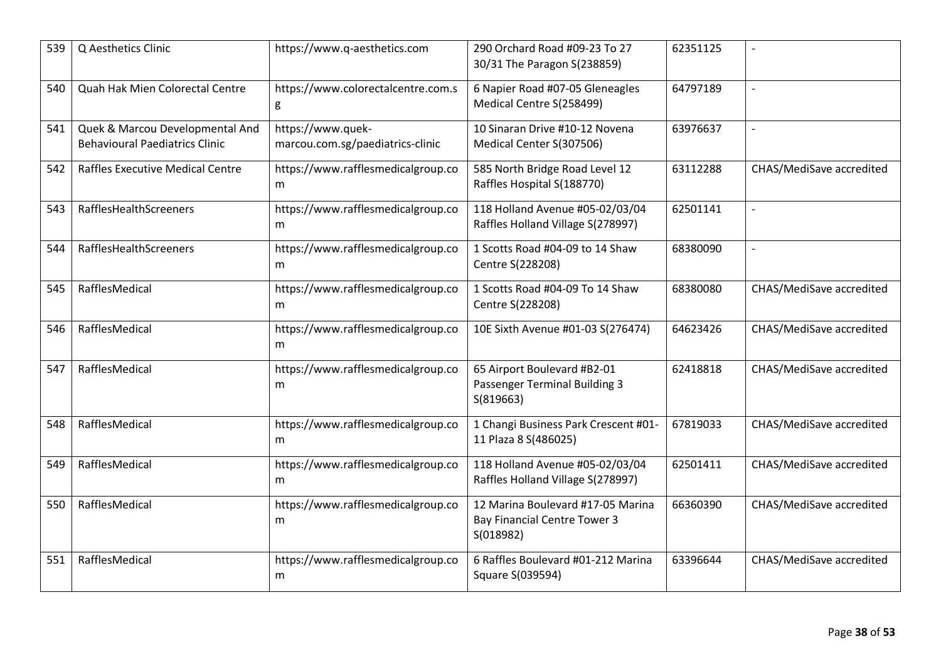| 539 | Q Aesthetics Clinic                                                      | https://www.q-aesthetics.com                          | 290 Orchard Road #09-23 To 27<br>30/31 The Paragon S(238859)                          | 62351125 |                          |
|-----|--------------------------------------------------------------------------|-------------------------------------------------------|---------------------------------------------------------------------------------------|----------|--------------------------|
| 540 | Quah Hak Mien Colorectal Centre                                          | https://www.colorectalcentre.com.s<br>g               | 6 Napier Road #07-05 Gleneagles<br>Medical Centre S(258499)                           | 64797189 | $\overline{a}$           |
| 541 | Quek & Marcou Developmental And<br><b>Behavioural Paediatrics Clinic</b> | https://www.quek-<br>marcou.com.sg/paediatrics-clinic | 10 Sinaran Drive #10-12 Novena<br>Medical Center S(307506)                            | 63976637 | $\overline{\phantom{a}}$ |
| 542 | Raffles Executive Medical Centre                                         | https://www.rafflesmedicalgroup.co<br>m               | 585 North Bridge Road Level 12<br>Raffles Hospital S(188770)                          | 63112288 | CHAS/MediSave accredited |
| 543 | RafflesHealthScreeners                                                   | https://www.rafflesmedicalgroup.co<br>m               | 118 Holland Avenue #05-02/03/04<br>Raffles Holland Village S(278997)                  | 62501141 | $\overline{a}$           |
| 544 | RafflesHealthScreeners                                                   | https://www.rafflesmedicalgroup.co<br>m               | 1 Scotts Road #04-09 to 14 Shaw<br>Centre S(228208)                                   | 68380090 | $\overline{\phantom{a}}$ |
| 545 | RafflesMedical                                                           | https://www.rafflesmedicalgroup.co<br>m               | 1 Scotts Road #04-09 To 14 Shaw<br>Centre S(228208)                                   | 68380080 | CHAS/MediSave accredited |
| 546 | RafflesMedical                                                           | https://www.rafflesmedicalgroup.co<br>m               | 10E Sixth Avenue #01-03 S(276474)                                                     | 64623426 | CHAS/MediSave accredited |
| 547 | RafflesMedical                                                           | https://www.rafflesmedicalgroup.co<br>m               | 65 Airport Boulevard #B2-01<br>Passenger Terminal Building 3<br>S(819663)             | 62418818 | CHAS/MediSave accredited |
| 548 | RafflesMedical                                                           | https://www.rafflesmedicalgroup.co<br>m               | 1 Changi Business Park Crescent #01-<br>11 Plaza 8 S(486025)                          | 67819033 | CHAS/MediSave accredited |
| 549 | RafflesMedical                                                           | https://www.rafflesmedicalgroup.co<br>m               | 118 Holland Avenue #05-02/03/04<br>Raffles Holland Village S(278997)                  | 62501411 | CHAS/MediSave accredited |
| 550 | RafflesMedical                                                           | https://www.rafflesmedicalgroup.co<br>m               | 12 Marina Boulevard #17-05 Marina<br><b>Bay Financial Centre Tower 3</b><br>S(018982) | 66360390 | CHAS/MediSave accredited |
| 551 | RafflesMedical                                                           | https://www.rafflesmedicalgroup.co<br>m               | 6 Raffles Boulevard #01-212 Marina<br>Square S(039594)                                | 63396644 | CHAS/MediSave accredited |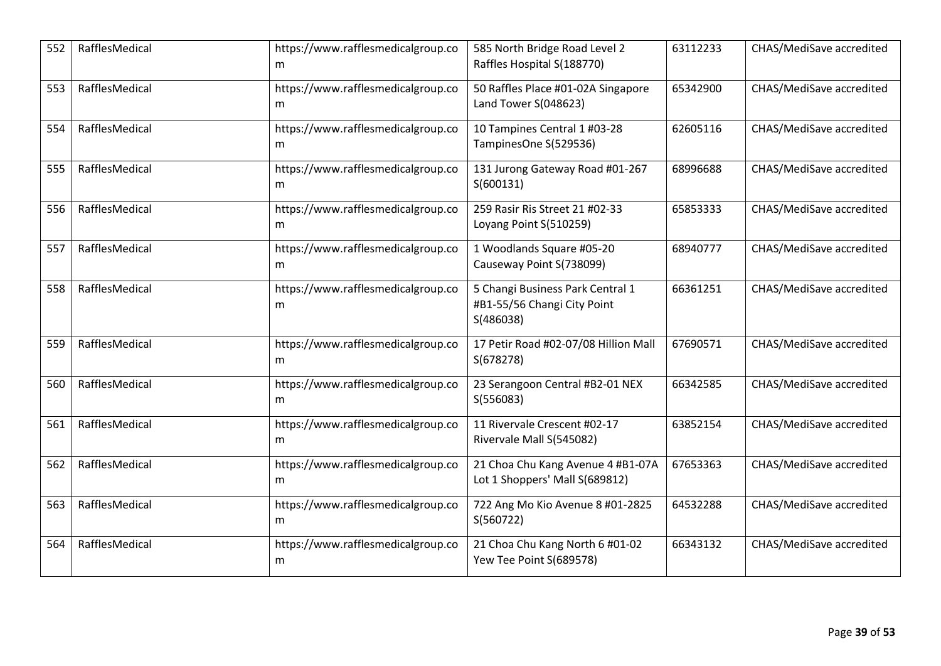| 552 | RafflesMedical | https://www.rafflesmedicalgroup.co<br>m | 585 North Bridge Road Level 2<br>Raffles Hospital S(188770)                  | 63112233 | CHAS/MediSave accredited |
|-----|----------------|-----------------------------------------|------------------------------------------------------------------------------|----------|--------------------------|
| 553 | RafflesMedical | https://www.rafflesmedicalgroup.co<br>m | 50 Raffles Place #01-02A Singapore<br>Land Tower S(048623)                   | 65342900 | CHAS/MediSave accredited |
| 554 | RafflesMedical | https://www.rafflesmedicalgroup.co<br>m | 10 Tampines Central 1 #03-28<br>TampinesOne S(529536)                        | 62605116 | CHAS/MediSave accredited |
| 555 | RafflesMedical | https://www.rafflesmedicalgroup.co<br>m | 131 Jurong Gateway Road #01-267<br>S(600131)                                 | 68996688 | CHAS/MediSave accredited |
| 556 | RafflesMedical | https://www.rafflesmedicalgroup.co<br>m | 259 Rasir Ris Street 21 #02-33<br>Loyang Point S(510259)                     | 65853333 | CHAS/MediSave accredited |
| 557 | RafflesMedical | https://www.rafflesmedicalgroup.co<br>m | 1 Woodlands Square #05-20<br>Causeway Point S(738099)                        | 68940777 | CHAS/MediSave accredited |
| 558 | RafflesMedical | https://www.rafflesmedicalgroup.co<br>m | 5 Changi Business Park Central 1<br>#B1-55/56 Changi City Point<br>S(486038) | 66361251 | CHAS/MediSave accredited |
| 559 | RafflesMedical | https://www.rafflesmedicalgroup.co<br>m | 17 Petir Road #02-07/08 Hillion Mall<br>S(678278)                            | 67690571 | CHAS/MediSave accredited |
| 560 | RafflesMedical | https://www.rafflesmedicalgroup.co<br>m | 23 Serangoon Central #B2-01 NEX<br>S(556083)                                 | 66342585 | CHAS/MediSave accredited |
| 561 | RafflesMedical | https://www.rafflesmedicalgroup.co<br>m | 11 Rivervale Crescent #02-17<br>Rivervale Mall S(545082)                     | 63852154 | CHAS/MediSave accredited |
| 562 | RafflesMedical | https://www.rafflesmedicalgroup.co<br>m | 21 Choa Chu Kang Avenue 4 #B1-07A<br>Lot 1 Shoppers' Mall S(689812)          | 67653363 | CHAS/MediSave accredited |
| 563 | RafflesMedical | https://www.rafflesmedicalgroup.co<br>m | 722 Ang Mo Kio Avenue 8 #01-2825<br>S(560722)                                | 64532288 | CHAS/MediSave accredited |
| 564 | RafflesMedical | https://www.rafflesmedicalgroup.co<br>m | 21 Choa Chu Kang North 6 #01-02<br>Yew Tee Point S(689578)                   | 66343132 | CHAS/MediSave accredited |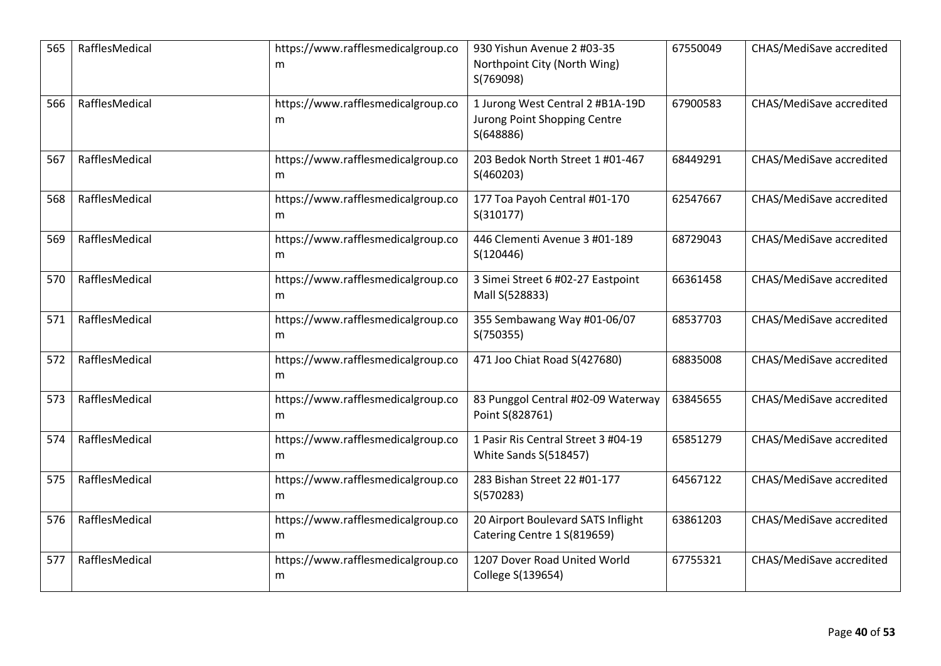| 565 | RafflesMedical | https://www.rafflesmedicalgroup.co<br>m | 930 Yishun Avenue 2 #03-35<br>Northpoint City (North Wing)<br>S(769098)       | 67550049 | CHAS/MediSave accredited |
|-----|----------------|-----------------------------------------|-------------------------------------------------------------------------------|----------|--------------------------|
| 566 | RafflesMedical | https://www.rafflesmedicalgroup.co<br>m | 1 Jurong West Central 2 #B1A-19D<br>Jurong Point Shopping Centre<br>S(648886) | 67900583 | CHAS/MediSave accredited |
| 567 | RafflesMedical | https://www.rafflesmedicalgroup.co<br>m | 203 Bedok North Street 1 #01-467<br>S(460203)                                 | 68449291 | CHAS/MediSave accredited |
| 568 | RafflesMedical | https://www.rafflesmedicalgroup.co<br>m | 177 Toa Payoh Central #01-170<br>S(310177)                                    | 62547667 | CHAS/MediSave accredited |
| 569 | RafflesMedical | https://www.rafflesmedicalgroup.co<br>m | 446 Clementi Avenue 3 #01-189<br>S(120446)                                    | 68729043 | CHAS/MediSave accredited |
| 570 | RafflesMedical | https://www.rafflesmedicalgroup.co<br>m | 3 Simei Street 6 #02-27 Eastpoint<br>Mall S(528833)                           | 66361458 | CHAS/MediSave accredited |
| 571 | RafflesMedical | https://www.rafflesmedicalgroup.co<br>m | 355 Sembawang Way #01-06/07<br>S(750355)                                      | 68537703 | CHAS/MediSave accredited |
| 572 | RafflesMedical | https://www.rafflesmedicalgroup.co<br>m | 471 Joo Chiat Road S(427680)                                                  | 68835008 | CHAS/MediSave accredited |
| 573 | RafflesMedical | https://www.rafflesmedicalgroup.co<br>m | 83 Punggol Central #02-09 Waterway<br>Point S(828761)                         | 63845655 | CHAS/MediSave accredited |
| 574 | RafflesMedical | https://www.rafflesmedicalgroup.co<br>m | 1 Pasir Ris Central Street 3 #04-19<br>White Sands S(518457)                  | 65851279 | CHAS/MediSave accredited |
| 575 | RafflesMedical | https://www.rafflesmedicalgroup.co<br>m | 283 Bishan Street 22 #01-177<br>S(570283)                                     | 64567122 | CHAS/MediSave accredited |
| 576 | RafflesMedical | https://www.rafflesmedicalgroup.co<br>m | 20 Airport Boulevard SATS Inflight<br>Catering Centre 1 S(819659)             | 63861203 | CHAS/MediSave accredited |
| 577 | RafflesMedical | https://www.rafflesmedicalgroup.co<br>m | 1207 Dover Road United World<br>College S(139654)                             | 67755321 | CHAS/MediSave accredited |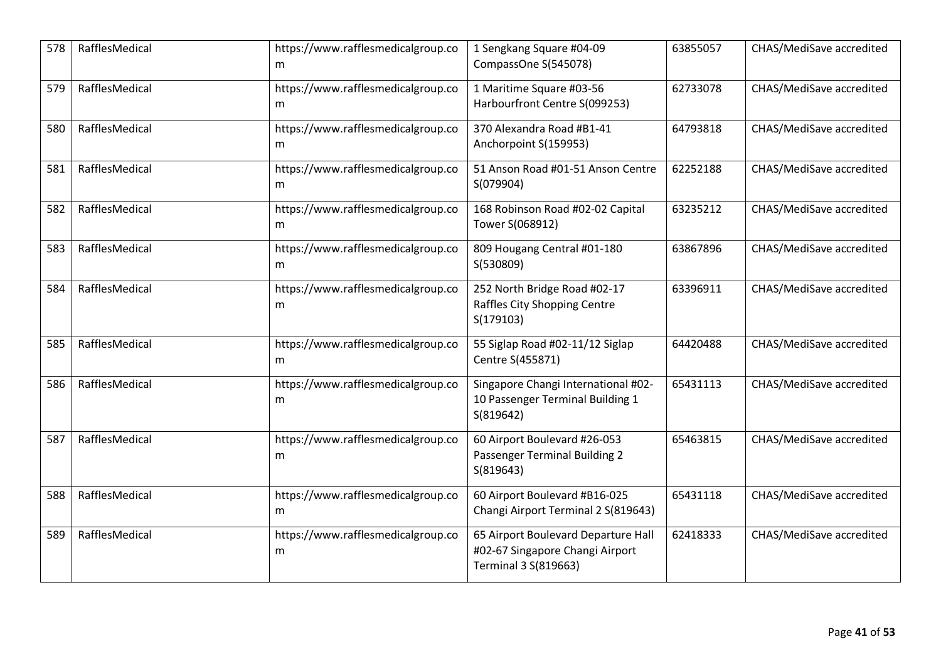| 578 | RafflesMedical | https://www.rafflesmedicalgroup.co<br>m | 1 Sengkang Square #04-09<br>CompassOne S(545078)                                               | 63855057 | CHAS/MediSave accredited |
|-----|----------------|-----------------------------------------|------------------------------------------------------------------------------------------------|----------|--------------------------|
| 579 | RafflesMedical | https://www.rafflesmedicalgroup.co<br>m | 1 Maritime Square #03-56<br>Harbourfront Centre S(099253)                                      | 62733078 | CHAS/MediSave accredited |
| 580 | RafflesMedical | https://www.rafflesmedicalgroup.co<br>m | 370 Alexandra Road #B1-41<br>Anchorpoint S(159953)                                             | 64793818 | CHAS/MediSave accredited |
| 581 | RafflesMedical | https://www.rafflesmedicalgroup.co<br>m | 51 Anson Road #01-51 Anson Centre<br>S(079904)                                                 | 62252188 | CHAS/MediSave accredited |
| 582 | RafflesMedical | https://www.rafflesmedicalgroup.co<br>m | 168 Robinson Road #02-02 Capital<br>Tower S(068912)                                            | 63235212 | CHAS/MediSave accredited |
| 583 | RafflesMedical | https://www.rafflesmedicalgroup.co<br>m | 809 Hougang Central #01-180<br>S(530809)                                                       | 63867896 | CHAS/MediSave accredited |
| 584 | RafflesMedical | https://www.rafflesmedicalgroup.co<br>m | 252 North Bridge Road #02-17<br>Raffles City Shopping Centre<br>S(179103)                      | 63396911 | CHAS/MediSave accredited |
| 585 | RafflesMedical | https://www.rafflesmedicalgroup.co<br>m | 55 Siglap Road #02-11/12 Siglap<br>Centre S(455871)                                            | 64420488 | CHAS/MediSave accredited |
| 586 | RafflesMedical | https://www.rafflesmedicalgroup.co<br>m | Singapore Changi International #02-<br>10 Passenger Terminal Building 1<br>S(819642)           | 65431113 | CHAS/MediSave accredited |
| 587 | RafflesMedical | https://www.rafflesmedicalgroup.co<br>m | 60 Airport Boulevard #26-053<br>Passenger Terminal Building 2<br>S(819643)                     | 65463815 | CHAS/MediSave accredited |
| 588 | RafflesMedical | https://www.rafflesmedicalgroup.co<br>m | 60 Airport Boulevard #B16-025<br>Changi Airport Terminal 2 S(819643)                           | 65431118 | CHAS/MediSave accredited |
| 589 | RafflesMedical | https://www.rafflesmedicalgroup.co<br>m | 65 Airport Boulevard Departure Hall<br>#02-67 Singapore Changi Airport<br>Terminal 3 S(819663) | 62418333 | CHAS/MediSave accredited |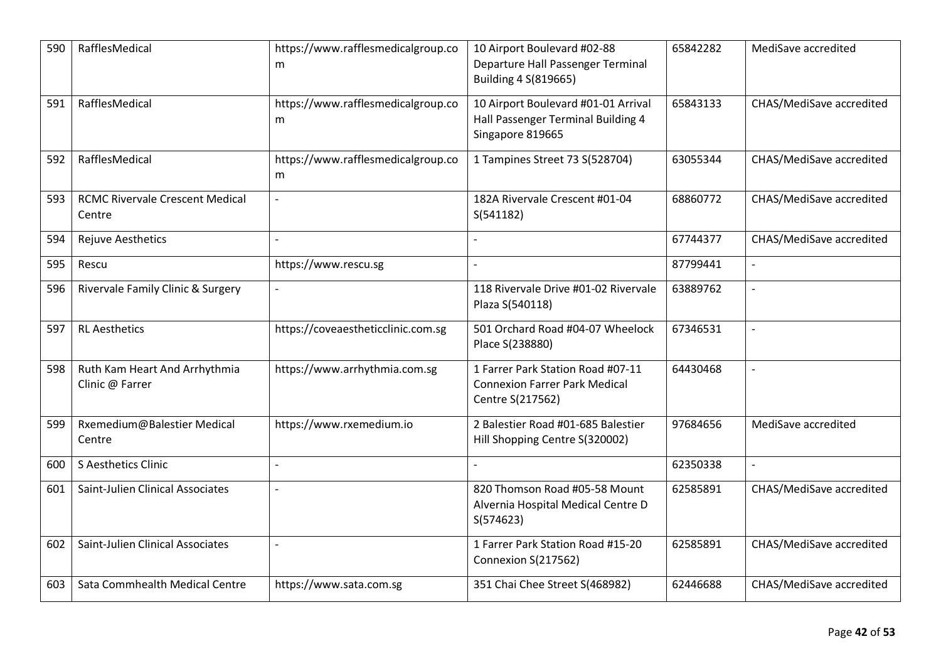| 590 | RafflesMedical                                   | https://www.rafflesmedicalgroup.co<br>m | 10 Airport Boulevard #02-88<br>Departure Hall Passenger Terminal<br>Building 4 S(819665)      | 65842282 | MediSave accredited      |
|-----|--------------------------------------------------|-----------------------------------------|-----------------------------------------------------------------------------------------------|----------|--------------------------|
| 591 | RafflesMedical                                   | https://www.rafflesmedicalgroup.co<br>m | 10 Airport Boulevard #01-01 Arrival<br>Hall Passenger Terminal Building 4<br>Singapore 819665 | 65843133 | CHAS/MediSave accredited |
| 592 | RafflesMedical                                   | https://www.rafflesmedicalgroup.co<br>m | 1 Tampines Street 73 S(528704)                                                                | 63055344 | CHAS/MediSave accredited |
| 593 | <b>RCMC Rivervale Crescent Medical</b><br>Centre | $\overline{\phantom{a}}$                | 182A Rivervale Crescent #01-04<br>S(541182)                                                   | 68860772 | CHAS/MediSave accredited |
| 594 | Rejuve Aesthetics                                |                                         |                                                                                               | 67744377 | CHAS/MediSave accredited |
| 595 | Rescu                                            | https://www.rescu.sg                    |                                                                                               | 87799441 |                          |
| 596 | Rivervale Family Clinic & Surgery                | $\overline{a}$                          | 118 Rivervale Drive #01-02 Rivervale<br>Plaza S(540118)                                       | 63889762 | $\overline{a}$           |
| 597 | <b>RL</b> Aesthetics                             | https://coveaestheticclinic.com.sg      | 501 Orchard Road #04-07 Wheelock<br>Place S(238880)                                           | 67346531 | $\blacksquare$           |
| 598 | Ruth Kam Heart And Arrhythmia<br>Clinic @ Farrer | https://www.arrhythmia.com.sg           | 1 Farrer Park Station Road #07-11<br><b>Connexion Farrer Park Medical</b><br>Centre S(217562) | 64430468 |                          |
| 599 | Rxemedium@Balestier Medical<br>Centre            | https://www.rxemedium.io                | 2 Balestier Road #01-685 Balestier<br>Hill Shopping Centre S(320002)                          | 97684656 | MediSave accredited      |
| 600 | S Aesthetics Clinic                              | $\overline{a}$                          |                                                                                               | 62350338 | $\mathbf{r}$             |
| 601 | Saint-Julien Clinical Associates                 |                                         | 820 Thomson Road #05-58 Mount<br>Alvernia Hospital Medical Centre D<br>S(574623)              | 62585891 | CHAS/MediSave accredited |
| 602 | Saint-Julien Clinical Associates                 | $\overline{a}$                          | 1 Farrer Park Station Road #15-20<br>Connexion S(217562)                                      | 62585891 | CHAS/MediSave accredited |
| 603 | Sata Commhealth Medical Centre                   | https://www.sata.com.sg                 | 351 Chai Chee Street S(468982)                                                                | 62446688 | CHAS/MediSave accredited |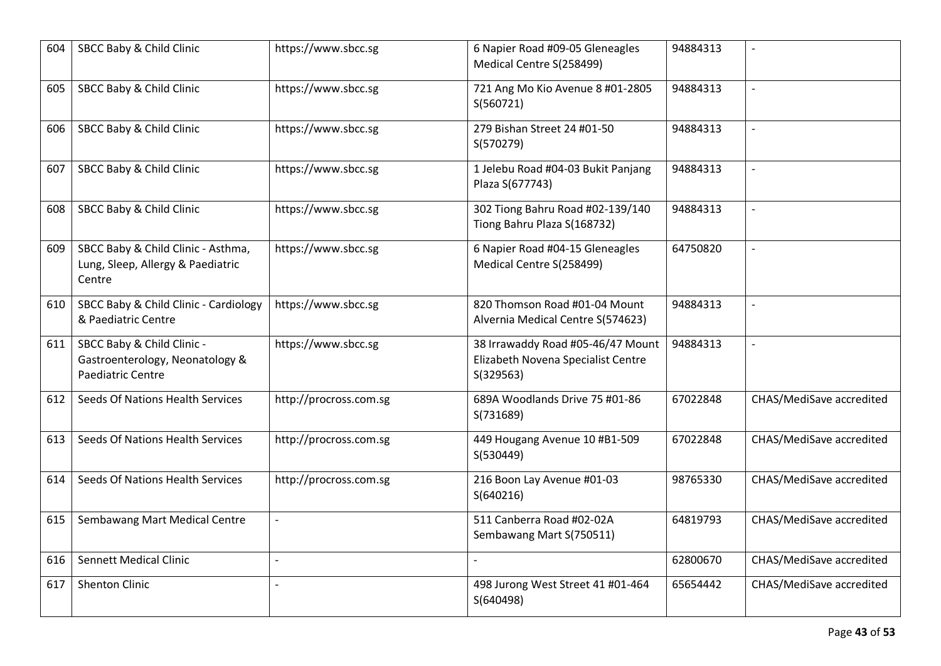| 604 | SBCC Baby & Child Clinic                                                                  | https://www.sbcc.sg    | 6 Napier Road #09-05 Gleneagles<br>Medical Centre S(258499)                          | 94884313 |                          |
|-----|-------------------------------------------------------------------------------------------|------------------------|--------------------------------------------------------------------------------------|----------|--------------------------|
| 605 | SBCC Baby & Child Clinic                                                                  | https://www.sbcc.sg    | 721 Ang Mo Kio Avenue 8 #01-2805<br>S(560721)                                        | 94884313 | $\overline{a}$           |
| 606 | SBCC Baby & Child Clinic                                                                  | https://www.sbcc.sg    | 279 Bishan Street 24 #01-50<br>S(570279)                                             | 94884313 | $\overline{a}$           |
| 607 | SBCC Baby & Child Clinic                                                                  | https://www.sbcc.sg    | 1 Jelebu Road #04-03 Bukit Panjang<br>Plaza S(677743)                                | 94884313 |                          |
| 608 | SBCC Baby & Child Clinic                                                                  | https://www.sbcc.sg    | 302 Tiong Bahru Road #02-139/140<br>Tiong Bahru Plaza S(168732)                      | 94884313 | $\overline{a}$           |
| 609 | SBCC Baby & Child Clinic - Asthma,<br>Lung, Sleep, Allergy & Paediatric<br>Centre         | https://www.sbcc.sg    | 6 Napier Road #04-15 Gleneagles<br>Medical Centre S(258499)                          | 64750820 | $\overline{a}$           |
| 610 | SBCC Baby & Child Clinic - Cardiology<br>& Paediatric Centre                              | https://www.sbcc.sg    | 820 Thomson Road #01-04 Mount<br>Alvernia Medical Centre S(574623)                   | 94884313 | $\overline{\phantom{a}}$ |
| 611 | SBCC Baby & Child Clinic -<br>Gastroenterology, Neonatology &<br><b>Paediatric Centre</b> | https://www.sbcc.sg    | 38 Irrawaddy Road #05-46/47 Mount<br>Elizabeth Novena Specialist Centre<br>S(329563) | 94884313 | $\overline{a}$           |
| 612 | Seeds Of Nations Health Services                                                          | http://procross.com.sg | 689A Woodlands Drive 75 #01-86<br>S(731689)                                          | 67022848 | CHAS/MediSave accredited |
| 613 | Seeds Of Nations Health Services                                                          | http://procross.com.sg | 449 Hougang Avenue 10 #B1-509<br>S(530449)                                           | 67022848 | CHAS/MediSave accredited |
| 614 | Seeds Of Nations Health Services                                                          | http://procross.com.sg | 216 Boon Lay Avenue #01-03<br>S(640216)                                              | 98765330 | CHAS/MediSave accredited |
| 615 | Sembawang Mart Medical Centre                                                             | $\overline{a}$         | 511 Canberra Road #02-02A<br>Sembawang Mart S(750511)                                | 64819793 | CHAS/MediSave accredited |
| 616 | <b>Sennett Medical Clinic</b>                                                             | $\overline{a}$         |                                                                                      | 62800670 | CHAS/MediSave accredited |
| 617 | <b>Shenton Clinic</b>                                                                     | $\overline{a}$         | 498 Jurong West Street 41 #01-464<br>S(640498)                                       | 65654442 | CHAS/MediSave accredited |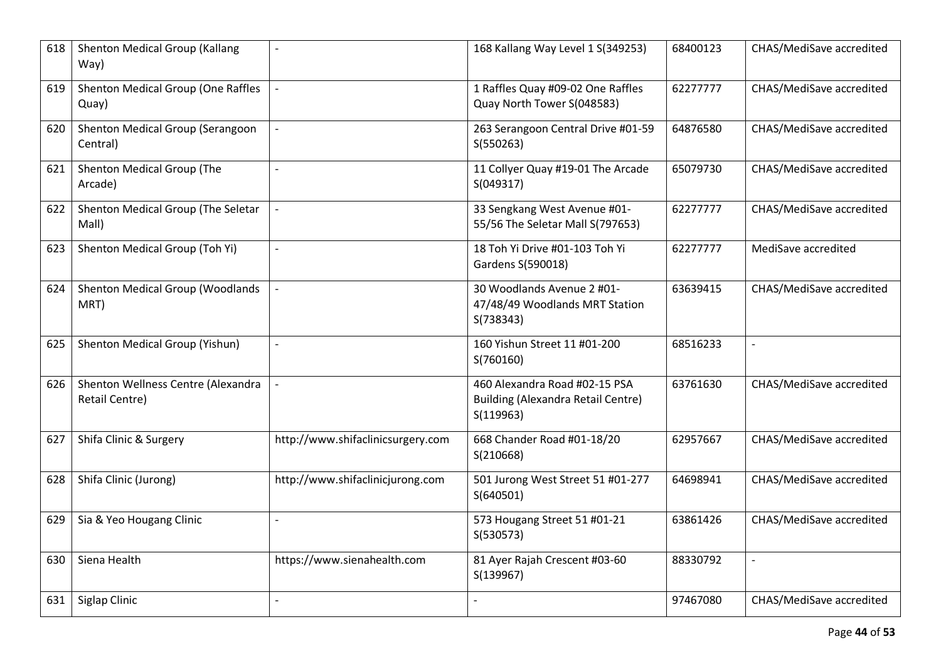| 618 | Shenton Medical Group (Kallang<br>Way)               | $\overline{\phantom{a}}$          | 168 Kallang Way Level 1 S(349253)                                                       | 68400123 | CHAS/MediSave accredited |
|-----|------------------------------------------------------|-----------------------------------|-----------------------------------------------------------------------------------------|----------|--------------------------|
| 619 | Shenton Medical Group (One Raffles<br>Quay)          |                                   | 1 Raffles Quay #09-02 One Raffles<br>Quay North Tower S(048583)                         | 62277777 | CHAS/MediSave accredited |
| 620 | Shenton Medical Group (Serangoon<br>Central)         | $\overline{\phantom{a}}$          | 263 Serangoon Central Drive #01-59<br>S(550263)                                         | 64876580 | CHAS/MediSave accredited |
| 621 | Shenton Medical Group (The<br>Arcade)                | $\overline{\phantom{a}}$          | 11 Collyer Quay #19-01 The Arcade<br>S(049317)                                          | 65079730 | CHAS/MediSave accredited |
| 622 | Shenton Medical Group (The Seletar<br>Mall)          |                                   | 33 Sengkang West Avenue #01-<br>55/56 The Seletar Mall S(797653)                        | 62277777 | CHAS/MediSave accredited |
| 623 | Shenton Medical Group (Toh Yi)                       | $\overline{\phantom{a}}$          | 18 Toh Yi Drive #01-103 Toh Yi<br>Gardens S(590018)                                     | 62277777 | MediSave accredited      |
| 624 | Shenton Medical Group (Woodlands<br>MRT)             |                                   | 30 Woodlands Avenue 2 #01-<br>47/48/49 Woodlands MRT Station<br>S(738343)               | 63639415 | CHAS/MediSave accredited |
| 625 | Shenton Medical Group (Yishun)                       | $\blacksquare$                    | 160 Yishun Street 11 #01-200<br>S(760160)                                               | 68516233 | $\overline{a}$           |
| 626 | Shenton Wellness Centre (Alexandra<br>Retail Centre) |                                   | 460 Alexandra Road #02-15 PSA<br><b>Building (Alexandra Retail Centre)</b><br>S(119963) | 63761630 | CHAS/MediSave accredited |
| 627 | Shifa Clinic & Surgery                               | http://www.shifaclinicsurgery.com | 668 Chander Road #01-18/20<br>S(210668)                                                 | 62957667 | CHAS/MediSave accredited |
| 628 | Shifa Clinic (Jurong)                                | http://www.shifaclinicjurong.com  | 501 Jurong West Street 51 #01-277<br>S(640501)                                          | 64698941 | CHAS/MediSave accredited |
| 629 | Sia & Yeo Hougang Clinic                             | $\overline{\phantom{a}}$          | 573 Hougang Street 51 #01-21<br>S(530573)                                               | 63861426 | CHAS/MediSave accredited |
| 630 | Siena Health                                         | https://www.sienahealth.com       | 81 Ayer Rajah Crescent #03-60<br>S(139967)                                              | 88330792 | $\overline{\phantom{a}}$ |
| 631 | Siglap Clinic                                        | $\overline{\phantom{a}}$          |                                                                                         | 97467080 | CHAS/MediSave accredited |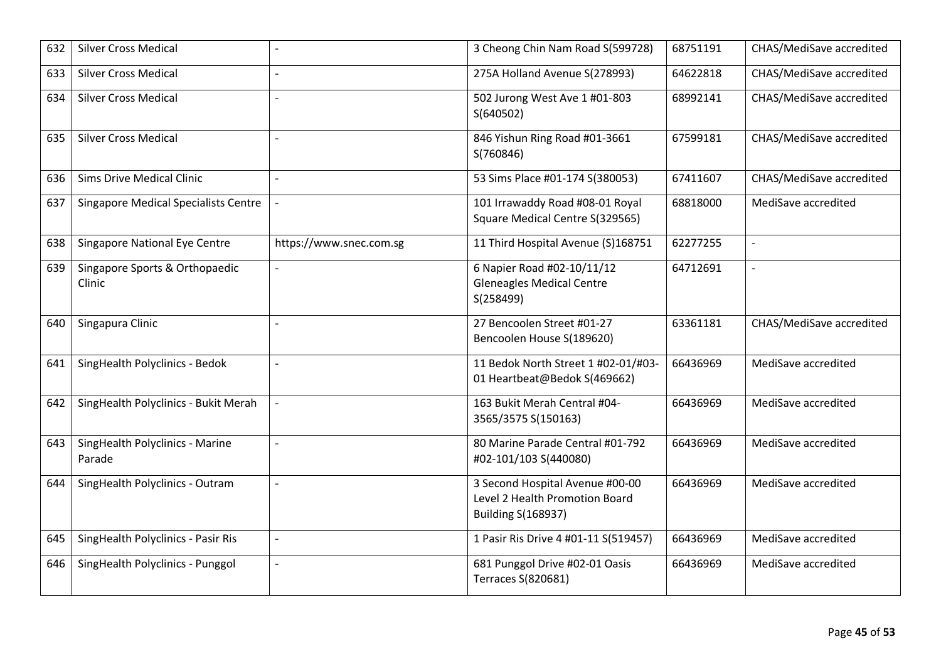| 632 | <b>Silver Cross Medical</b>                 | $\overline{a}$           | 3 Cheong Chin Nam Road S(599728)                                                               | 68751191 | CHAS/MediSave accredited |
|-----|---------------------------------------------|--------------------------|------------------------------------------------------------------------------------------------|----------|--------------------------|
| 633 | <b>Silver Cross Medical</b>                 | $\overline{a}$           | 275A Holland Avenue S(278993)                                                                  | 64622818 | CHAS/MediSave accredited |
| 634 | <b>Silver Cross Medical</b>                 |                          | 502 Jurong West Ave 1 #01-803<br>S(640502)                                                     | 68992141 | CHAS/MediSave accredited |
| 635 | <b>Silver Cross Medical</b>                 |                          | 846 Yishun Ring Road #01-3661<br>S(760846)                                                     | 67599181 | CHAS/MediSave accredited |
| 636 | <b>Sims Drive Medical Clinic</b>            |                          | 53 Sims Place #01-174 S(380053)                                                                | 67411607 | CHAS/MediSave accredited |
| 637 | <b>Singapore Medical Specialists Centre</b> |                          | 101 Irrawaddy Road #08-01 Royal<br>Square Medical Centre S(329565)                             | 68818000 | MediSave accredited      |
| 638 | Singapore National Eye Centre               | https://www.snec.com.sg  | 11 Third Hospital Avenue (S)168751                                                             | 62277255 |                          |
| 639 | Singapore Sports & Orthopaedic<br>Clinic    | $\overline{a}$           | 6 Napier Road #02-10/11/12<br><b>Gleneagles Medical Centre</b><br>S(258499)                    | 64712691 | $\overline{a}$           |
| 640 | Singapura Clinic                            | $\overline{a}$           | 27 Bencoolen Street #01-27<br>Bencoolen House S(189620)                                        | 63361181 | CHAS/MediSave accredited |
| 641 | SingHealth Polyclinics - Bedok              | $\overline{a}$           | 11 Bedok North Street 1 #02-01/#03-<br>01 Heartbeat@Bedok S(469662)                            | 66436969 | MediSave accredited      |
| 642 | SingHealth Polyclinics - Bukit Merah        |                          | 163 Bukit Merah Central #04-<br>3565/3575 S(150163)                                            | 66436969 | MediSave accredited      |
| 643 | SingHealth Polyclinics - Marine<br>Parade   | $\overline{a}$           | 80 Marine Parade Central #01-792<br>#02-101/103 S(440080)                                      | 66436969 | MediSave accredited      |
| 644 | SingHealth Polyclinics - Outram             | $\blacksquare$           | 3 Second Hospital Avenue #00-00<br>Level 2 Health Promotion Board<br><b>Building S(168937)</b> | 66436969 | MediSave accredited      |
| 645 | SingHealth Polyclinics - Pasir Ris          | $\overline{\phantom{a}}$ | 1 Pasir Ris Drive 4 #01-11 S(519457)                                                           | 66436969 | MediSave accredited      |
| 646 | SingHealth Polyclinics - Punggol            | $\blacksquare$           | 681 Punggol Drive #02-01 Oasis<br>Terraces S(820681)                                           | 66436969 | MediSave accredited      |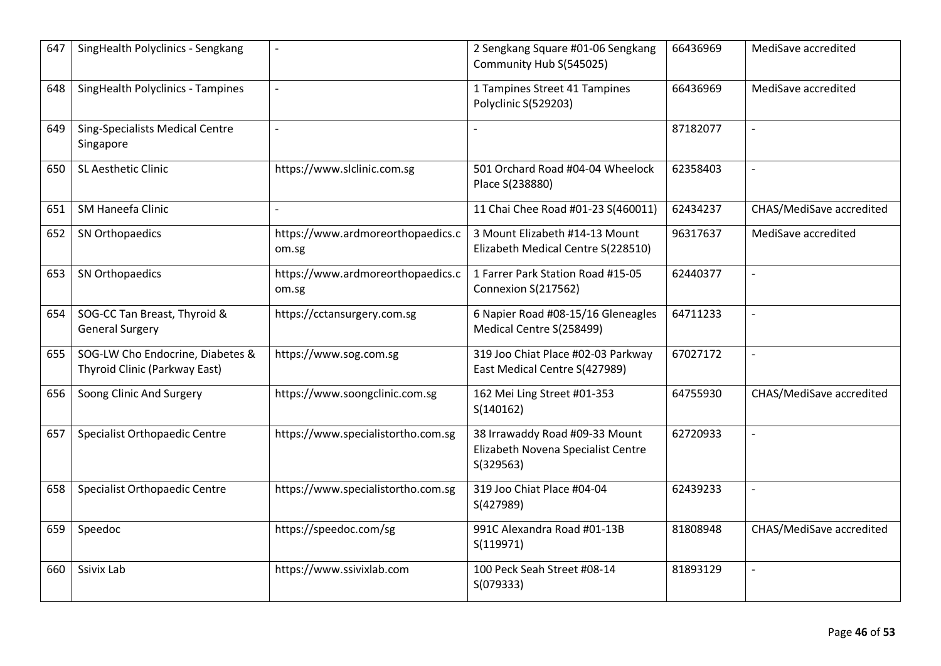| 647 | SingHealth Polyclinics - Sengkang                                 | $\overline{\phantom{a}}$                   | 2 Sengkang Square #01-06 Sengkang<br>Community Hub S(545025)                      | 66436969 | MediSave accredited      |
|-----|-------------------------------------------------------------------|--------------------------------------------|-----------------------------------------------------------------------------------|----------|--------------------------|
| 648 | SingHealth Polyclinics - Tampines                                 | $\overline{a}$                             | 1 Tampines Street 41 Tampines<br>Polyclinic S(529203)                             | 66436969 | MediSave accredited      |
| 649 | <b>Sing-Specialists Medical Centre</b><br>Singapore               |                                            |                                                                                   | 87182077 |                          |
| 650 | SL Aesthetic Clinic                                               | https://www.slclinic.com.sg                | 501 Orchard Road #04-04 Wheelock<br>Place S(238880)                               | 62358403 | $\blacksquare$           |
| 651 | SM Haneefa Clinic                                                 | $\overline{a}$                             | 11 Chai Chee Road #01-23 S(460011)                                                | 62434237 | CHAS/MediSave accredited |
| 652 | SN Orthopaedics                                                   | https://www.ardmoreorthopaedics.c<br>om.sg | 3 Mount Elizabeth #14-13 Mount<br>Elizabeth Medical Centre S(228510)              | 96317637 | MediSave accredited      |
| 653 | SN Orthopaedics                                                   | https://www.ardmoreorthopaedics.c<br>om.sg | 1 Farrer Park Station Road #15-05<br>Connexion S(217562)                          | 62440377 | $\overline{a}$           |
| 654 | SOG-CC Tan Breast, Thyroid &<br><b>General Surgery</b>            | https://cctansurgery.com.sg                | 6 Napier Road #08-15/16 Gleneagles<br>Medical Centre S(258499)                    | 64711233 | $\overline{\phantom{a}}$ |
| 655 | SOG-LW Cho Endocrine, Diabetes &<br>Thyroid Clinic (Parkway East) | https://www.sog.com.sg                     | 319 Joo Chiat Place #02-03 Parkway<br>East Medical Centre S(427989)               | 67027172 |                          |
| 656 | Soong Clinic And Surgery                                          | https://www.soongclinic.com.sg             | 162 Mei Ling Street #01-353<br>S(140162)                                          | 64755930 | CHAS/MediSave accredited |
| 657 | Specialist Orthopaedic Centre                                     | https://www.specialistortho.com.sg         | 38 Irrawaddy Road #09-33 Mount<br>Elizabeth Novena Specialist Centre<br>S(329563) | 62720933 | $\blacksquare$           |
| 658 | Specialist Orthopaedic Centre                                     | https://www.specialistortho.com.sg         | 319 Joo Chiat Place #04-04<br>S(427989)                                           | 62439233 |                          |
| 659 | Speedoc                                                           | https://speedoc.com/sg                     | 991C Alexandra Road #01-13B<br>S(119971)                                          | 81808948 | CHAS/MediSave accredited |
| 660 | Ssivix Lab                                                        | https://www.ssivixlab.com                  | 100 Peck Seah Street #08-14<br>S(079333)                                          | 81893129 | $\overline{\phantom{a}}$ |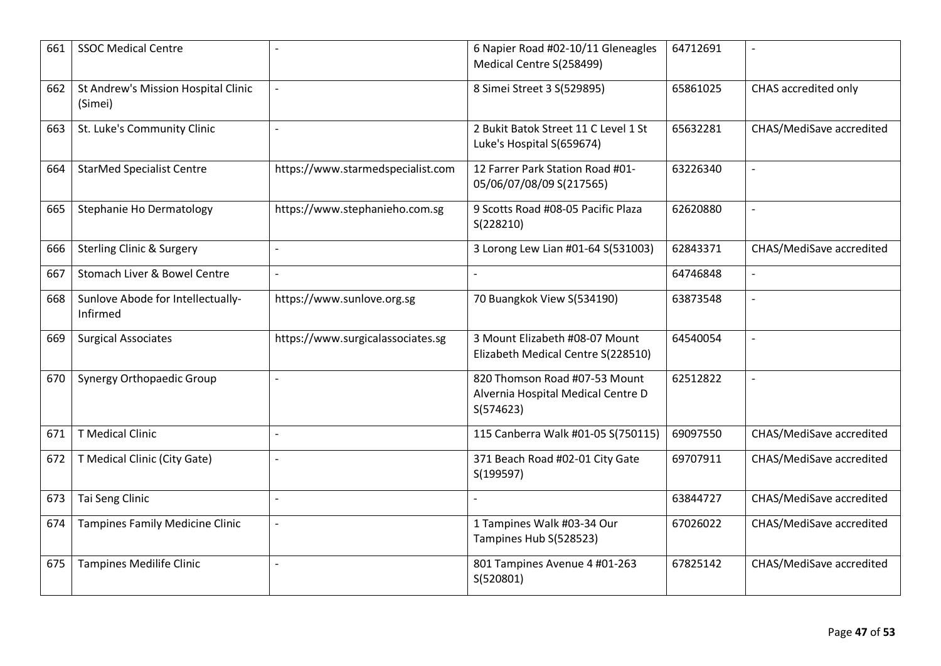| 661 | <b>SSOC Medical Centre</b>                     |                                   | 6 Napier Road #02-10/11 Gleneagles<br>Medical Centre S(258499)                   | 64712691 |                          |
|-----|------------------------------------------------|-----------------------------------|----------------------------------------------------------------------------------|----------|--------------------------|
| 662 | St Andrew's Mission Hospital Clinic<br>(Simei) |                                   | 8 Simei Street 3 S(529895)                                                       | 65861025 | CHAS accredited only     |
| 663 | St. Luke's Community Clinic                    | $\overline{a}$                    | 2 Bukit Batok Street 11 C Level 1 St<br>Luke's Hospital S(659674)                | 65632281 | CHAS/MediSave accredited |
| 664 | <b>StarMed Specialist Centre</b>               | https://www.starmedspecialist.com | 12 Farrer Park Station Road #01-<br>05/06/07/08/09 S(217565)                     | 63226340 | $\blacksquare$           |
| 665 | Stephanie Ho Dermatology                       | https://www.stephanieho.com.sg    | 9 Scotts Road #08-05 Pacific Plaza<br>S(228210)                                  | 62620880 |                          |
| 666 | <b>Sterling Clinic &amp; Surgery</b>           | $\overline{a}$                    | 3 Lorong Lew Lian #01-64 S(531003)                                               | 62843371 | CHAS/MediSave accredited |
| 667 | Stomach Liver & Bowel Centre                   | $\overline{a}$                    |                                                                                  | 64746848 | $\blacksquare$           |
| 668 | Sunlove Abode for Intellectually-<br>Infirmed  | https://www.sunlove.org.sg        | 70 Buangkok View S(534190)                                                       | 63873548 |                          |
| 669 | <b>Surgical Associates</b>                     | https://www.surgicalassociates.sg | 3 Mount Elizabeth #08-07 Mount<br>Elizabeth Medical Centre S(228510)             | 64540054 | $\overline{\phantom{a}}$ |
| 670 | Synergy Orthopaedic Group                      | $\overline{a}$                    | 820 Thomson Road #07-53 Mount<br>Alvernia Hospital Medical Centre D<br>S(574623) | 62512822 |                          |
| 671 | <b>T</b> Medical Clinic                        |                                   | 115 Canberra Walk #01-05 S(750115)                                               | 69097550 | CHAS/MediSave accredited |
| 672 | T Medical Clinic (City Gate)                   | $\overline{\phantom{0}}$          | 371 Beach Road #02-01 City Gate<br>S(199597)                                     | 69707911 | CHAS/MediSave accredited |
| 673 | Tai Seng Clinic                                |                                   |                                                                                  | 63844727 | CHAS/MediSave accredited |
| 674 | <b>Tampines Family Medicine Clinic</b>         | $\overline{a}$                    | 1 Tampines Walk #03-34 Our<br>Tampines Hub S(528523)                             | 67026022 | CHAS/MediSave accredited |
| 675 | <b>Tampines Medilife Clinic</b>                | $\overline{a}$                    | 801 Tampines Avenue 4 #01-263<br>S(520801)                                       | 67825142 | CHAS/MediSave accredited |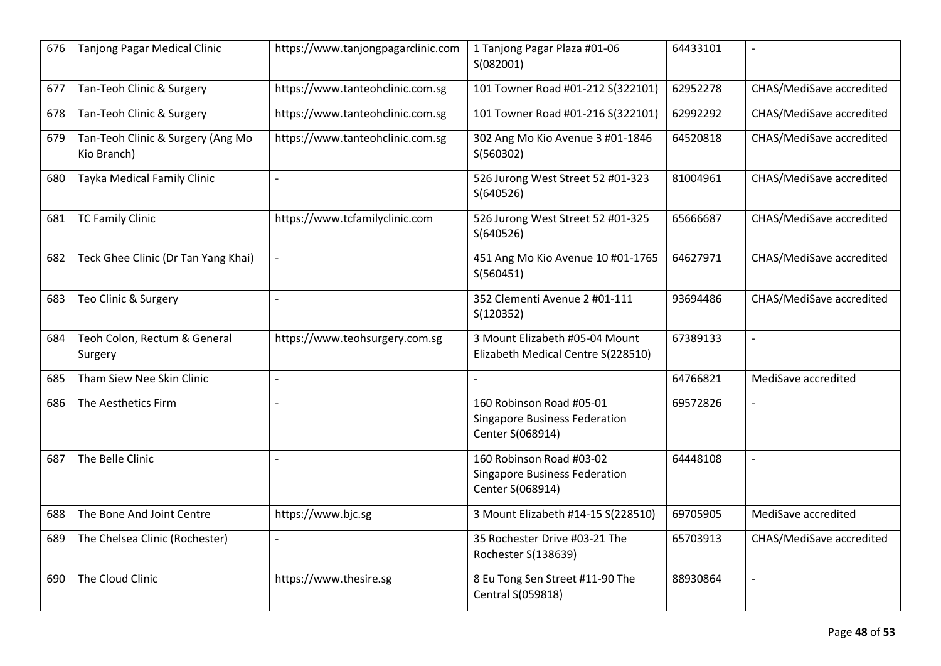| 676 | <b>Tanjong Pagar Medical Clinic</b>              | https://www.tanjongpagarclinic.com | 1 Tanjong Pagar Plaza #01-06<br>S(082001)                                            | 64433101 |                          |
|-----|--------------------------------------------------|------------------------------------|--------------------------------------------------------------------------------------|----------|--------------------------|
| 677 | Tan-Teoh Clinic & Surgery                        | https://www.tanteohclinic.com.sg   | 101 Towner Road #01-212 S(322101)                                                    | 62952278 | CHAS/MediSave accredited |
| 678 | Tan-Teoh Clinic & Surgery                        | https://www.tanteohclinic.com.sg   | 101 Towner Road #01-216 S(322101)                                                    | 62992292 | CHAS/MediSave accredited |
| 679 | Tan-Teoh Clinic & Surgery (Ang Mo<br>Kio Branch) | https://www.tanteohclinic.com.sg   | 302 Ang Mo Kio Avenue 3 #01-1846<br>S(560302)                                        | 64520818 | CHAS/MediSave accredited |
| 680 | Tayka Medical Family Clinic                      | $\overline{a}$                     | 526 Jurong West Street 52 #01-323<br>S(640526)                                       | 81004961 | CHAS/MediSave accredited |
| 681 | <b>TC Family Clinic</b>                          | https://www.tcfamilyclinic.com     | 526 Jurong West Street 52 #01-325<br>S(640526)                                       | 65666687 | CHAS/MediSave accredited |
| 682 | Teck Ghee Clinic (Dr Tan Yang Khai)              | $\overline{a}$                     | 451 Ang Mo Kio Avenue 10 #01-1765<br>S(560451)                                       | 64627971 | CHAS/MediSave accredited |
| 683 | Teo Clinic & Surgery                             | $\overline{a}$                     | 352 Clementi Avenue 2 #01-111<br>S(120352)                                           | 93694486 | CHAS/MediSave accredited |
| 684 | Teoh Colon, Rectum & General<br>Surgery          | https://www.teohsurgery.com.sg     | 3 Mount Elizabeth #05-04 Mount<br>Elizabeth Medical Centre S(228510)                 | 67389133 | $\overline{\phantom{a}}$ |
| 685 | Tham Siew Nee Skin Clinic                        | $\overline{a}$                     |                                                                                      | 64766821 | MediSave accredited      |
| 686 | The Aesthetics Firm                              |                                    | 160 Robinson Road #05-01<br><b>Singapore Business Federation</b><br>Center S(068914) | 69572826 |                          |
| 687 | The Belle Clinic                                 |                                    | 160 Robinson Road #03-02<br><b>Singapore Business Federation</b><br>Center S(068914) | 64448108 |                          |
| 688 | The Bone And Joint Centre                        | https://www.bjc.sg                 | 3 Mount Elizabeth #14-15 S(228510)                                                   | 69705905 | MediSave accredited      |
| 689 | The Chelsea Clinic (Rochester)                   |                                    | 35 Rochester Drive #03-21 The<br>Rochester S(138639)                                 | 65703913 | CHAS/MediSave accredited |
| 690 | The Cloud Clinic                                 | https://www.thesire.sg             | 8 Eu Tong Sen Street #11-90 The<br>Central S(059818)                                 | 88930864 |                          |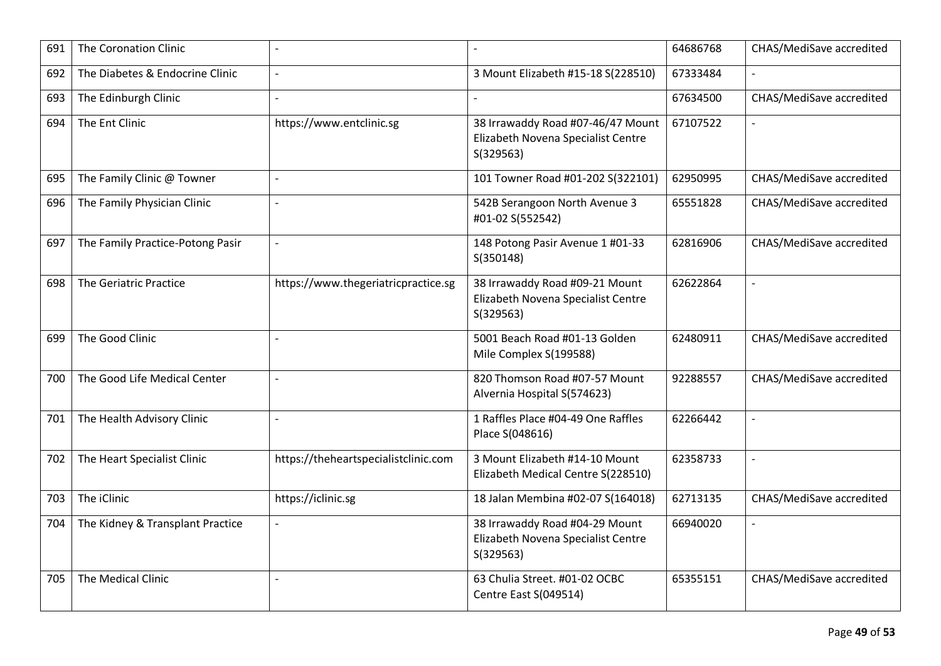| 691 | The Coronation Clinic            | $\overline{a}$                       |                                                                                      | 64686768 | CHAS/MediSave accredited |
|-----|----------------------------------|--------------------------------------|--------------------------------------------------------------------------------------|----------|--------------------------|
| 692 | The Diabetes & Endocrine Clinic  | $\overline{a}$                       | 3 Mount Elizabeth #15-18 S(228510)                                                   | 67333484 | $\overline{\phantom{a}}$ |
| 693 | The Edinburgh Clinic             |                                      |                                                                                      | 67634500 | CHAS/MediSave accredited |
| 694 | The Ent Clinic                   | https://www.entclinic.sg             | 38 Irrawaddy Road #07-46/47 Mount<br>Elizabeth Novena Specialist Centre<br>S(329563) | 67107522 | $\overline{\phantom{a}}$ |
| 695 | The Family Clinic @ Towner       | $\overline{a}$                       | 101 Towner Road #01-202 S(322101)                                                    | 62950995 | CHAS/MediSave accredited |
| 696 | The Family Physician Clinic      | $\overline{\phantom{a}}$             | 542B Serangoon North Avenue 3<br>#01-02 S(552542)                                    | 65551828 | CHAS/MediSave accredited |
| 697 | The Family Practice-Potong Pasir | $\overline{\phantom{a}}$             | 148 Potong Pasir Avenue 1 #01-33<br>S(350148)                                        | 62816906 | CHAS/MediSave accredited |
| 698 | <b>The Geriatric Practice</b>    | https://www.thegeriatricpractice.sg  | 38 Irrawaddy Road #09-21 Mount<br>Elizabeth Novena Specialist Centre<br>S(329563)    | 62622864 | $\overline{\phantom{a}}$ |
| 699 | The Good Clinic                  | $\overline{a}$                       | 5001 Beach Road #01-13 Golden<br>Mile Complex S(199588)                              | 62480911 | CHAS/MediSave accredited |
| 700 | The Good Life Medical Center     | $\overline{a}$                       | 820 Thomson Road #07-57 Mount<br>Alvernia Hospital S(574623)                         | 92288557 | CHAS/MediSave accredited |
| 701 | The Health Advisory Clinic       | $\overline{a}$                       | 1 Raffles Place #04-49 One Raffles<br>Place S(048616)                                | 62266442 | $\overline{a}$           |
| 702 | The Heart Specialist Clinic      | https://theheartspecialistclinic.com | 3 Mount Elizabeth #14-10 Mount<br>Elizabeth Medical Centre S(228510)                 | 62358733 | $\overline{\phantom{a}}$ |
| 703 | The iClinic                      | https://iclinic.sg                   | 18 Jalan Membina #02-07 S(164018)                                                    | 62713135 | CHAS/MediSave accredited |
| 704 | The Kidney & Transplant Practice | $\overline{a}$                       | 38 Irrawaddy Road #04-29 Mount<br>Elizabeth Novena Specialist Centre<br>S(329563)    | 66940020 | $\blacksquare$           |
| 705 | The Medical Clinic               | $\overline{a}$                       | 63 Chulia Street. #01-02 OCBC<br>Centre East S(049514)                               | 65355151 | CHAS/MediSave accredited |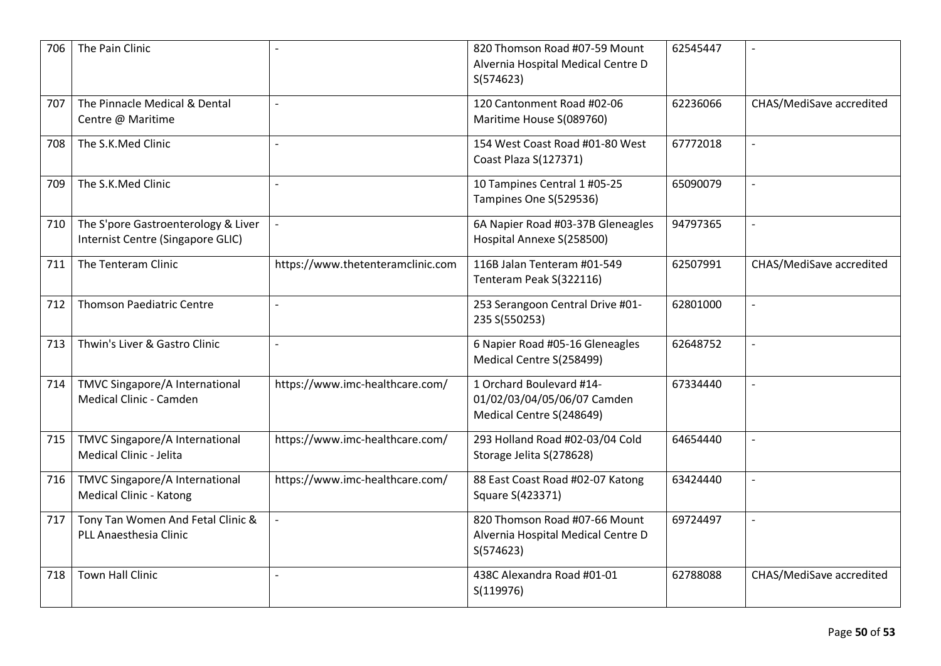| 706 | The Pain Clinic                                                          |                                   | 820 Thomson Road #07-59 Mount<br>Alvernia Hospital Medical Centre D<br>S(574623)    | 62545447 |                          |
|-----|--------------------------------------------------------------------------|-----------------------------------|-------------------------------------------------------------------------------------|----------|--------------------------|
| 707 | The Pinnacle Medical & Dental<br>Centre @ Maritime                       | $\mathbf{r}$                      | 120 Cantonment Road #02-06<br>Maritime House S(089760)                              | 62236066 | CHAS/MediSave accredited |
| 708 | The S.K.Med Clinic                                                       |                                   | 154 West Coast Road #01-80 West<br>Coast Plaza S(127371)                            | 67772018 |                          |
| 709 | The S.K.Med Clinic                                                       |                                   | 10 Tampines Central 1 #05-25<br>Tampines One S(529536)                              | 65090079 |                          |
| 710 | The S'pore Gastroenterology & Liver<br>Internist Centre (Singapore GLIC) |                                   | 6A Napier Road #03-37B Gleneagles<br>Hospital Annexe S(258500)                      | 94797365 | $\blacksquare$           |
| 711 | The Tenteram Clinic                                                      | https://www.thetenteramclinic.com | 116B Jalan Tenteram #01-549<br>Tenteram Peak S(322116)                              | 62507991 | CHAS/MediSave accredited |
| 712 | <b>Thomson Paediatric Centre</b>                                         |                                   | 253 Serangoon Central Drive #01-<br>235 S(550253)                                   | 62801000 |                          |
| 713 | Thwin's Liver & Gastro Clinic                                            | $\overline{a}$                    | 6 Napier Road #05-16 Gleneagles<br>Medical Centre S(258499)                         | 62648752 | $\overline{a}$           |
| 714 | TMVC Singapore/A International<br><b>Medical Clinic - Camden</b>         | https://www.imc-healthcare.com/   | 1 Orchard Boulevard #14-<br>01/02/03/04/05/06/07 Camden<br>Medical Centre S(248649) | 67334440 | $\overline{a}$           |
| 715 | TMVC Singapore/A International<br>Medical Clinic - Jelita                | https://www.imc-healthcare.com/   | 293 Holland Road #02-03/04 Cold<br>Storage Jelita S(278628)                         | 64654440 | $\overline{a}$           |
| 716 | TMVC Singapore/A International<br><b>Medical Clinic - Katong</b>         | https://www.imc-healthcare.com/   | 88 East Coast Road #02-07 Katong<br>Square S(423371)                                | 63424440 | $\overline{\phantom{a}}$ |
| 717 | Tony Tan Women And Fetal Clinic &<br>PLL Anaesthesia Clinic              |                                   | 820 Thomson Road #07-66 Mount<br>Alvernia Hospital Medical Centre D<br>S(574623)    | 69724497 | $\overline{a}$           |
| 718 | <b>Town Hall Clinic</b>                                                  | $\overline{a}$                    | 438C Alexandra Road #01-01<br>S(119976)                                             | 62788088 | CHAS/MediSave accredited |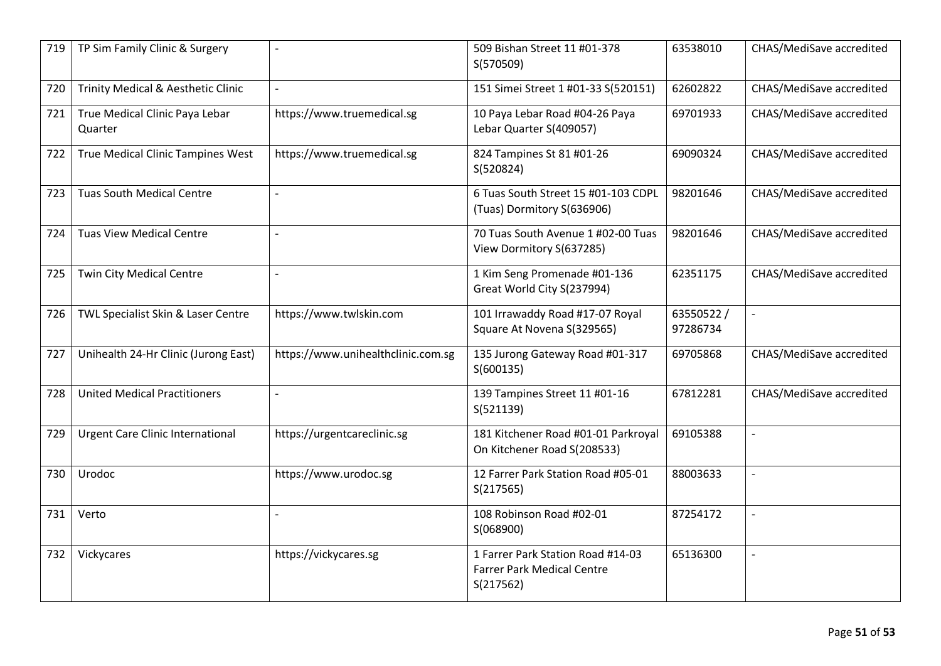| 719 | TP Sim Family Clinic & Surgery            | $\overline{\phantom{a}}$           | 509 Bishan Street 11 #01-378<br>S(570509)                                           | 63538010              | CHAS/MediSave accredited |
|-----|-------------------------------------------|------------------------------------|-------------------------------------------------------------------------------------|-----------------------|--------------------------|
| 720 | Trinity Medical & Aesthetic Clinic        | $\overline{a}$                     | 151 Simei Street 1 #01-33 S(520151)                                                 | 62602822              | CHAS/MediSave accredited |
| 721 | True Medical Clinic Paya Lebar<br>Quarter | https://www.truemedical.sg         | 10 Paya Lebar Road #04-26 Paya<br>Lebar Quarter S(409057)                           | 69701933              | CHAS/MediSave accredited |
| 722 | <b>True Medical Clinic Tampines West</b>  | https://www.truemedical.sg         | 824 Tampines St 81 #01-26<br>S(520824)                                              | 69090324              | CHAS/MediSave accredited |
| 723 | <b>Tuas South Medical Centre</b>          | $\overline{a}$                     | 6 Tuas South Street 15 #01-103 CDPL<br>(Tuas) Dormitory S(636906)                   | 98201646              | CHAS/MediSave accredited |
| 724 | <b>Tuas View Medical Centre</b>           |                                    | 70 Tuas South Avenue 1 #02-00 Tuas<br>View Dormitory S(637285)                      | 98201646              | CHAS/MediSave accredited |
| 725 | Twin City Medical Centre                  | $\overline{\phantom{a}}$           | 1 Kim Seng Promenade #01-136<br>Great World City S(237994)                          | 62351175              | CHAS/MediSave accredited |
| 726 | TWL Specialist Skin & Laser Centre        | https://www.twlskin.com            | 101 Irrawaddy Road #17-07 Royal<br>Square At Novena S(329565)                       | 63550522/<br>97286734 | $\overline{\phantom{0}}$ |
| 727 | Unihealth 24-Hr Clinic (Jurong East)      | https://www.unihealthclinic.com.sg | 135 Jurong Gateway Road #01-317<br>S(600135)                                        | 69705868              | CHAS/MediSave accredited |
| 728 | <b>United Medical Practitioners</b>       | $\blacksquare$                     | 139 Tampines Street 11 #01-16<br>S(521139)                                          | 67812281              | CHAS/MediSave accredited |
| 729 | <b>Urgent Care Clinic International</b>   | https://urgentcareclinic.sg        | 181 Kitchener Road #01-01 Parkroyal<br>On Kitchener Road S(208533)                  | 69105388              | $\overline{\phantom{0}}$ |
| 730 | Urodoc                                    | https://www.urodoc.sg              | 12 Farrer Park Station Road #05-01<br>S(217565)                                     | 88003633              | $\overline{\phantom{a}}$ |
| 731 | Verto                                     | $\overline{a}$                     | 108 Robinson Road #02-01<br>S(068900)                                               | 87254172              | $\overline{\phantom{a}}$ |
| 732 | Vickycares                                | https://vickycares.sg              | 1 Farrer Park Station Road #14-03<br><b>Farrer Park Medical Centre</b><br>S(217562) | 65136300              | $\overline{\phantom{0}}$ |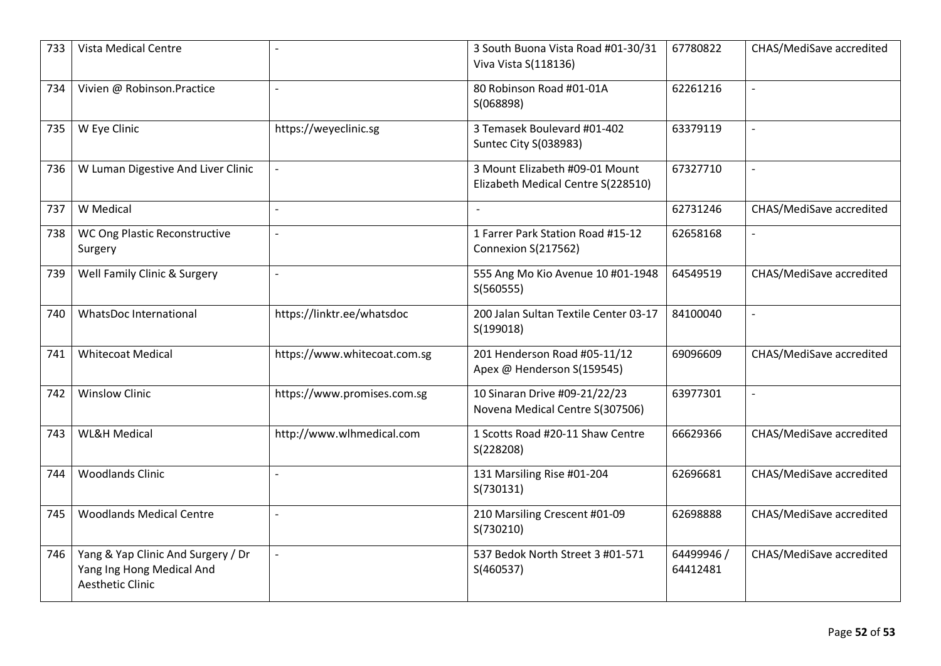| 733 | <b>Vista Medical Centre</b>                                                                |                              | 3 South Buona Vista Road #01-30/31<br>Viva Vista S(118136)           | 67780822               | CHAS/MediSave accredited |
|-----|--------------------------------------------------------------------------------------------|------------------------------|----------------------------------------------------------------------|------------------------|--------------------------|
| 734 | Vivien @ Robinson.Practice                                                                 | $\overline{a}$               | 80 Robinson Road #01-01A<br>S(068898)                                | 62261216               | $\overline{a}$           |
| 735 | W Eye Clinic                                                                               | https://weyeclinic.sg        | 3 Temasek Boulevard #01-402<br>Suntec City S(038983)                 | 63379119               |                          |
| 736 | W Luman Digestive And Liver Clinic                                                         |                              | 3 Mount Elizabeth #09-01 Mount<br>Elizabeth Medical Centre S(228510) | 67327710               | $\overline{\phantom{a}}$ |
| 737 | W Medical                                                                                  | $\overline{a}$               | $\overline{\phantom{a}}$                                             | 62731246               | CHAS/MediSave accredited |
| 738 | WC Ong Plastic Reconstructive<br>Surgery                                                   |                              | 1 Farrer Park Station Road #15-12<br>Connexion S(217562)             | 62658168               |                          |
| 739 | Well Family Clinic & Surgery                                                               | $\overline{a}$               | 555 Ang Mo Kio Avenue 10 #01-1948<br>S(560555)                       | 64549519               | CHAS/MediSave accredited |
| 740 | <b>WhatsDoc International</b>                                                              | https://linktr.ee/whatsdoc   | 200 Jalan Sultan Textile Center 03-17<br>S(199018)                   | 84100040               | $\overline{a}$           |
| 741 | <b>Whitecoat Medical</b>                                                                   | https://www.whitecoat.com.sg | 201 Henderson Road #05-11/12<br>Apex @ Henderson S(159545)           | 69096609               | CHAS/MediSave accredited |
| 742 | <b>Winslow Clinic</b>                                                                      | https://www.promises.com.sg  | 10 Sinaran Drive #09-21/22/23<br>Novena Medical Centre S(307506)     | 63977301               | $\overline{a}$           |
| 743 | <b>WL&amp;H Medical</b>                                                                    | http://www.wlhmedical.com    | 1 Scotts Road #20-11 Shaw Centre<br>S(228208)                        | 66629366               | CHAS/MediSave accredited |
| 744 | <b>Woodlands Clinic</b>                                                                    | $\overline{a}$               | 131 Marsiling Rise #01-204<br>S(730131)                              | 62696681               | CHAS/MediSave accredited |
| 745 | <b>Woodlands Medical Centre</b>                                                            | $\overline{a}$               | 210 Marsiling Crescent #01-09<br>S(730210)                           | 62698888               | CHAS/MediSave accredited |
| 746 | Yang & Yap Clinic And Surgery / Dr<br>Yang Ing Hong Medical And<br><b>Aesthetic Clinic</b> |                              | 537 Bedok North Street 3 #01-571<br>S(460537)                        | 64499946 /<br>64412481 | CHAS/MediSave accredited |